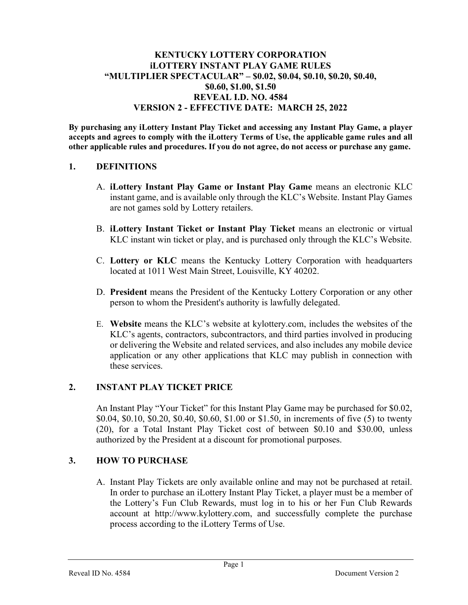## KENTUCKY LOTTERY CORPORATION iLOTTERY INSTANT PLAY GAME RULES "MULTIPLIER SPECTACULAR" – \$0.02, \$0.04, \$0.10, \$0.20, \$0.40, \$0.60, \$1.00, \$1.50 REVEAL I.D. NO. 4584 VERSION 2 - EFFECTIVE DATE: MARCH 25, 2022

By purchasing any iLottery Instant Play Ticket and accessing any Instant Play Game, a player accepts and agrees to comply with the iLottery Terms of Use, the applicable game rules and all other applicable rules and procedures. If you do not agree, do not access or purchase any game.

#### 1. DEFINITIONS

- A. iLottery Instant Play Game or Instant Play Game means an electronic KLC instant game, and is available only through the KLC's Website. Instant Play Games are not games sold by Lottery retailers.
- B. iLottery Instant Ticket or Instant Play Ticket means an electronic or virtual KLC instant win ticket or play, and is purchased only through the KLC's Website.
- C. Lottery or KLC means the Kentucky Lottery Corporation with headquarters located at 1011 West Main Street, Louisville, KY 40202.
- D. President means the President of the Kentucky Lottery Corporation or any other person to whom the President's authority is lawfully delegated.
- E. Website means the KLC's website at kylottery.com, includes the websites of the KLC's agents, contractors, subcontractors, and third parties involved in producing or delivering the Website and related services, and also includes any mobile device application or any other applications that KLC may publish in connection with these services.

## 2. INSTANT PLAY TICKET PRICE

An Instant Play "Your Ticket" for this Instant Play Game may be purchased for \$0.02, \$0.04, \$0.10, \$0.20, \$0.40, \$0.60, \$1.00 or \$1.50, in increments of five (5) to twenty (20), for a Total Instant Play Ticket cost of between \$0.10 and \$30.00, unless authorized by the President at a discount for promotional purposes.

## 3. HOW TO PURCHASE

A. Instant Play Tickets are only available online and may not be purchased at retail. In order to purchase an iLottery Instant Play Ticket, a player must be a member of the Lottery's Fun Club Rewards, must log in to his or her Fun Club Rewards account at http://www.kylottery.com, and successfully complete the purchase process according to the iLottery Terms of Use.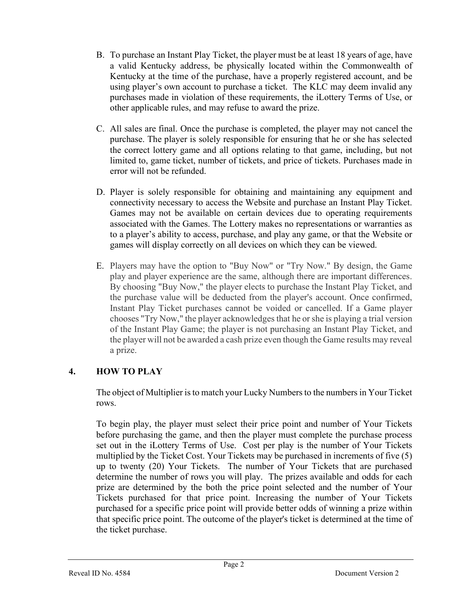- B. To purchase an Instant Play Ticket, the player must be at least 18 years of age, have a valid Kentucky address, be physically located within the Commonwealth of Kentucky at the time of the purchase, have a properly registered account, and be using player's own account to purchase a ticket. The KLC may deem invalid any purchases made in violation of these requirements, the iLottery Terms of Use, or other applicable rules, and may refuse to award the prize.
- C. All sales are final. Once the purchase is completed, the player may not cancel the purchase. The player is solely responsible for ensuring that he or she has selected the correct lottery game and all options relating to that game, including, but not limited to, game ticket, number of tickets, and price of tickets. Purchases made in error will not be refunded.
- D. Player is solely responsible for obtaining and maintaining any equipment and connectivity necessary to access the Website and purchase an Instant Play Ticket. Games may not be available on certain devices due to operating requirements associated with the Games. The Lottery makes no representations or warranties as to a player's ability to access, purchase, and play any game, or that the Website or games will display correctly on all devices on which they can be viewed.
- E. Players may have the option to "Buy Now" or "Try Now." By design, the Game play and player experience are the same, although there are important differences. By choosing "Buy Now," the player elects to purchase the Instant Play Ticket, and the purchase value will be deducted from the player's account. Once confirmed, Instant Play Ticket purchases cannot be voided or cancelled. If a Game player chooses "Try Now," the player acknowledges that he or she is playing a trial version of the Instant Play Game; the player is not purchasing an Instant Play Ticket, and the player will not be awarded a cash prize even though the Game results may reveal a prize.

# 4. HOW TO PLAY

The object of Multiplier is to match your Lucky Numbers to the numbers in Your Ticket rows.

To begin play, the player must select their price point and number of Your Tickets before purchasing the game, and then the player must complete the purchase process set out in the iLottery Terms of Use. Cost per play is the number of Your Tickets multiplied by the Ticket Cost. Your Tickets may be purchased in increments of five (5) up to twenty (20) Your Tickets. The number of Your Tickets that are purchased determine the number of rows you will play. The prizes available and odds for each prize are determined by the both the price point selected and the number of Your Tickets purchased for that price point. Increasing the number of Your Tickets purchased for a specific price point will provide better odds of winning a prize within that specific price point. The outcome of the player's ticket is determined at the time of the ticket purchase.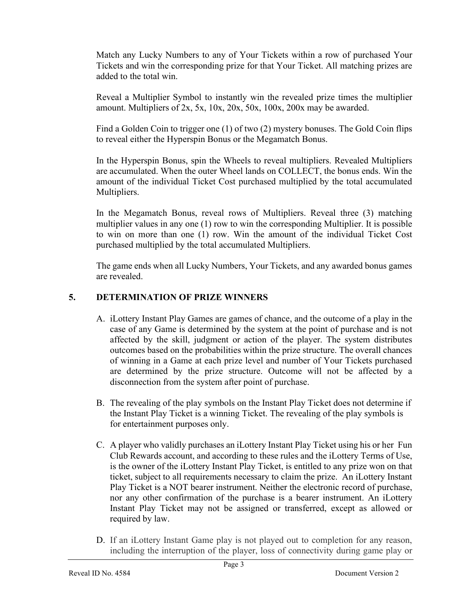Match any Lucky Numbers to any of Your Tickets within a row of purchased Your Tickets and win the corresponding prize for that Your Ticket. All matching prizes are added to the total win.

Reveal a Multiplier Symbol to instantly win the revealed prize times the multiplier amount. Multipliers of 2x, 5x, 10x, 20x, 50x, 100x, 200x may be awarded.

Find a Golden Coin to trigger one (1) of two (2) mystery bonuses. The Gold Coin flips to reveal either the Hyperspin Bonus or the Megamatch Bonus.

In the Hyperspin Bonus, spin the Wheels to reveal multipliers. Revealed Multipliers are accumulated. When the outer Wheel lands on COLLECT, the bonus ends. Win the amount of the individual Ticket Cost purchased multiplied by the total accumulated Multipliers.

In the Megamatch Bonus, reveal rows of Multipliers. Reveal three (3) matching multiplier values in any one (1) row to win the corresponding Multiplier. It is possible to win on more than one (1) row. Win the amount of the individual Ticket Cost purchased multiplied by the total accumulated Multipliers.

The game ends when all Lucky Numbers, Your Tickets, and any awarded bonus games are revealed.

## 5. DETERMINATION OF PRIZE WINNERS

- A. iLottery Instant Play Games are games of chance, and the outcome of a play in the case of any Game is determined by the system at the point of purchase and is not affected by the skill, judgment or action of the player. The system distributes outcomes based on the probabilities within the prize structure. The overall chances of winning in a Game at each prize level and number of Your Tickets purchased are determined by the prize structure. Outcome will not be affected by a disconnection from the system after point of purchase.
- B. The revealing of the play symbols on the Instant Play Ticket does not determine if the Instant Play Ticket is a winning Ticket. The revealing of the play symbols is for entertainment purposes only.
- C. A player who validly purchases an iLottery Instant Play Ticket using his or her Fun Club Rewards account, and according to these rules and the iLottery Terms of Use, is the owner of the iLottery Instant Play Ticket, is entitled to any prize won on that ticket, subject to all requirements necessary to claim the prize. An iLottery Instant Play Ticket is a NOT bearer instrument. Neither the electronic record of purchase, nor any other confirmation of the purchase is a bearer instrument. An iLottery Instant Play Ticket may not be assigned or transferred, except as allowed or required by law.
- D. If an iLottery Instant Game play is not played out to completion for any reason, including the interruption of the player, loss of connectivity during game play or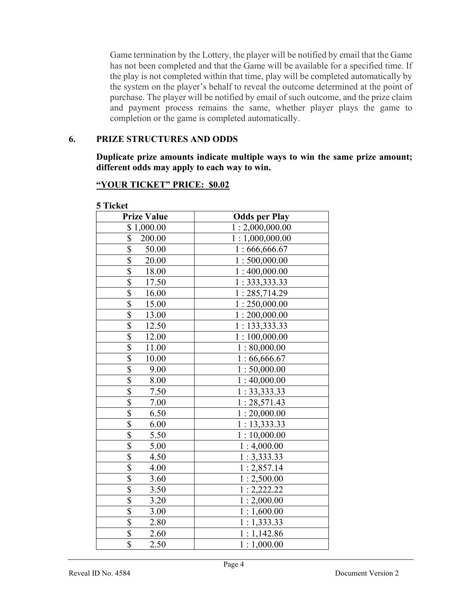Game termination by the Lottery, the player will be notified by email that the Game has not been completed and that the Game will be available for a specified time. If the play is not completed within that time, play will be completed automatically by the system on the player's behalf to reveal the outcome determined at the point of purchase. The player will be notified by email of such outcome, and the prize claim and payment process remains the same, whether player plays the game to completion or the game is completed automatically.

#### 6. PRIZE STRUCTURES AND ODDS

Duplicate prize amounts indicate multiple ways to win the same prize amount; different odds may apply to each way to win.

| <b>Prize Value</b>                 | <b>Odds per Play</b> |
|------------------------------------|----------------------|
| \$1,000.00                         | 1:2,000,000.00       |
| \$<br>200.00                       | 1:1,000,000.00       |
| \$<br>50.00                        | 1:666,666.67         |
| $\overline{\$}$<br>20.00           | 1:500,000.00         |
| \$<br>18.00                        | 1:400,000.00         |
| $\boldsymbol{\mathsf{S}}$<br>17.50 | 1:333,333.33         |
| \$<br>16.00                        | 1:285,714.29         |
| $\overline{\$}$<br>15.00           | 1:250,000.00         |
| $\overline{\$}$<br>13.00           | 1:200,000.00         |
| $\overline{\$}$<br>12.50           | 1: 133,333.33        |
| \$<br>12.00                        | 1:100,000.00         |
| \$<br>11.00                        | 1:80,000.00          |
| $\boldsymbol{\mathsf{S}}$<br>10.00 | 1:66,666.67          |
| $\overline{\mathcal{S}}$<br>9.00   | 1:50,000.00          |
| $\overline{\mathbb{S}}$<br>8.00    | 1:40,000.00          |
| \$<br>7.50                         | 1:33,333.33          |
| \$<br>7.00                         | 1:28,571.43          |
| $\overline{\$}$<br>6.50            | 1:20,000.00          |
| $\overline{\mathbb{S}}$<br>6.00    | 1: 13, 333.33        |
| \$<br>5.50                         | 1:10,000.00          |
| \$<br>5.00                         | 1:4,000.00           |
| $\overline{\mathbb{S}}$<br>4.50    | 1:3,333.33           |
| \$<br>4.00                         | 1:2,857.14           |
| $\overline{\$}$<br>3.60            | 1:2,500.00           |
| \$<br>3.50                         | 1:2,222.22           |
| \$<br>3.20                         | 1:2,000.00           |
| $\overline{\$}$<br>3.00            | 1:1,600.00           |
| $\overline{\mathbb{S}}$<br>2.80    | 1:1,333.33           |
| $\overline{\mathbb{S}}$<br>2.60    | 1:1,142.86           |
| $\overline{\$}$<br>2.50            | 1:1,000.00           |

## "YOUR TICKET" PRICE: \$0.02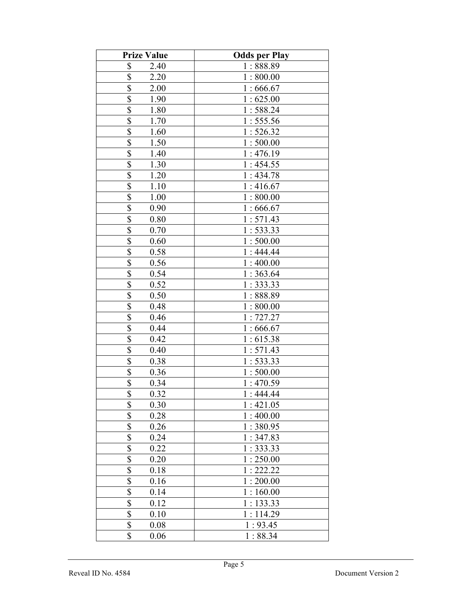| <b>Prize Value</b>              | <b>Odds per Play</b> |
|---------------------------------|----------------------|
| \$<br>2.40                      | 1:888.89             |
| \$<br>2.20                      | 1:800.00             |
| \$<br>2.00                      | 1:666.67             |
| \$<br>1.90                      | 1:625.00             |
| \$<br>1.80                      | 1:588.24             |
| \$<br>1.70                      | 1:555.56             |
| \$<br>1.60                      | 1:526.32             |
| \$<br>1.50                      | 1:500.00             |
| \$<br>1.40                      | 1:476.19             |
| \$<br>1.30                      | 1:454.55             |
| $\overline{\$}$<br>1.20         | 1:434.78             |
| $\overline{\mathbb{S}}$<br>1.10 | 1:416.67             |
| \$<br>1.00                      | 1:800.00             |
| \$<br>0.90                      | 1:666.67             |
| \$<br>0.80                      | 1:571.43             |
| \$<br>0.70                      | 1:533.33             |
| \$<br>0.60                      | 1:500.00             |
| \$<br>0.58                      | 1:444.44             |
| \$<br>0.56                      | 1:400.00             |
| \$<br>0.54                      | 1:363.64             |
| \$<br>0.52                      | 1:333.33             |
| \$<br>0.50                      | 1:888.89             |
| \$<br>0.48                      | 1:800.00             |
| \$<br>0.46                      | 1:727.27             |
| $\overline{\$}$<br>0.44         | 1:666.67             |
| \$<br>0.42                      | 1:615.38             |
| $\overline{\$}$<br>0.40         | 1:571.43             |
| \$<br>0.38                      | 1:533.33             |
| \$<br>0.36                      | 1:500.00             |
| \$<br>0.34                      | 1:470.59             |
| \$<br>0.32                      | 1:444.44             |
| \$<br>0.30                      | 1:421.05             |
| \$<br>0.28                      | 1:400.00             |
| \$<br>$0.26\,$                  | 1:380.95             |
| \$<br>0.24                      | 1:347.83             |
| \$<br>0.22                      | 1:333.33             |
| \$<br>0.20                      | 1:250.00             |
| \$<br>0.18                      | 1:222.22             |
| \$<br>0.16                      | 1:200.00             |
| \$<br>0.14                      | 1:160.00             |
| $\overline{\$}$<br>0.12         | 1:133.33             |
| $\overline{\$}$<br>0.10         | 1:114.29             |
| \$<br>0.08                      | 1:93.45              |
| \$<br>0.06                      | 1:88.34              |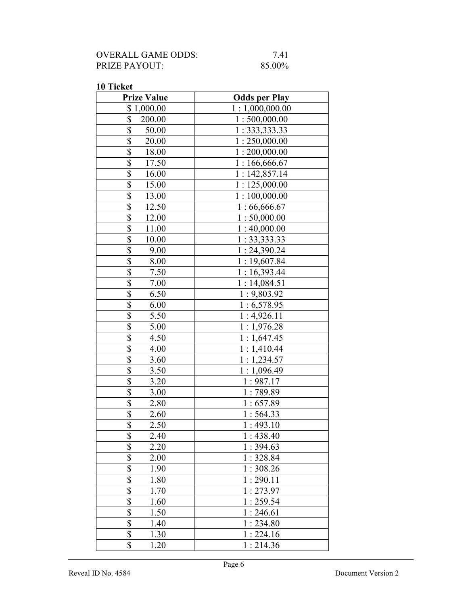| OVERALL GAME ODDS:   | 7.41   |
|----------------------|--------|
| <b>PRIZE PAYOUT:</b> | 85.00% |

| <b>Prize Value</b>               | <b>Odds per Play</b> |
|----------------------------------|----------------------|
| \$1,000.00                       | 1:1,000,000.00       |
| \$<br>200.00                     | 1:500,000.00         |
| \$<br>50.00                      | 1: 333, 333.33       |
| \$<br>20.00                      | 1:250,000.00         |
| \$<br>18.00                      | 1:200,000.00         |
| \$<br>17.50                      | 1:166,666.67         |
| $\overline{\mathbb{S}}$<br>16.00 | 1:142,857.14         |
| \$<br>15.00                      | 1:125,000.00         |
| \$<br>13.00                      | 1:100,000.00         |
| \$<br>12.50                      | 1:66,666.67          |
| \$<br>12.00                      | 1:50,000.00          |
| \$<br>11.00                      | 1:40,000.00          |
| \$<br>10.00                      | 1:33,333.33          |
| \$<br>9.00                       | 1:24,390.24          |
| \$<br>8.00                       | 1:19,607.84          |
| $\overline{\$}$<br>7.50          | 1:16,393.44          |
| $\overline{\$}$<br>7.00          | 1:14,084.51          |
| \$<br>6.50                       | 1:9,803.92           |
| \$<br>6.00                       | 1:6,578.95           |
| \$<br>5.50                       | 1:4,926.11           |
| \$<br>5.00                       | 1:1,976.28           |
| \$<br>4.50                       | 1:1,647.45           |
| \$<br>4.00                       | 1:1,410.44           |
| \$<br>3.60                       | 1:1,234.57           |
| \$<br>3.50                       | 1:1,096.49           |
| \$<br>3.20                       | 1:987.17             |
| \$<br>3.00                       | 1:789.89             |
| \$<br>2.80                       | 1:657.89             |
| $\overline{\$}$<br>2.60          | 1:564.33             |
| $\overline{\$}$<br>2.50          | 1:493.10             |
| \$<br>2.40                       | 1:438.40             |
| $\overline{\$}$<br>2.20          | 1:394.63             |
| $\overline{\$}$<br>2.00          | 1:328.84             |
| $\overline{\$}$<br>1.90          | 1:308.26             |
| \$<br>1.80                       | 1:290.11             |
| \$<br>1.70                       | 1:273.97             |
| $\overline{\$}$<br>1.60          | 1:259.54             |
| \$<br>1.50                       | 1:246.61             |
| \$<br>1.40                       | 1:234.80             |
| \$<br>1.30                       | 1:224.16             |
| \$<br>1.20                       | 1:214.36             |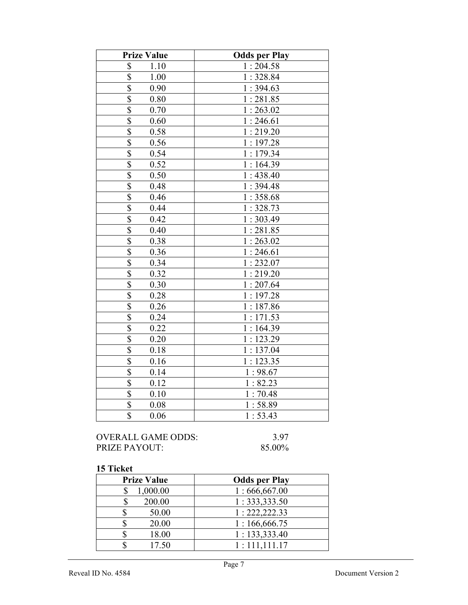| <b>Prize Value</b>                | <b>Odds per Play</b> |
|-----------------------------------|----------------------|
| \$<br>1.10                        | 1:204.58             |
| $\overline{\$}$<br>1.00           | 1:328.84             |
| $\overline{\$}$<br>0.90           | 1:394.63             |
| $\overline{\mathcal{S}}$<br>0.80  | 1:281.85             |
| $\overline{\mathbb{S}}$<br>0.70   | 1:263.02             |
| $\boldsymbol{\mathsf{S}}$<br>0.60 | 1:246.61             |
| $\overline{\$}$<br>0.58           | 1:219.20             |
| \$<br>0.56                        | 1:197.28             |
| $\overline{\$}$<br>0.54           | 1:179.34             |
| $\overline{\$}$<br>0.52           | 1:164.39             |
| $\overline{\$}$<br>0.50           | 1:438.40             |
| $\overline{\$}$<br>0.48           | 1:394.48             |
| $\overline{\$}$<br>0.46           | 1:358.68             |
| \$<br>0.44                        | 1:328.73             |
| \$<br>0.42                        | 1:303.49             |
| \$<br>0.40                        | 1:281.85             |
| $\overline{\$}$<br>0.38           | 1:263.02             |
| $\overline{\$}$<br>0.36           | 1:246.61             |
| $\overline{\$}$<br>0.34           | 1:232.07             |
| $\overline{\$}$<br>0.32           | 1:219.20             |
| \$<br>0.30                        | 1:207.64             |
| \$<br>0.28                        | 1:197.28             |
| $\overline{\$}$<br>0.26           | 1:187.86             |
| $\overline{\$}$<br>0.24           | 1:171.53             |
| $\overline{\$}$<br>0.22           | 1:164.39             |
| $\overline{\$}$<br>0.20           | 1:123.29             |
| \$<br>0.18                        | 1:137.04             |
| $\overline{\$}$<br>0.16           | 1:123.35             |
| \$<br>0.14                        | 1:98.67              |
| \$<br>0.12                        | 1:82.23              |
| $\overline{\$}$<br>0.10           | 1:70.48              |
| $\overline{\$}$<br>0.08           | 1:58.89              |
| $\overline{\$}$<br>0.06           | 1:53.43              |

OVERALL GAME ODDS: 3.97<br>PRIZE PAYOUT: 85.00% PRIZE PAYOUT:

| <b>Prize Value</b> | <b>Odds per Play</b> |
|--------------------|----------------------|
| 1,000.00           | 1:666,667.00         |
| 200.00             | 1:333,333.50         |
| 50.00              | 1: 222, 222.33       |
| 20.00              | 1:166,666.75         |
| 18.00              | 1:133,333.40         |
| 17.50              | 1:111,111.17         |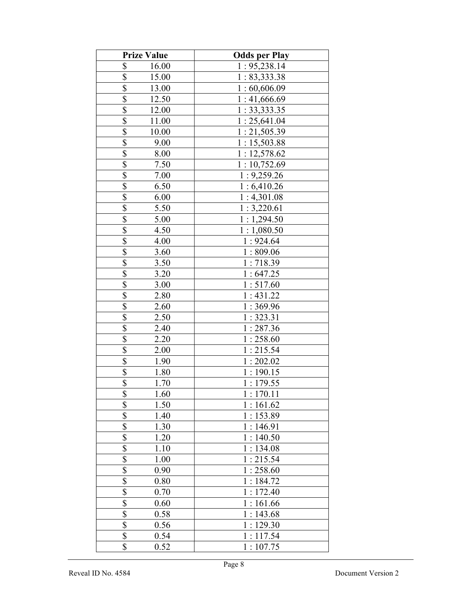| <b>Prize Value</b>       |          | <b>Odds per Play</b> |
|--------------------------|----------|----------------------|
| \$                       | 16.00    | 1: 95,238.14         |
| \$                       | 15.00    | 1:83,333.38          |
| $\overline{\$}$          | 13.00    | 1:60,606.09          |
| $\overline{\$}$          | 12.50    | 1:41,666.69          |
| \$                       | 12.00    | 1:33,333.35          |
| \$                       | 11.00    | 1:25,641.04          |
| \$                       | 10.00    | 1:21,505.39          |
| \$                       | 9.00     | 1:15,503.88          |
| \$                       | 8.00     | 1:12,578.62          |
| $\overline{\mathcal{S}}$ | 7.50     | 1:10,752.69          |
| $\overline{\$}$          | $7.00\,$ | 1:9,259.26           |
| \$                       | 6.50     | 1:6,410.26           |
| $\overline{\$}$          | 6.00     | 1:4,301.08           |
| $\overline{\mathbb{S}}$  | 5.50     | 1:3,220.61           |
| $\overline{\$}$          | 5.00     | 1:1,294.50           |
| $\overline{\$}$          | 4.50     | 1:1,080.50           |
| \$                       | 4.00     | 1:924.64             |
| \$                       | 3.60     | 1:809.06             |
| $\overline{\$}$          | 3.50     | 1:718.39             |
| $\overline{\$}$          | 3.20     | 1:647.25             |
| \$                       | 3.00     | 1:517.60             |
| \$                       | 2.80     | 1:431.22             |
| $\overline{\mathcal{S}}$ | 2.60     | 1:369.96             |
| $\overline{\$}$          | 2.50     | 1:323.31             |
| $\overline{\$}$          | 2.40     | 1:287.36             |
| $\overline{\$}$          | 2.20     | 1:258.60             |
| $\overline{\$}$          | 2.00     | 1:215.54             |
| $\overline{\mathcal{S}}$ | 1.90     | 1:202.02             |
| \$                       | 1.80     | 1:190.15             |
| $\overline{\$}$          | 1.70     | 1:179.55             |
| \$                       | 1.60     | 1:170.11             |
| \$                       | 1.50     | 1:161.62             |
| $\overline{\$}$          | 1.40     | 1:153.89             |
| \$                       | 1.30     | 1:146.91             |
| \$                       | 1.20     | 1:140.50             |
| \$                       | 1.10     | 1:134.08             |
| \$                       | 1.00     | 1:215.54             |
| \$                       | 0.90     | 1:258.60             |
| \$                       | 0.80     | 1:184.72             |
| $\overline{\$}$          | 0.70     | 1:172.40             |
| \$                       | 0.60     | 1:161.66             |
| \$                       | 0.58     | 1:143.68             |
| $\overline{\$}$          | 0.56     | 1:129.30             |
| \$                       | 0.54     | 1:117.54             |
| \$                       | 0.52     | 1:107.75             |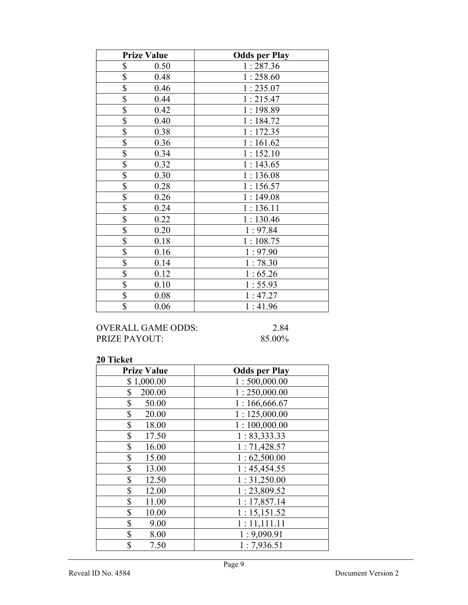| <b>Prize Value</b> | <b>Odds per Play</b> |
|--------------------|----------------------|
| \$<br>0.50         | 1:287.36             |
| \$<br>0.48         | 1:258.60             |
| \$<br>0.46         | 1:235.07             |
| \$<br>0.44         | 1:215.47             |
| \$<br>0.42         | 1:198.89             |
| \$<br>0.40         | 1:184.72             |
| \$<br>0.38         | 1:172.35             |
| \$<br>0.36         | 1:161.62             |
| \$<br>0.34         | 1:152.10             |
| \$<br>0.32         | 1:143.65             |
| \$<br>0.30         | 1:136.08             |
| \$<br>0.28         | 1:156.57             |
| \$<br>0.26         | 1:149.08             |
| \$<br>0.24         | 1:136.11             |
| \$<br>0.22         | 1:130.46             |
| \$<br>0.20         | 1:97.84              |
| \$<br>0.18         | 1:108.75             |
| \$<br>0.16         | 1:97.90              |
| \$<br>0.14         | 1:78.30              |
| \$<br>0.12         | 1:65.26              |
| \$<br>0.10         | 1:55.93              |
| \$<br>0.08         | 1:47.27              |
| \$<br>0.06         | 1:41.96              |

## OVERALL GAME ODDS: 2.84<br>PRIZE PAYOUT: 85.00% PRIZE PAYOUT:

| <b>Prize Value</b> | <b>Odds per Play</b> |
|--------------------|----------------------|
| \$1,000.00         | 1:500,000.00         |
| \$<br>200.00       | 1:250,000.00         |
| \$<br>50.00        | 1:166,666.67         |
| \$<br>20.00        | 1:125,000.00         |
| \$<br>18.00        | 1:100,000.00         |
| \$<br>17.50        | 1: 83,333.33         |
| \$<br>16.00        | 1:71,428.57          |
| \$<br>15.00        | 1:62,500.00          |
| \$<br>13.00        | 1:45,454.55          |
| \$<br>12.50        | 1:31,250.00          |
| \$<br>12.00        | 1:23,809.52          |
| \$<br>11.00        | 1:17,857.14          |
| \$<br>10.00        | 1:15,151.52          |
| \$<br>9.00         | 1:11,111.11          |
| \$<br>8.00         | 1:9,090.91           |
| \$<br>7.50         | 1:7,936.51           |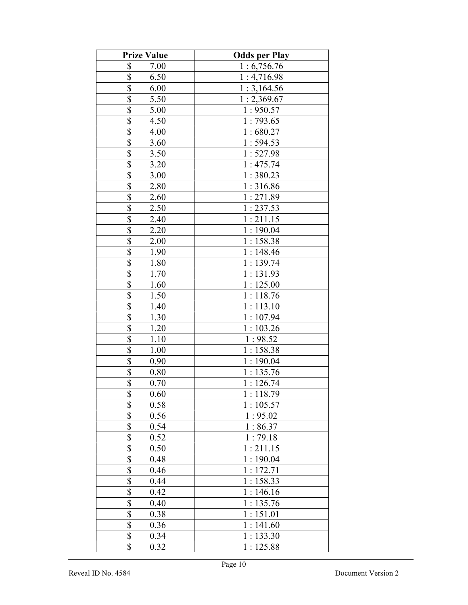| <b>Prize Value</b>      | <b>Odds per Play</b> |
|-------------------------|----------------------|
| \$<br>7.00              | 1:6,756.76           |
| \$<br>6.50              | 1:4,716.98           |
| \$<br>6.00              | 1:3,164.56           |
| $\overline{\$}$<br>5.50 | 1:2,369.67           |
| \$<br>5.00              | 1:950.57             |
| \$<br>4.50              | 1:793.65             |
| \$<br>4.00              | 1:680.27             |
| \$<br>3.60              | 1:594.53             |
| \$<br>3.50              | 1:527.98             |
| \$<br>3.20              | 1:475.74             |
| \$<br>3.00              | 1:380.23             |
| \$<br>2.80              | 1:316.86             |
| \$<br>2.60              | 1:271.89             |
| \$<br>2.50              | 1:237.53             |
| \$<br>2.40              | 1:211.15             |
| \$<br>2.20              | 1:190.04             |
| \$<br>2.00              | 1:158.38             |
| \$<br>1.90              | 1:148.46             |
| $\overline{\$}$<br>1.80 | 1:139.74             |
| $\overline{\$}$<br>1.70 | 1:131.93             |
| \$<br>1.60              | 1:125.00             |
| \$<br>1.50              | 1:118.76             |
| \$<br>1.40              | 1:113.10             |
| \$<br>1.30              | 1:107.94             |
| \$<br>1.20              | 1:103.26             |
| \$<br>1.10              | 1:98.52              |
| \$<br>1.00              | 1:158.38             |
| \$<br>0.90              | 1:190.04             |
| \$<br>0.80              | 1:135.76             |
| \$<br>0.70              | 1:126.74             |
| \$<br>0.60              | 1:118.79             |
| $\overline{\$}$<br>0.58 | 1:105.57             |
| $\overline{\$}$<br>0.56 | 1:95.02              |
| \$<br>0.54              | 1:86.37              |
| \$<br>0.52              | 1:79.18              |
| \$<br>0.50              | 1:211.15             |
| $\overline{\$}$<br>0.48 | 1:190.04             |
| \$<br>0.46              | 1:172.71             |
| \$<br>0.44              | 1:158.33             |
| \$<br>0.42              | 1:146.16             |
| \$<br>0.40              | 1:135.76             |
| \$<br>0.38              | 1:151.01             |
| \$<br>0.36              | 1:141.60             |
| \$<br>0.34              | 1:133.30             |
| \$<br>0.32              | 1:125.88             |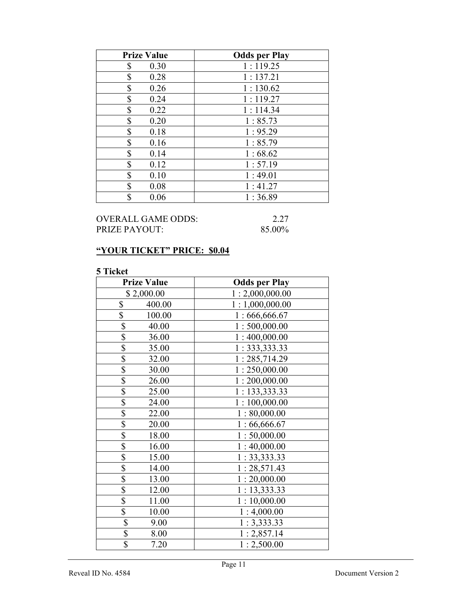| <b>Prize Value</b> | <b>Odds per Play</b> |
|--------------------|----------------------|
| 0.30<br>\$         | 1:119.25             |
| \$<br>0.28         | 1:137.21             |
| \$<br>0.26         | 1:130.62             |
| \$<br>0.24         | 1:119.27             |
| \$<br>0.22         | 1:114.34             |
| \$<br>0.20         | 1:85.73              |
| \$<br>0.18         | 1:95.29              |
| \$<br>0.16         | 1:85.79              |
| \$<br>0.14         | 1:68.62              |
| \$<br>0.12         | 1:57.19              |
| \$<br>0.10         | 1:49.01              |
| \$<br>0.08         | 1:41.27              |
| \$<br>0.06         | 1:36.89              |

# OVERALL GAME ODDS: 2.27<br>PRIZE PAYOUT: 85.00% PRIZE PAYOUT:

# "YOUR TICKET" PRICE: \$0.04

| <b>Prize Value</b>       | <b>Odds per Play</b> |
|--------------------------|----------------------|
| \$2,000.00               | 1:2,000,000.00       |
| \$<br>400.00             | 1:1,000,000.00       |
| \$<br>100.00             | 1:666,666.67         |
| \$<br>40.00              | 1:500,000.00         |
| \$<br>36.00              | 1:400,000.00         |
| \$<br>35.00              | 1: 333, 333.33       |
| \$<br>32.00              | 1:285,714.29         |
| \$<br>30.00              | 1:250,000.00         |
| \$<br>26.00              | 1:200,000.00         |
| \$<br>25.00              | 1: 133,333.33        |
| \$<br>24.00              | 1:100,000.00         |
| \$<br>22.00              | 1:80,000.00          |
| $\overline{\$}$<br>20.00 | 1:66,666.67          |
| \$<br>18.00              | 1:50,000.00          |
| \$<br>16.00              | 1:40,000.00          |
| \$<br>15.00              | 1: 33,333.33         |
| \$<br>14.00              | 1:28,571.43          |
| \$<br>13.00              | 1:20,000.00          |
| \$<br>12.00              | 1: 13,333.33         |
| $\overline{\$}$<br>11.00 | 1:10,000.00          |
| \$<br>10.00              | 1:4,000.00           |
| \$<br>9.00               | 1:3,333.33           |
| \$<br>8.00               | 1:2,857.14           |
| \$<br>7.20               | 1:2,500.00           |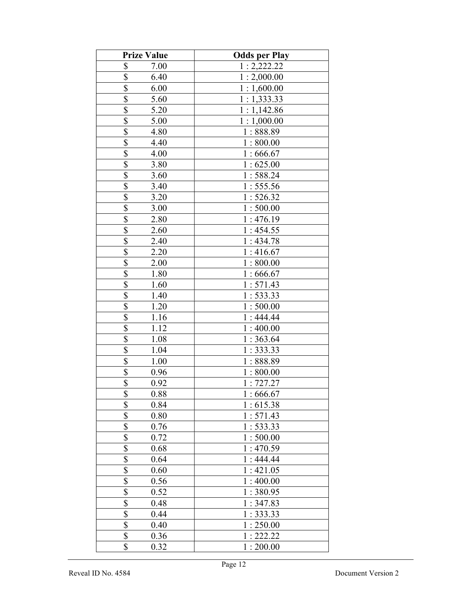| <b>Prize Value</b>              | <b>Odds per Play</b> |
|---------------------------------|----------------------|
| \$<br>7.00                      | 1:2,222.22           |
| \$<br>6.40                      | 1:2,000.00           |
| \$<br>6.00                      | 1:1,600.00           |
| \$<br>5.60                      | 1:1,333.33           |
| \$<br>5.20                      | 1:1,142.86           |
| \$<br>5.00                      | 1:1,000.00           |
| \$<br>4.80                      | 1:888.89             |
| \$<br>4.40                      | 1:800.00             |
| \$<br>4.00                      | 1:666.67             |
| $\overline{\$}$<br>3.80         | 1:625.00             |
| \$<br>3.60                      | 1:588.24             |
| \$<br>3.40                      | 1:555.56             |
| $\overline{\$}$<br>3.20         | 1:526.32             |
| $\overline{\$}$<br>3.00         | 1:500.00             |
| $\overline{\$}$<br>2.80         | 1:476.19             |
| $\overline{\$}$<br>2.60         | 1:454.55             |
| \$<br>2.40                      | 1:434.78             |
| \$<br>2.20                      | 1:416.67             |
| \$<br>2.00                      | 1:800.00             |
| $\overline{\mathbb{S}}$<br>1.80 | 1:666.67             |
| \$<br>1.60                      | 1:571.43             |
| \$<br>1.40                      | 1:533.33             |
| $\overline{\$}$<br>1.20         | 1:500.00             |
| \$<br>1.16                      | 1:444.44             |
| \$<br>1.12                      | 1:400.00             |
| \$<br>1.08                      | 1:363.64             |
| $\overline{\$}$<br>1.04         | 1:333.33             |
| $\overline{\mathbb{S}}$<br>1.00 | 1:888.89             |
| \$<br>0.96                      | 1:800.00             |
| $\overline{\$}$<br>0.92         | 1:727.27             |
| \$<br>0.88                      | 1:666.67             |
| \$<br>0.84                      | 1:615.38             |
| \$<br>0.80                      | 1:571.43             |
| \$<br>0.76                      | 1:533.33             |
| \$<br>0.72                      | 1:500.00             |
| \$<br>0.68                      | 1:470.59             |
| \$<br>0.64                      | 1:444.44             |
| \$<br>0.60                      | 1:421.05             |
| \$<br>0.56                      | 1:400.00             |
| $\overline{\$}$<br>0.52         | 1:380.95             |
| \$<br>0.48                      | 1:347.83             |
| \$<br>0.44                      | 1:333.33             |
| \$<br>0.40                      | 1:250.00             |
| \$<br>0.36                      | 1:222.22             |
| \$<br>0.32                      | 1:200.00             |
|                                 |                      |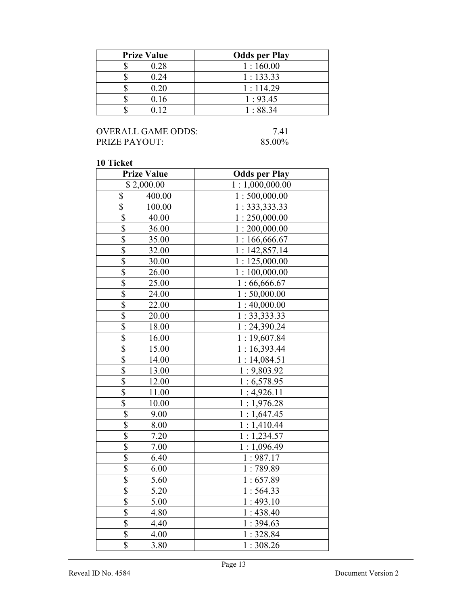| <b>Prize Value</b> | <b>Odds per Play</b> |
|--------------------|----------------------|
| 0.28               | 1:160.00             |
| 0.24               | 1:133.33             |
| 0.20               | 1:114.29             |
| 0.16               | 1:93.45              |
|                    | 1:88.34              |

## OVERALL GAME ODDS: 7.41<br>PRIZE PAYOUT: 85.00% PRIZE PAYOUT:

| <b>Prize Value</b>               | <b>Odds per Play</b> |
|----------------------------------|----------------------|
| \$2,000.00                       | 1:1,000,000.00       |
| 400.00<br>\$                     | 1:500,000.00         |
| \$<br>100.00                     | 1:333,333.33         |
| \$<br>40.00                      | 1:250,000.00         |
| $\overline{\mathbb{S}}$<br>36.00 | 1:200,000.00         |
| $\overline{\$}$<br>35.00         | 1:166,666.67         |
| $\overline{\mathbb{S}}$<br>32.00 | 1:142,857.14         |
| $rac{1}{3}$<br>30.00             | 1:125,000.00         |
| 26.00                            | 1:100,000.00         |
| $\overline{\$}$<br>25.00         | 1:66,666.67          |
| $\overline{\$}$<br>24.00         | 1:50,000.00          |
| \$<br>22.00                      | 1:40,000.00          |
| $\overline{\$}$<br>20.00         | 1: 33,333.33         |
| $\overline{\mathbb{S}}$<br>18.00 | 1: 24,390.24         |
| $\overline{\mathbb{S}}$<br>16.00 | 1:19,607.84          |
| $\overline{\$}$<br>15.00         | 1:16,393.44          |
| \$<br>14.00                      | 1:14,084.51          |
| $\overline{\$}$<br>13.00         | 1:9,803.92           |
| $\overline{\$}$<br>12.00         | 1:6,578.95           |
| $\overline{\$}$<br>11.00         | 1:4,926.11           |
| $\overline{\$}$<br>10.00         | 1:1,976.28           |
| \$<br>9.00                       | 1:1,647.45           |
| $\overline{\$}$<br>8.00          | 1:1,410.44           |
| $\overline{\$}$<br>7.20          | 1:1,234.57           |
| $\overline{\$}$<br>7.00          | 1:1,096.49           |
| $\overline{\$}$<br>6.40          | 1:987.17             |
| $\overline{\$}$<br>6.00          | 1:789.89             |
| $\overline{\$}$<br>5.60          | 1:657.89             |
| \$<br>5.20                       | 1:564.33             |
| $\overline{\$}$<br>5.00          | 1:493.10             |
| $\overline{\$}$<br>4.80          | 1:438.40             |
| $\overline{\$}$<br>4.40          | 1:394.63             |
| $\overline{\$}$<br>4.00          | 1:328.84             |
| $\overline{\$}$<br>3.80          | 1:308.26             |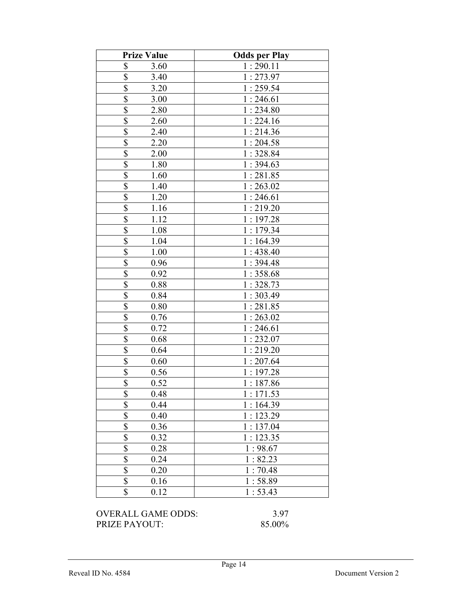| <b>Prize Value</b>                | <b>Odds per Play</b> |
|-----------------------------------|----------------------|
| $\boldsymbol{\mathsf{S}}$<br>3.60 | 1:290.11             |
| $\overline{\$}$<br>3.40           | 1:273.97             |
| \$<br>3.20                        | 1:259.54             |
| \$<br>3.00                        | 1:246.61             |
| $\overline{\mathbf{S}}$<br>2.80   | 1:234.80             |
| \$<br>2.60                        | 1:224.16             |
| $\overline{\$}$<br>2.40           | 1:214.36             |
| $\overline{\mathbb{S}}$<br>2.20   | 1:204.58             |
| $\overline{\$}$<br>2.00           | 1:328.84             |
| \$<br>1.80                        | 1:394.63             |
| \$<br>1.60                        | 1:281.85             |
| \$<br>1.40                        | 1:263.02             |
| \$<br>1.20                        | 1:246.61             |
| \$<br>1.16                        | 1:219.20             |
| \$<br>1.12                        | 1:197.28             |
| 1.08                              | 1:179.34             |
| $\frac{$}{\$}$<br>1.04            | 1:164.39             |
| 1.00                              | 1:438.40             |
| \$<br>0.96                        | 1:394.48             |
| $\overline{\$}$<br>0.92           | 1:358.68             |
| \$<br>0.88                        | 1:328.73             |
| $\overline{\$}$<br>0.84           | 1:303.49             |
| \$<br>0.80                        | 1:281.85             |
| $\overline{\$}$<br>0.76           | 1:263.02             |
| $\overline{\mathbb{S}}$<br>0.72   | 1:246.61             |
| $\overline{\$}$<br>0.68           | 1:232.07             |
| \$<br>0.64                        | 1:219.20             |
| \$<br>0.60                        | 1:207.64             |
| \$<br>0.56                        | 1:197.28             |
| \$<br>0.52                        | 1:187.86             |
| \$<br>0.48                        | 1:171.53             |
| \$<br>0.44                        | 1:164.39             |
| \$<br>0.40                        | 1:123.29             |
| \$<br>0.36                        | 1:137.04             |
| $\frac{1}{3}$<br>0.32             | 1:123.35             |
| 0.28                              | 1:98.67              |
| $\overline{\$}$<br>0.24           | 1:82.23              |
| $rac{1}{s}$<br>0.20               | 1:70.48              |
| 0.16                              | 1:58.89              |
| $\overline{\$}$<br>0.12           | 1:53.43              |

OVERALL GAME ODDS: 3.97<br>PRIZE PAYOUT: 85.00% PRIZE PAYOUT: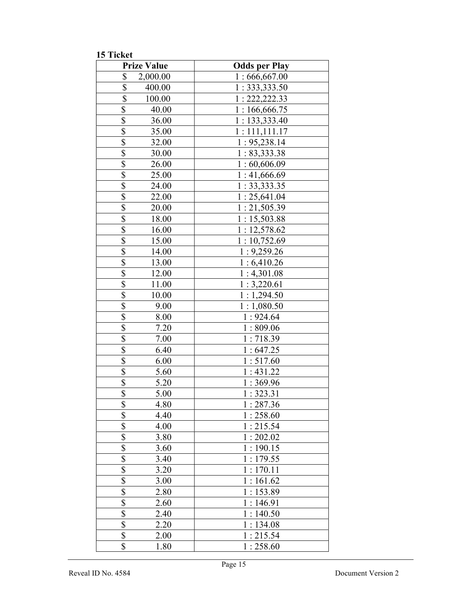15 Ticket

|                          | <b>Prize Value</b> | <b>Odds per Play</b> |
|--------------------------|--------------------|----------------------|
| \$                       | 2,000.00           | 1:666,667.00         |
| \$                       | 400.00             | 1:333,333.50         |
| \$                       | 100.00             | 1: 222, 222.33       |
| $\overline{\$}$          | 40.00              | 1:166,666.75         |
| $\overline{\$}$          | 36.00              | 1:133,333.40         |
| $\overline{\$}$          | 35.00              | 1:111,111.17         |
| $\overline{\mathcal{S}}$ | 32.00              | 1: 95,238.14         |
| $\overline{\$}$          | 30.00              | 1:83,333.38          |
| $\overline{\$}$          | 26.00              | 1:60,606.09          |
| \$                       | 25.00              | 1:41,666.69          |
| \$                       | 24.00              | 1:33,333.35          |
| $\overline{\mathbb{S}}$  | 22.00              | 1:25,641.04          |
| \$                       | 20.00              | 1:21,505.39          |
| \$                       | 18.00              | 1:15,503.88          |
| \$                       | 16.00              | 1:12,578.62          |
| \$                       | 15.00              | 1:10,752.69          |
| $\overline{\mathbb{S}}$  | 14.00              | 1:9,259.26           |
| $\overline{\$}$          | 13.00              | 1:6,410.26           |
| $\overline{\$}$          | 12.00              | 1:4,301.08           |
| \$                       | 11.00              | 1:3,220.61           |
| $\overline{\$}$          | 10.00              | 1:1,294.50           |
| $\overline{\$}$          | 9.00               | 1:1,080.50           |
| \$                       | 8.00               | 1:924.64             |
| \$                       | 7.20               | 1:809.06             |
| \$                       | 7.00               | 1:718.39             |
| \$                       | 6.40               | 1:647.25             |
| \$                       | 6.00               | 1:517.60             |
| \$                       | 5.60               | 1:431.22             |
| \$                       | 5.20               | 1:369.96             |
| \$                       | 5.00               | 1:323.31             |
| \$                       | 4.80               | 1:287.36             |
| \$                       | 4.40               | 1:258.60             |
| \$                       | 4.00               | 1:215.54             |
| $\overline{\$}$          | 3.80               | 1:202.02             |
| $\overline{\$}$          | 3.60               | 1:190.15             |
| $\overline{\mathcal{S}}$ | 3.40               | 1:179.55             |
| $\overline{\mathbb{S}}$  | 3.20               | 1:170.11             |
| $\overline{\mathbb{S}}$  | 3.00               | 1:161.62             |
| $\overline{\$}$          | 2.80               | 1:153.89             |
| \$                       | 2.60               | 1:146.91             |
| $\overline{\mathcal{S}}$ | 2.40               | 1:140.50             |
| \$                       | 2.20               | 1:134.08             |
| \$                       | 2.00               | 1:215.54             |
| \$                       | 1.80               | 1:258.60             |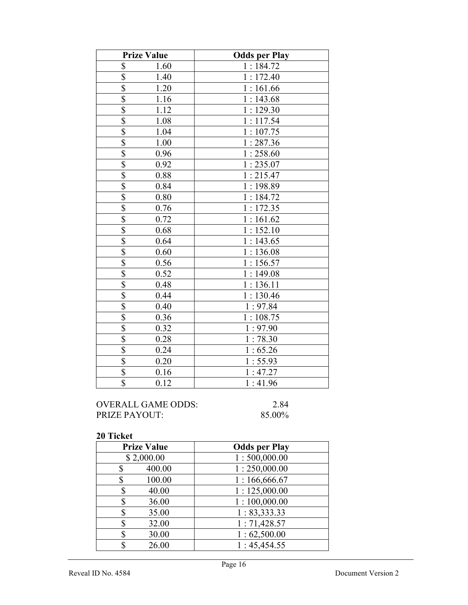| <b>Prize Value</b>      | <b>Odds per Play</b> |
|-------------------------|----------------------|
| \$<br>1.60              | 1:184.72             |
| \$<br>1.40              | 1:172.40             |
| $\overline{\$}$<br>1.20 | 1:161.66             |
| $\overline{\$}$<br>1.16 | 1:143.68             |
| \$<br>1.12              | 1:129.30             |
| \$<br>1.08              | 1:117.54             |
| \$<br>1.04              | 1:107.75             |
| \$<br>1.00              | 1:287.36             |
| $\overline{\$}$<br>0.96 | 1:258.60             |
| \$<br>0.92              | 1:235.07             |
| \$<br>0.88              | 1:215.47             |
| \$<br>0.84              | 1:198.89             |
| $\overline{\$}$<br>0.80 | 1:184.72             |
| $\overline{\$}$<br>0.76 | 1:172.35             |
| \$<br>0.72              | 1:161.62             |
| $\overline{\$}$<br>0.68 | 1:152.10             |
| \$<br>0.64              | 1:143.65             |
| $\overline{\$}$<br>0.60 | 1:136.08             |
| $\overline{\$}$<br>0.56 | 1:156.57             |
| \$<br>0.52              | 1:149.08             |
| $\overline{\$}$<br>0.48 | 1:136.11             |
| \$<br>0.44              | 1:130.46             |
| $\overline{\$}$<br>0.40 | 1:97.84              |
| \$<br>0.36              | 1:108.75             |
| \$<br>0.32              | 1:97.90              |
| \$<br>0.28              | 1:78.30              |
| \$<br>0.24              | 1:65.26              |
| $\overline{\$}$<br>0.20 | 1:55.93              |
| $\overline{\$}$<br>0.16 | 1:47.27              |
| $\overline{\$}$<br>0.12 | 1:41.96              |

OVERALL GAME ODDS: 2.84<br>PRIZE PAYOUT: 85.00% PRIZE PAYOUT:

| <b>Prize Value</b> | <b>Odds per Play</b> |
|--------------------|----------------------|
| \$2,000.00         | 1:500,000.00         |
| 400.00             | 1:250,000.00         |
| 100.00<br>\$       | 1:166,666.67         |
| 40.00<br>\$        | 1:125,000.00         |
| \$<br>36.00        | 1:100,000.00         |
| 35.00<br>\$        | 1: 83,333.33         |
| 32.00<br>\$        | 1:71,428.57          |
| 30.00<br>S         | 1:62,500.00          |
| 26.00              | 1:45,454.55          |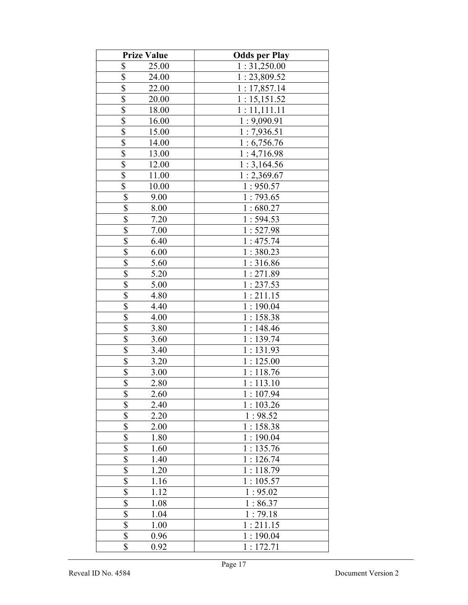| <b>Prize Value</b>              | <b>Odds per Play</b> |
|---------------------------------|----------------------|
| \$<br>25.00                     | 1:31,250.00          |
| \$<br>24.00                     | 1:23,809.52          |
| \$<br>22.00                     | 1:17,857.14          |
| \$<br>20.00                     | 1:15,151.52          |
| \$<br>18.00                     | 1:11,111.11          |
| \$<br>16.00                     | 1:9,090.91           |
| \$<br>15.00                     | 1:7,936.51           |
| \$<br>14.00                     | 1:6,756.76           |
| \$<br>13.00                     | 1:4,716.98           |
| \$<br>12.00                     | 1:3,164.56           |
| $\overline{\$}$<br>11.00        | 1:2,369.67           |
| $\overline{\$}$<br>10.00        | 1:950.57             |
| \$<br>9.00                      | 1:793.65             |
| $\overline{\mathbb{S}}$<br>8.00 | 1:680.27             |
| $\overline{\mathbb{S}}$<br>7.20 | 1:594.53             |
| $\overline{\$}$<br>7.00         | 1:527.98             |
| \$<br>6.40                      | 1:475.74             |
| \$<br>6.00                      | 1:380.23             |
| \$<br>5.60                      | 1:316.86             |
| $\overline{\mathbb{S}}$<br>5.20 | 1:271.89             |
| \$<br>5.00                      | 1:237.53             |
| \$<br>4.80                      | 1:211.15             |
| $\overline{\mathbb{S}}$<br>4.40 | 1:190.04             |
| \$<br>4.00                      | 1:158.38             |
| $\overline{\mathbb{S}}$<br>3.80 | 1:148.46             |
| $\overline{\$}$<br>3.60         | 1:139.74             |
| $\overline{\$}$<br>3.40         | 1:131.93             |
| $\overline{\mathbb{S}}$<br>3.20 | 1:125.00             |
| $\overline{\$}$<br>3.00         | 1:118.76             |
| $\overline{\$}$<br>2.80         | 1:113.10             |
| \$<br>2.60                      | 1:107.94             |
| \$<br>2.40                      | 1:103.26             |
| $\overline{\mathbb{S}}$<br>2.20 | 1:98.52              |
| \$<br>2.00                      | 1:158.38             |
| \$<br>1.80                      | 1:190.04             |
| \$<br>1.60                      | 1:135.76             |
| \$<br>1.40                      | 1:126.74             |
| \$<br>1.20                      | 1:118.79             |
| \$<br>1.16                      | 1:105.57             |
| $\overline{\$}$<br>1.12         | 1:95.02              |
| \$<br>1.08                      | 1:86.37              |
| $\overline{\$}$<br>1.04         | 1:79.18              |
| $\overline{\$}$<br>1.00         | 1:211.15             |
| \$<br>0.96                      | 1:190.04             |
| \$<br>0.92                      | 1:172.71             |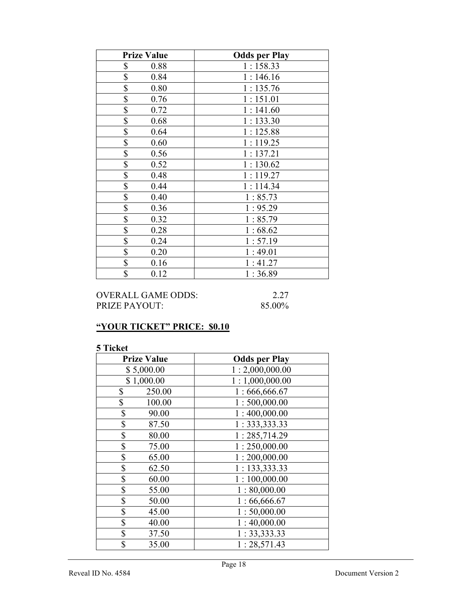| <b>Prize Value</b> | <b>Odds per Play</b> |
|--------------------|----------------------|
| \$<br>0.88         | 1:158.33             |
| \$<br>0.84         | 1:146.16             |
| \$<br>0.80         | 1:135.76             |
| \$<br>0.76         | 1:151.01             |
| \$<br>0.72         | 1:141.60             |
| \$<br>0.68         | 1:133.30             |
| \$<br>0.64         | 1:125.88             |
| \$<br>0.60         | 1:119.25             |
| \$<br>0.56         | 1:137.21             |
| \$<br>0.52         | 1:130.62             |
| \$<br>0.48         | 1:119.27             |
| \$<br>0.44         | 1:114.34             |
| \$<br>0.40         | 1:85.73              |
| \$<br>0.36         | 1:95.29              |
| \$<br>0.32         | 1:85.79              |
| \$<br>0.28         | 1:68.62              |
| \$<br>0.24         | 1:57.19              |
| \$<br>0.20         | 1:49.01              |
| \$<br>0.16         | 1:41.27              |
| \$<br>0.12         | 1:36.89              |

OVERALL GAME ODDS: 2.27 PRIZE PAYOUT: 85.00%

## "YOUR TICKET" PRICE: \$0.10

| <b>Prize Value</b> | <b>Odds per Play</b> |
|--------------------|----------------------|
| \$5,000.00         | 1:2,000,000.00       |
| \$1,000.00         | 1:1,000,000.00       |
| \$<br>250.00       | 1:666,666.67         |
| \$<br>100.00       | 1:500,000.00         |
| \$<br>90.00        | 1:400,000.00         |
| \$<br>87.50        | 1: 333, 333.33       |
| \$<br>80.00        | 1:285,714.29         |
| \$<br>75.00        | 1:250,000.00         |
| \$<br>65.00        | 1:200,000.00         |
| \$<br>62.50        | 1: 133,333.33        |
| \$<br>60.00        | 1:100,000.00         |
| \$<br>55.00        | 1:80,000.00          |
| \$<br>50.00        | 1:66,666.67          |
| \$<br>45.00        | 1:50,000.00          |
| \$<br>40.00        | 1:40,000.00          |
| \$<br>37.50        | 1: 33,333.33         |
| \$<br>35.00        | 1:28,571.43          |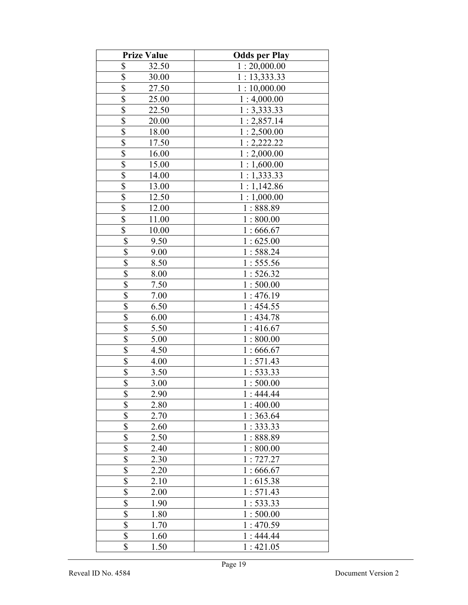| <b>Prize Value</b>              | <b>Odds per Play</b> |
|---------------------------------|----------------------|
| \$<br>32.50                     | 1:20,000.00          |
| \$<br>30.00                     | 1: 13,333.33         |
| \$<br>27.50                     | 1:10,000.00          |
| \$<br>25.00                     | 1:4,000.00           |
| \$<br>22.50                     | 1:3,333.33           |
| \$<br>20.00                     | 1:2,857.14           |
| \$<br>18.00                     | 1:2,500.00           |
| \$<br>17.50                     | 1:2,222.22           |
| \$<br>16.00                     | 1:2,000.00           |
| \$<br>15.00                     | 1:1,600.00           |
| $\overline{\$}$<br>14.00        | 1:1,333.33           |
| $\overline{\$}$<br>13.00        | 1:1,142.86           |
| \$<br>12.50                     | 1:1,000.00           |
| \$<br>12.00                     | 1:888.89             |
| \$<br>11.00                     | 1:800.00             |
| \$<br>10.00                     | 1:666.67             |
| \$<br>9.50                      | 1:625.00             |
| \$<br>9.00                      | 1:588.24             |
| $\overline{\$}$<br>8.50         | 1:555.56             |
| $\overline{\$}$<br>8.00         | 1:526.32             |
| \$<br>7.50                      | 1:500.00             |
| \$<br>7.00                      | 1:476.19             |
| $\overline{\mathbb{S}}$<br>6.50 | 1:454.55             |
| \$<br>6.00                      | 1:434.78             |
| \$<br>5.50                      | 1:416.67             |
| $\overline{\$}$<br>5.00         | 1:800.00             |
| $\overline{\$}$<br>4.50         | 1:666.67             |
| 4.00                            | 1:571.43             |
| $rac{1}{3}$<br>3.50             | 1:533.33             |
| $\overline{\$}$<br>3.00         | 1:500.00             |
| \$<br>2.90                      | 1:444.44             |
| \$<br>2.80                      | 1:400.00             |
| $\overline{\mathbb{S}}$<br>2.70 | 1:363.64             |
| \$<br>2.60                      | 1:333.33             |
| \$<br>2.50                      | 1:888.89             |
| \$<br>2.40                      | 1:800.00             |
| \$<br>2.30                      | 1:727.27             |
| \$<br>2.20                      | 1:666.67             |
| \$<br>2.10                      | 1:615.38             |
| $\overline{\$}$<br>2.00         | 1:571.43             |
| \$<br>1.90                      | 1:533.33             |
| $\overline{\$}$<br>1.80         | 1:500.00             |
| $\overline{\$}$<br>1.70         | 1:470.59             |
| $\overline{\mathbb{S}}$<br>1.60 | 1:444.44             |
| \$<br>1.50                      | 1:421.05             |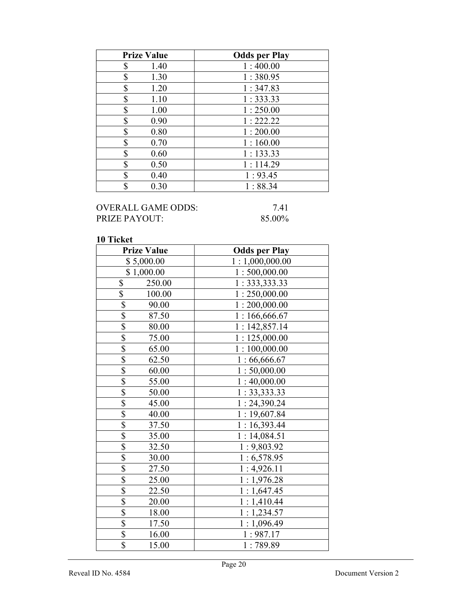| <b>Prize Value</b> | <b>Odds per Play</b> |
|--------------------|----------------------|
| \$<br>1.40         | 1:400.00             |
| \$<br>1.30         | 1:380.95             |
| \$<br>1.20         | 1:347.83             |
| \$<br>1.10         | 1:333.33             |
| \$<br>1.00         | 1:250.00             |
| \$<br>0.90         | 1:222.22             |
| \$<br>0.80         | 1:200.00             |
| \$<br>0.70         | 1:160.00             |
| \$<br>0.60         | 1:133.33             |
| \$<br>0.50         | 1:114.29             |
| \$<br>0.40         | 1:93.45              |
| \$<br>0.30         | 1:88.34              |

# OVERALL GAME ODDS: 7.41<br>PRIZE PAYOUT: 85.00% PRIZE PAYOUT:

| <b>Prize Value</b>               | <b>Odds per Play</b> |
|----------------------------------|----------------------|
| \$5,000.00                       | 1:1,000,000.00       |
| \$1,000.00                       | 1:500,000.00         |
| \$<br>250.00                     | 1: 333, 333.33       |
| \$<br>100.00                     | 1:250,000.00         |
| \$<br>90.00                      | 1:200,000.00         |
| \$<br>87.50                      | 1:166,666.67         |
| $\overline{\$}$<br>80.00         | 1:142,857.14         |
| $\overline{\mathbb{S}}$<br>75.00 | 1:125,000.00         |
| \$<br>65.00                      | 1:100,000.00         |
| \$<br>62.50                      | 1:66,666.67          |
| $\overline{\$}$<br>60.00         | 1:50,000.00          |
| $\overline{\$}$<br>55.00         | 1:40,000.00          |
| \$<br>50.00                      | 1: 33,333.33         |
| \$<br>45.00                      | 1: 24,390.24         |
| \$<br>40.00                      | 1:19,607.84          |
| $\overline{\mathbb{S}}$<br>37.50 | 1:16,393.44          |
| $\overline{\$}$<br>35.00         | 1:14,084.51          |
| $\overline{\$}$<br>32.50         | 1:9,803.92           |
| \$<br>30.00                      | 1:6,578.95           |
| $\overline{\$}$<br>27.50         | 1:4,926.11           |
| \$<br>25.00                      | 1:1,976.28           |
| \$<br>22.50                      | 1:1,647.45           |
| $\overline{\$}$<br>20.00         | 1:1,410.44           |
| $\overline{\$}$<br>18.00         | 1:1,234.57           |
| $\overline{\$}$<br>17.50         | 1:1,096.49           |
| \$<br>16.00                      | 1:987.17             |
| $\overline{\mathbb{S}}$<br>15.00 | 1:789.89             |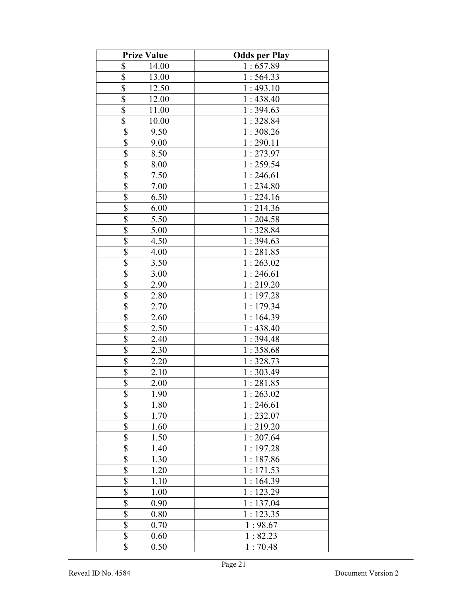| <b>Prize Value</b>                 | <b>Odds per Play</b> |
|------------------------------------|----------------------|
| \$<br>14.00                        | 1:657.89             |
| \$<br>13.00                        | 1:564.33             |
| \$<br>12.50                        | 1:493.10             |
| \$<br>12.00                        | 1:438.40             |
| \$<br>11.00                        | 1:394.63             |
| \$<br>10.00                        | 1:328.84             |
| \$<br>9.50                         | 1:308.26             |
| \$<br>9.00                         | 1:290.11             |
| \$<br>8.50                         | 1:273.97             |
| $\overline{\mathcal{S}}$<br>8.00   | 1:259.54             |
| $\overline{\mathbb{S}}$<br>7.50    | 1:246.61             |
| $\overline{\mathbb{S}}$<br>7.00    | 1:234.80             |
| $\overline{\mathbb{S}}$<br>6.50    | 1:224.16             |
| $\overline{\mathbb{S}}$<br>6.00    | 1:214.36             |
| $\overline{\mathbb{S}}$<br>5.50    | 1:204.58             |
| $\overline{\$}$<br>5.00            | 1:328.84             |
| \$<br>4.50                         | 1:394.63             |
| \$<br>4.00                         | 1:281.85             |
| \$<br>3.50                         | 1:263.02             |
| $\overline{\mathbb{S}}$<br>3.00    | 1:246.61             |
| \$<br>2.90                         | 1:219.20             |
| \$<br>2.80                         | 1:197.28             |
| $\overline{\mathbb{S}}$<br>2.70    | 1:179.34             |
| $\overline{\$}$<br>2.60            | 1:164.39             |
| \$<br>2.50                         | 1:438.40             |
| $\overline{\mathbb{S}}$<br>2.40    | 1:394.48             |
| $\overline{\mathcal{S}}$<br>2.30   | 1:358.68             |
| $\overline{\mathbb{S}}$<br>2.20    | 1:328.73             |
| $\overline{\$}$<br>2.10            | 1:303.49             |
| $\overline{\$}$<br>2.00            | 1:281.85             |
| \$<br>1.90                         | 1:263.02             |
| \$<br>1.80                         | 1:246.61             |
| $\overline{\mathbb{S}}$<br>1.70    | 1:232.07             |
| \$<br>1.60                         | 1:219.20             |
| \$<br>1.50                         | 1:207.64             |
| \$<br>1.40                         | 1:197.28             |
| \$<br>1.30                         | 1:187.86             |
| \$<br>1.20                         | 1:171.53             |
| \$<br>1.10                         | 1:164.39             |
| $\overline{\mathbb{S}}$<br>1.00    | 1:123.29             |
| \$<br>0.90                         | 1:137.04             |
| $\overline{\overline{\$}}$<br>0.80 | 1:123.35             |
| $\overline{\$}$<br>0.70            | 1:98.67              |
| \$<br>0.60                         | 1:82.23              |
| \$<br>0.50                         | 1:70.48              |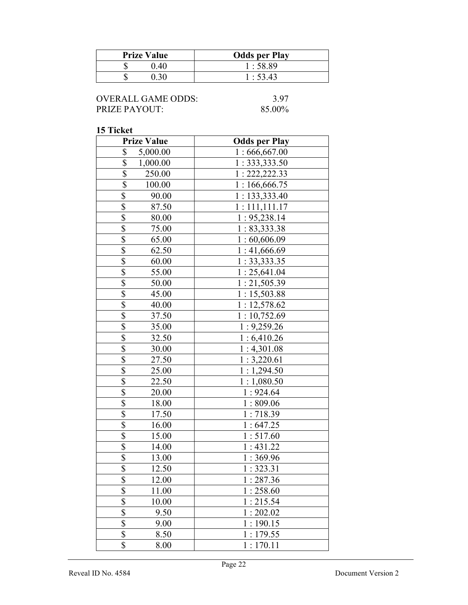| <b>Prize Value</b> | <b>Odds per Play</b> |
|--------------------|----------------------|
| 40                 | 1:58.89              |
|                    | 1:53.43              |

| <b>OVERALL GAME ODDS:</b> |
|---------------------------|
| <b>PRIZE PAYOUT:</b>      |

3.97 85.00%

| <b>Prize Value</b>               | <b>Odds per Play</b> |
|----------------------------------|----------------------|
| \$<br>5,000.00                   | 1:666,667.00         |
| \$<br>1,000.00                   | 1:333,333.50         |
| \$<br>250.00                     | 1: 222, 222.33       |
| \$<br>100.00                     | 1:166,666.75         |
| \$<br>90.00                      | 1: 133,333.40        |
| \$<br>87.50                      | 1:111,111.17         |
| \$<br>80.00                      | 1: 95,238.14         |
| \$<br>75.00                      | 1:83,333.38          |
| \$<br>65.00                      | 1:60,606.09          |
| \$<br>62.50                      | 1:41,666.69          |
| \$<br>60.00                      | 1:33,333.35          |
| $\overline{\$}$<br>55.00         | 1:25,641.04          |
| \$<br>50.00                      | 1:21,505.39          |
| $\overline{\$}$<br>45.00         | 1:15,503.88          |
| \$<br>40.00                      | 1:12,578.62          |
| \$<br>37.50                      | 1:10,752.69          |
| \$<br>35.00                      | 1:9,259.26           |
| $\overline{\mathbb{S}}$<br>32.50 | 1:6,410.26           |
| \$<br>30.00                      | 1:4,301.08           |
| \$<br>27.50                      | 1:3,220.61           |
| \$<br>25.00                      | 1:1,294.50           |
| \$<br>22.50                      | 1:1,080.50           |
| \$<br>20.00                      | 1:924.64             |
| \$<br>18.00                      | 1:809.06             |
| $\overline{\$}$<br>17.50         | 1:718.39             |
| $\overline{\$}$<br>16.00         | 1:647.25             |
| $\overline{\$}$<br>15.00         | 1:517.60             |
| $\overline{\$}$<br>14.00         | 1:431.22             |
| $\overline{\$}$<br>13.00         | 1:369.96             |
| $\overline{\$}$<br>12.50         | 1:323.31             |
| <b>ሰ</b><br>12.00<br>Φ           | 1:287.36             |
| \$<br>11.00                      | 1:258.60             |
| \$<br>10.00                      | 1:215.54             |
| \$<br>9.50                       | 1:202.02             |
| \$<br>9.00                       | 1:190.15             |
| \$<br>8.50                       | 1:179.55             |
| \$<br>8.00                       | 1:170.11             |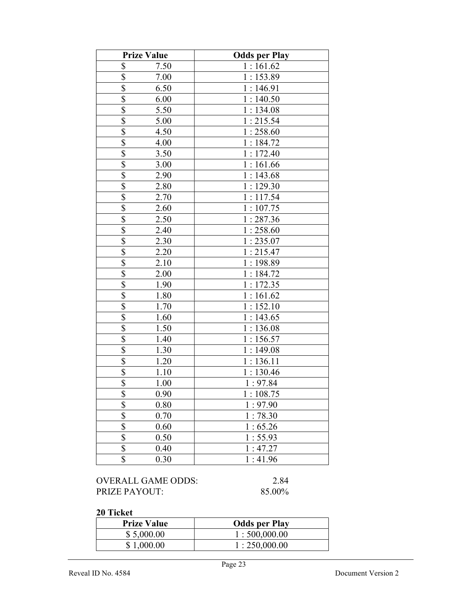|                           | <b>Prize Value</b> | <b>Odds per Play</b> |
|---------------------------|--------------------|----------------------|
| \$                        | 7.50               | 1:161.62             |
| $\boldsymbol{\mathsf{S}}$ | 7.00               | 1:153.89             |
| $\overline{\$}$           | 6.50               | 1:146.91             |
| $\overline{\$}$           | 6.00               | 1:140.50             |
| \$                        | 5.50               | 1:134.08             |
| \$                        | 5.00               | 1:215.54             |
| $\overline{\mathcal{S}}$  | 4.50               | 1:258.60             |
| $\overline{\$}$           | 4.00               | 1:184.72             |
| $\overline{\$}$           | 3.50               | 1:172.40             |
| \$                        | 3.00               | 1:161.66             |
| \$                        | 2.90               | 1:143.68             |
| $\overline{\mathcal{S}}$  | 2.80               | 1:129.30             |
| \$                        | 2.70               | 1:117.54             |
| \$                        | 2.60               | 1:107.75             |
| \$                        | 2.50               | 1:287.36             |
| $\overline{\$}$           | 2.40               | 1:258.60             |
| \$                        | 2.30               | 1:235.07             |
| $\overline{\$}$           | 2.20               | 1:215.47             |
| $\overline{\mathbb{S}}$   | 2.10               | 1:198.89             |
| $\overline{\mathbb{S}}$   | 2.00               | 1:184.72             |
| $\overline{\$}$           | 1.90               | 1:172.35             |
| \$                        | 1.80               | 1:161.62             |
| \$                        | 1.70               | 1:152.10             |
| \$                        | 1.60               | 1:143.65             |
| \$                        | 1.50               | 1:136.08             |
| \$                        | 1.40               | 1:156.57             |
| \$                        | 1.30               | 1:149.08             |
| \$                        | 1.20               | 1:136.11             |
| \$                        | 1.10               | 1:130.46             |
| \$                        | 1.00               | 1:97.84              |
| \$                        | 0.90               | 1:108.75             |
| $\overline{\$}$           | 0.80               | 1:97.90              |
| $\overline{\$}$           | 0.70               | 1:78.30              |
| $\overline{\$}$           | 0.60               | 1:65.26              |
| $\overline{\$}$           | 0.50               | 1:55.93              |
| \$                        | 0.40               | 1:47.27              |
| \$                        | 0.30               | 1:41.96              |

OVERALL GAME ODDS: 2.84<br>PRIZE PAYOUT: 85.00% PRIZE PAYOUT:

| <b>Prize Value</b> | <b>Odds per Play</b> |
|--------------------|----------------------|
| \$5,000.00         | 1:500,000.00         |
| \$1,000.00         | 1:250,000.00         |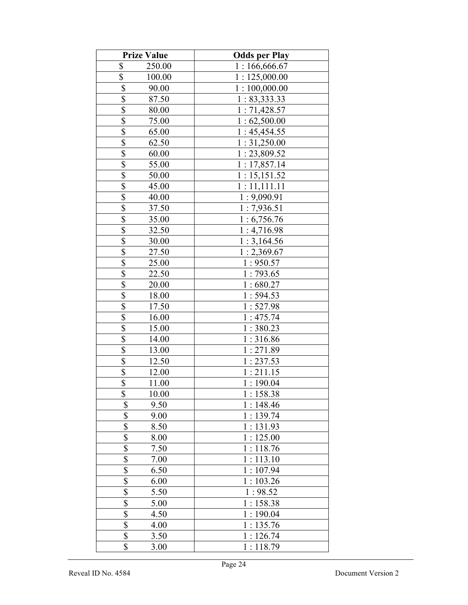|                         | <b>Prize Value</b> | <b>Odds per Play</b> |
|-------------------------|--------------------|----------------------|
| \$                      | 250.00             | 1:166,666.67         |
| \$                      | 100.00             | 1:125,000.00         |
| \$                      | 90.00              | 1:100,000.00         |
| \$                      | 87.50              | 1: 83,333.33         |
| \$                      | 80.00              | 1:71,428.57          |
| \$                      | 75.00              | 1:62,500.00          |
| \$                      | 65.00              | 1:45,454.55          |
| \$                      | 62.50              | 1:31,250.00          |
| \$                      | 60.00              | 1:23,809.52          |
| \$                      | 55.00              | 1:17,857.14          |
| $\overline{\$}$         | 50.00              | 1:15,151.52          |
| $\overline{\$}$         | 45.00              | 1:11,111.11          |
| \$                      | 40.00              | 1:9,090.91           |
| \$                      | 37.50              | 1:7,936.51           |
| \$                      | 35.00              | 1:6,756.76           |
| \$                      | 32.50              | 1:4,716.98           |
| \$                      | 30.00              | 1:3,164.56           |
| \$                      | 27.50              | 1:2,369.67           |
| \$                      | 25.00              | 1:950.57             |
| \$                      | 22.50              | 1:793.65             |
| \$                      | 20.00              | 1:680.27             |
| \$                      | 18.00              | 1:594.53             |
| \$                      | 17.50              | 1:527.98             |
| $\overline{\$}$         | 16.00              | 1:475.74             |
| $\overline{\$}$         | 15.00              | 1:380.23             |
| \$                      | 14.00              | 1:316.86             |
| \$                      | 13.00              | 1:271.89             |
| $\overline{\mathbb{S}}$ | 12.50              | 1:237.53             |
| \$                      | 12.00              | 1:211.15             |
| $\overline{\$}$         | 11.00              | 1:190.04             |
| \$                      | 10.00              | 1:158.38             |
| \$                      | 9.50               | 1:148.46             |
| $\overline{\$}$         | 9.00               | 1:139.74             |
| \$                      | 8.50               | 1:131.93             |
| \$                      | 8.00               | 1:125.00             |
| \$                      | 7.50               | 1:118.76             |
| \$                      | 7.00               | 1:113.10             |
| \$                      | 6.50               | 1:107.94             |
| \$                      | 6.00               | 1:103.26             |
| $\overline{\$}$         | 5.50               | 1:98.52              |
| \$                      | 5.00               | 1:158.38             |
| $\overline{\$}$         | 4.50               | 1:190.04             |
| $\overline{\$}$         | 4.00               | 1:135.76             |
| $\overline{\mathbb{S}}$ | 3.50               | 1:126.74             |
| \$                      | 3.00               | 1:118.79             |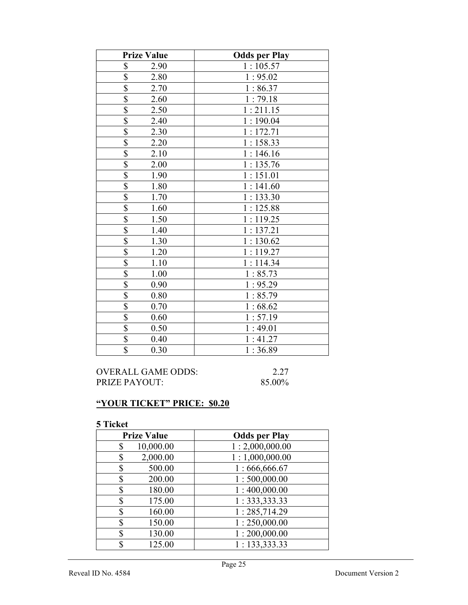| <b>Prize Value</b>                | <b>Odds per Play</b> |
|-----------------------------------|----------------------|
| \$<br>2.90                        | 1:105.57             |
| \$<br>2.80                        | 1:95.02              |
| \$<br>2.70                        | 1:86.37              |
| $\overline{\$}$<br>2.60           | 1:79.18              |
| $\overline{\mathbb{S}}$<br>2.50   | 1:211.15             |
| \$<br>2.40                        | 1:190.04             |
| $\overline{\$}$<br>2.30           | 1:172.71             |
| $\overline{\$}$<br>2.20           | 1:158.33             |
| \$<br>2.10                        | 1:146.16             |
| \$<br>2.00                        | 1:135.76             |
| \$<br>1.90                        | 1:151.01             |
| $\overline{\$}$<br>1.80           | 1:141.60             |
| $\boldsymbol{\mathsf{S}}$<br>1.70 | 1:133.30             |
| \$<br>1.60                        | 1:125.88             |
| $\overline{\$}$<br>1.50           | 1:119.25             |
| \$<br>1.40                        | 1:137.21             |
| \$<br>1.30                        | 1:130.62             |
| \$<br>1.20                        | 1:119.27             |
| $rac{1}{s}$<br>1.10               | 1:114.34             |
| 1.00                              | 1:85.73              |
| \$<br>0.90                        | 1:95.29              |
| $rac{1}{3}$<br>0.80               | 1:85.79              |
| 0.70                              | 1:68.62              |
| \$<br>0.60                        | 1:57.19              |
| $\overline{\$}$<br>0.50           | 1:49.01              |
| \$<br>0.40                        | 1:41.27              |
| \$<br>0.30                        | 1:36.89              |

| OVERALL GAME ODDS:   | 2.27   |
|----------------------|--------|
| <b>PRIZE PAYOUT:</b> | 85.00% |

# "YOUR TICKET" PRICE: \$0.20

| <b>Prize Value</b> | <b>Odds per Play</b> |
|--------------------|----------------------|
| 10,000.00<br>\$    | 1:2,000,000.00       |
| 2,000.00<br>\$     | 1:1,000,000.00       |
| 500.00<br>\$       | 1:666,666.67         |
| 200.00<br>\$       | 1:500,000.00         |
| 180.00<br>\$       | 1:400,000.00         |
| 175.00<br>\$       | 1:333,333.33         |
| 160.00<br>\$       | 1:285,714.29         |
| 150.00<br>\$       | 1:250,000.00         |
| 130.00<br>\$       | 1:200,000.00         |
| 125.00<br>\$       | 1: 133, 333.33       |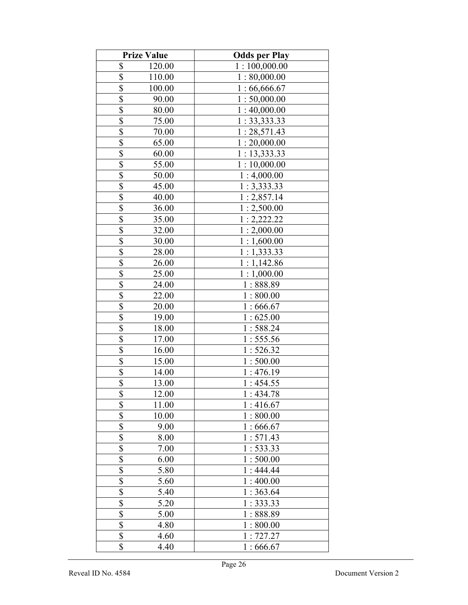|                         | <b>Prize Value</b> | <b>Odds per Play</b> |
|-------------------------|--------------------|----------------------|
| \$                      | 120.00             | 1:100,000.00         |
| \$                      | 110.00             | 1:80,000.00          |
| \$                      | 100.00             | 1:66,666.67          |
| \$                      | 90.00              | 1:50,000.00          |
| \$                      | 80.00              | 1:40,000.00          |
| \$                      | 75.00              | 1: 33, 333.33        |
| \$                      | 70.00              | 1:28,571.43          |
| \$                      | 65.00              | 1:20,000.00          |
| \$                      | 60.00              | 1:13,333.33          |
| \$                      | 55.00              | 1:10,000.00          |
| $\overline{\$}$         | 50.00              | 1:4,000.00           |
| $\overline{\$}$         | 45.00              | 1:3,333.33           |
| \$                      | 40.00              | 1:2,857.14           |
| $\overline{\mathbb{S}}$ | 36.00              | 1:2,500.00           |
| \$                      | 35.00              | 1:2,222.22           |
| $\overline{\$}$         | 32.00              | 1:2,000.00           |
| \$                      | 30.00              | 1:1,600.00           |
| \$                      | 28.00              | 1:1,333.33           |
| \$                      | 26.00              | 1:1,142.86           |
| $\overline{\$}$         | 25.00              | 1:1,000.00           |
| \$                      | 24.00              | 1:888.89             |
| \$                      | 22.00              | 1:800.00             |
| $\overline{\$}$         | 20.00              | 1:666.67             |
| $\overline{\$}$         | 19.00              | 1:625.00             |
| $\overline{\$}$         | 18.00              | 1:588.24             |
| \$                      | 17.00              | 1:555.56             |
| $\overline{\$}$         | 16.00              | 1:526.32             |
| $\overline{\mathbb{S}}$ | 15.00              | 1:500.00             |
| \$                      | 14.00              | 1:476.19             |
| $\overline{\$}$         | 13.00              | 1:454.55             |
| \$                      | 12.00              | 1:434.78             |
| \$                      | 11.00              | 1:416.67             |
| $\overline{\$}$         | 10.00              | 1:800.00             |
| \$                      | 9.00               | 1:666.67             |
| \$                      | 8.00               | 1:571.43             |
| \$                      | 7.00               | 1:533.33             |
| \$                      | 6.00               | 1:500.00             |
| \$                      | 5.80               | 1:444.44             |
| \$                      | 5.60               | 1:400.00             |
| $\overline{\$}$         | 5.40               | 1:363.64             |
| \$                      | 5.20               | 1:333.33             |
| $\overline{\$}$         | 5.00               | 1:888.89             |
| $\overline{\$}$         | 4.80               | 1:800.00             |
| $\overline{\mathbb{S}}$ | 4.60               | 1:727.27             |
| \$                      | 4.40               | 1:666.67             |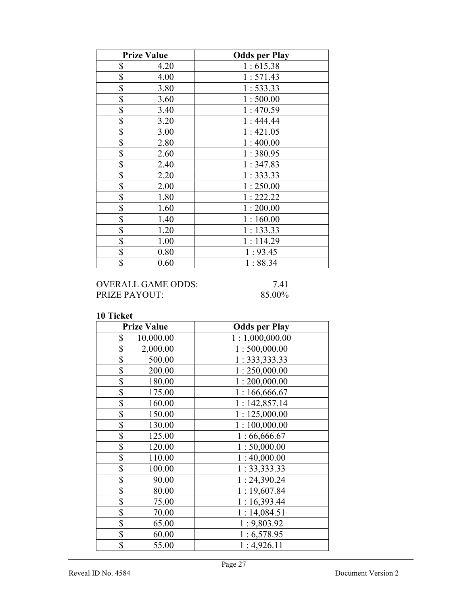| <b>Prize Value</b> | <b>Odds per Play</b> |
|--------------------|----------------------|
| \$<br>4.20         | 1:615.38             |
| \$<br>4.00         | 1:571.43             |
| \$<br>3.80         | 1:533.33             |
| \$<br>3.60         | 1:500.00             |
| \$<br>3.40         | 1:470.59             |
| \$<br>3.20         | 1:444.44             |
| \$<br>3.00         | 1:421.05             |
| \$<br>2.80         | 1:400.00             |
| \$<br>2.60         | 1:380.95             |
| \$<br>2.40         | 1:347.83             |
| \$<br>2.20         | 1:333.33             |
| \$<br>2.00         | 1:250.00             |
| \$<br>1.80         | 1:222.22             |
| \$<br>1.60         | 1:200.00             |
| \$<br>1.40         | 1:160.00             |
| \$<br>1.20         | 1:133.33             |
| \$<br>1.00         | 1:114.29             |
| \$<br>0.80         | 1:93.45              |
| \$<br>0.60         | 1:88.34              |

## OVERALL GAME ODDS: 7.41<br>PRIZE PAYOUT: 85.00% PRIZE PAYOUT:

| <b>Prize Value</b> | <b>Odds per Play</b> |
|--------------------|----------------------|
| \$<br>10,000.00    | 1:1,000,000.00       |
| \$<br>2,000.00     | 1:500,000.00         |
| \$<br>500.00       | 1: 333, 333.33       |
| \$<br>200.00       | 1:250,000.00         |
| \$<br>180.00       | 1:200,000.00         |
| \$<br>175.00       | 1:166,666.67         |
| \$<br>160.00       | 1:142,857.14         |
| \$<br>150.00       | 1:125,000.00         |
| \$<br>130.00       | 1:100,000.00         |
| \$<br>125.00       | 1:66,666.67          |
| \$<br>120.00       | 1:50,000.00          |
| \$<br>110.00       | 1:40,000.00          |
| \$<br>100.00       | 1: 33,333.33         |
| \$<br>90.00        | 1:24,390.24          |
| \$<br>80.00        | 1:19,607.84          |
| \$<br>75.00        | 1:16,393.44          |
| \$<br>70.00        | 1:14,084.51          |
| \$<br>65.00        | 1:9,803.92           |
| \$<br>60.00        | 1:6,578.95           |
| \$<br>55.00        | 1:4,926.11           |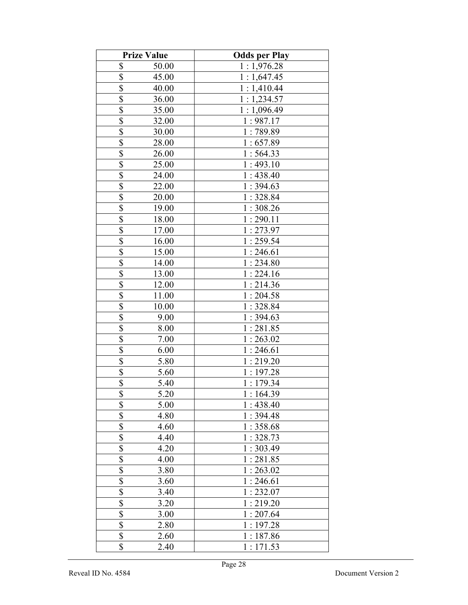|                          | <b>Prize Value</b> | <b>Odds per Play</b> |
|--------------------------|--------------------|----------------------|
| \$                       | 50.00              | 1:1,976.28           |
| \$                       | 45.00              | 1:1,647.45           |
| \$                       | 40.00              | 1:1,410.44           |
| \$                       | 36.00              | 1:1,234.57           |
| \$                       | 35.00              | 1:1,096.49           |
| \$                       | 32.00              | 1:987.17             |
| \$                       | 30.00              | 1:789.89             |
| \$                       | 28.00              | 1:657.89             |
| \$                       | 26.00              | 1:564.33             |
| \$                       | 25.00              | 1:493.10             |
| $\overline{\$}$          | 24.00              | 1:438.40             |
| $\overline{\$}$          | 22.00              | 1:394.63             |
| \$                       | 20.00              | 1:328.84             |
| $\overline{\mathbb{S}}$  | 19.00              | 1:308.26             |
| \$                       | 18.00              | 1:290.11             |
| \$                       | 17.00              | 1:273.97             |
| \$                       | 16.00              | 1:259.54             |
| \$                       | 15.00              | 1:246.61             |
| \$                       | 14.00              | 1:234.80             |
| $\overline{\$}$          | 13.00              | 1:224.16             |
| \$                       | 12.00              | 1:214.36             |
| \$                       | 11.00              | 1:204.58             |
| \$                       | 10.00              | 1:328.84             |
| $\overline{\$}$          | 9.00               | 1:394.63             |
| $\overline{\$}$          | 8.00               | 1:281.85             |
| \$                       | 7.00               | 1:263.02             |
| $\overline{\$}$          | 6.00               | 1:246.61             |
| $\overline{\mathbb{S}}$  | 5.80               | 1:219.20             |
| \$                       | 5.60               | 1:197.28             |
| $\overline{\$}$          | 5.40               | 1:179.34             |
| \$                       | 5.20               | 1:164.39             |
| \$                       | 5.00               | 1:438.40             |
| $\overline{\$}$          | 4.80               | 1:394.48             |
| \$                       | 4.60               | 1:358.68             |
| \$                       | 4.40               | 1:328.73             |
| \$                       | 4.20               | 1:303.49             |
| \$                       | 4.00               | 1:281.85             |
| \$                       | 3.80               | 1:263.02             |
| \$                       | 3.60               | 1:246.61             |
| $\overline{\mathcal{S}}$ | 3.40               | 1:232.07             |
| \$                       | 3.20               | 1:219.20             |
| $\overline{\$}$          | 3.00               | 1:207.64             |
| $\overline{\$}$          | 2.80               | 1:197.28             |
| $\overline{\mathbb{S}}$  | 2.60               | 1:187.86             |
| \$                       | 2.40               | 1:171.53             |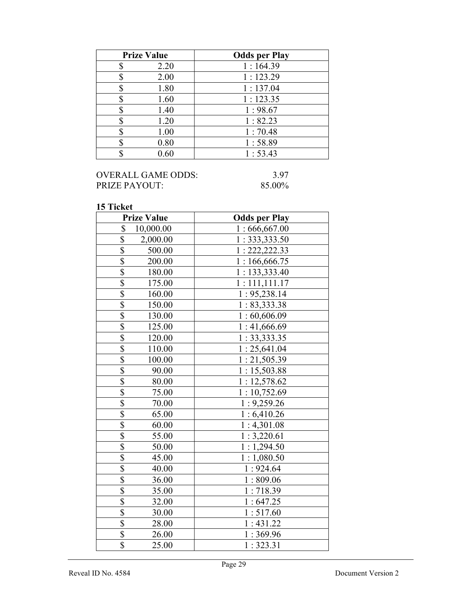| <b>Prize Value</b> | <b>Odds per Play</b> |
|--------------------|----------------------|
| 2.20               | 1:164.39             |
| 2.00               | 1:123.29             |
| 1.80               | 1:137.04             |
| 1.60               | 1:123.35             |
| 1.40               | 1:98.67              |
| 1.20               | 1:82.23              |
| 1.00               | 1:70.48              |
| 0.80               | 1:58.89              |
| 0.60               | 1:53.43              |

## OVERALL GAME ODDS: 3.97<br>PRIZE PAYOUT: 85.00% PRIZE PAYOUT:

| <b>Prize Value</b>                    | <b>Odds per Play</b> |
|---------------------------------------|----------------------|
| \$<br>10,000.00                       | 1:666,667.00         |
| $\boldsymbol{\mathsf{S}}$<br>2,000.00 | 1: 333, 333.50       |
| \$<br>500.00                          | 1: 222, 222.33       |
| \$<br>200.00                          | 1:166,666.75         |
| $\overline{\mathbb{S}}$<br>180.00     | 1: 133,333.40        |
| $\frac{1}{3}$<br>175.00               | 1:111,111.17         |
| 160.00                                | 1: 95, 238.14        |
| \$<br>150.00                          | 1: 83,333.38         |
| \$<br>130.00                          | 1:60,606.09          |
| $\overline{\mathbb{S}}$<br>125.00     | 1:41,666.69          |
| $\frac{1}{2}$<br>120.00               | 1: 33,333.35         |
| $\frac{1}{3}$<br>110.00               | 1:25,641.04          |
| 100.00                                | 1:21,505.39          |
| $\overline{\$}$<br>90.00              | 1:15,503.88          |
| $\overline{\$}$<br>80.00              | 1:12,578.62          |
| $\overline{\$}$<br>75.00              | 1:10,752.69          |
| $\overline{\mathcal{S}}$<br>70.00     | 1:9,259.26           |
| $\overline{\$}$<br>65.00              | 1:6,410.26           |
| \$<br>60.00                           | 1:4,301.08           |
| $\overline{\$}$<br>55.00              | 1:3,220.61           |
| $\overline{\$}$<br>50.00              | 1:1,294.50           |
| $\overline{\$}$<br>45.00              | 1:1,080.50           |
| $\overline{\mathcal{S}}$<br>40.00     | 1:924.64             |
| $\overline{\mathbb{S}}$<br>36.00      | 1:809.06             |
| \$<br>35.00                           | 1:718.39             |
| $\overline{\$}$<br>32.00              | 1:647.25             |
| $\overline{\$}$<br>30.00              | 1:517.60             |
| $\overline{\$}$<br>28.00              | 1:431.22             |
| $\overline{\mathbb{S}}$<br>26.00      | 1:369.96             |
| $\overline{\$}$<br>25.00              | 1:323.31             |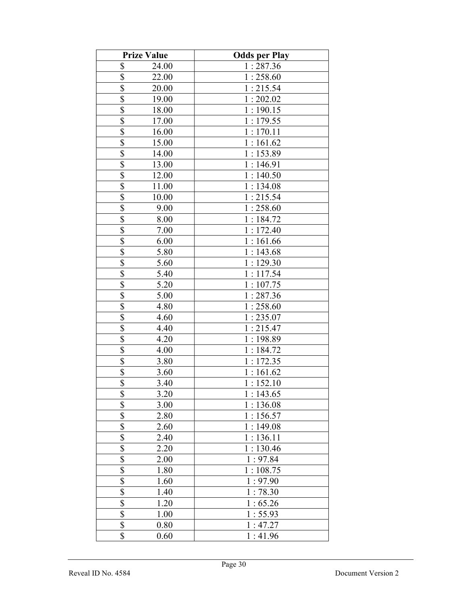|                         | <b>Prize Value</b> | <b>Odds per Play</b> |
|-------------------------|--------------------|----------------------|
| \$                      | 24.00              | 1:287.36             |
| \$                      | 22.00              | 1:258.60             |
| $\overline{\$}$         | 20.00              | 1:215.54             |
| $\overline{\$}$         | 19.00              | 1:202.02             |
| $\overline{\$}$         | 18.00              | 1:190.15             |
| $\overline{\mathbb{S}}$ | 17.00              | 1:179.55             |
| $rac{1}{s}$             | 16.00              | 1:170.11             |
|                         | 15.00              | 1:161.62             |
| $\overline{\$}$         | 14.00              | 1:153.89             |
| \$                      | 13.00              | 1:146.91             |
| \$                      | 12.00              | 1:140.50             |
| $\overline{\$}$         | 11.00              | 1:134.08             |
| \$                      | 10.00              | 1:215.54             |
| \$                      | 9.00               | 1:258.60             |
| \$                      | 8.00               | 1:184.72             |
| $\overline{\$}$         | 7.00               | 1:172.40             |
| $\overline{\mathbb{S}}$ | 6.00               | 1:161.66             |
| $\overline{\$}$         | 5.80               | 1:143.68             |
| $\overline{\$}$         | 5.60               | 1:129.30             |
| \$                      | 5.40               | 1:117.54             |
| $\overline{\$}$         | 5.20               | 1:107.75             |
| \$                      | 5.00               | 1:287.36             |
| \$                      | 4.80               | 1:258.60             |
| $\overline{\$}$         | 4.60               | 1:235.07             |
| \$                      | 4.40               | 1:215.47             |
| \$                      | 4.20               | 1:198.89             |
| \$                      | 4.00               | 1:184.72             |
| \$                      | 3.80               | 1:172.35             |
| \$                      | 3.60               | 1:161.62             |
| \$                      | 3.40               | 1:152.10             |
| \$                      | 3.20               | 1:143.65             |
| $\overline{\$}$         | 3.00               | 1:136.08             |
| $\overline{\$}$         | 2.80               | 1:156.57             |
| $\overline{\$}$         | 2.60               | 1:149.08             |
| $\overline{\$}$         | 2.40               | 1:136.11             |
| $\overline{\mathbb{S}}$ | 2.20               | 1:130.46             |
| $\overline{\$}$         | 2.00               | 1:97.84              |
| $\overline{\$}$         | 1.80               | 1:108.75             |
| $\overline{\$}$         | 1.60               | 1:97.90              |
| \$                      | 1.40               | 1:78.30              |
| \$                      | 1.20               | 1:65.26              |
| $\overline{\$}$         | 1.00               | 1:55.93              |
| \$                      | 0.80               | 1:47.27              |
| \$                      | 0.60               | 1:41.96              |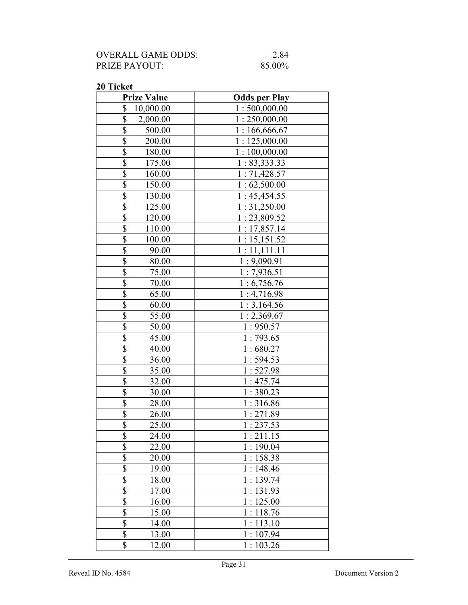| OVERALL GAME ODDS:   | 2.84   |
|----------------------|--------|
| <b>PRIZE PAYOUT:</b> | 85.00% |

| <b>Prize Value</b>       | <b>Odds per Play</b> |
|--------------------------|----------------------|
| \$<br>10,000.00          | 1:500,000.00         |
| \$<br>2,000.00           | 1:250,000.00         |
| \$<br>500.00             | 1:166,666.67         |
| \$<br>200.00             | 1:125,000.00         |
| \$<br>180.00             | 1:100,000.00         |
| \$<br>175.00             | 1: 83,333.33         |
| \$<br>160.00             | 1:71,428.57          |
| \$<br>150.00             | 1:62,500.00          |
| \$<br>130.00             | 1:45,454.55          |
| \$<br>125.00             | 1:31,250.00          |
| \$<br>120.00             | 1:23,809.52          |
| \$<br>110.00             | 1:17,857.14          |
| \$<br>100.00             | 1:15,151.52          |
| \$<br>90.00              | 1:11,111.11          |
| \$<br>80.00              | 1:9,090.91           |
| $\overline{\$}$<br>75.00 | 1:7,936.51           |
| $\overline{\$}$<br>70.00 | 1:6,756.76           |
| $\overline{\$}$<br>65.00 | 1:4,716.98           |
| \$<br>60.00              | 1:3,164.56           |
| \$<br>55.00              | 1:2,369.67           |
| \$<br>50.00              | 1:950.57             |
| \$<br>45.00              | 1:793.65             |
| \$<br>40.00              | 1:680.27             |
| \$<br>36.00              | 1:594.53             |
| \$<br>35.00              | 1:527.98             |
| \$<br>32.00              | 1:475.74             |
| \$<br>30.00              | 1:380.23             |
| \$<br>28.00              | 1:316.86             |
| $\overline{\$}$<br>26.00 | 1:271.89             |
| $\overline{\$}$<br>25.00 | 1:237.53             |
| \$<br>24.00              | 1:211.15             |
| $\overline{\$}$<br>22.00 | 1:190.04             |
| $\overline{\$}$<br>20.00 | 1:158.38             |
| $\overline{\$}$<br>19.00 | 1:148.46             |
| \$<br>18.00              | 1:139.74             |
| \$<br>17.00              | 1:131.93             |
| \$<br>16.00              | 1:125.00             |
| \$<br>15.00              | 1:118.76             |
| \$<br>14.00              | 1:113.10             |
| \$<br>13.00              | 1:107.94             |
| \$<br>12.00              | 1:103.26             |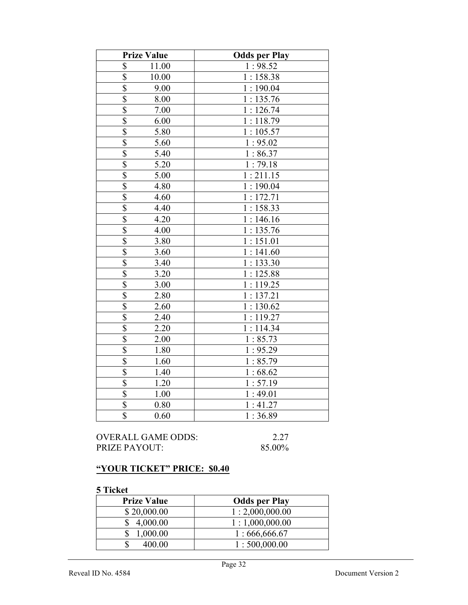| <b>Prize Value</b>              | <b>Odds per Play</b> |
|---------------------------------|----------------------|
| \$<br>11.00                     | 1:98.52              |
| \$<br>10.00                     | 1:158.38             |
| $\overline{\$}$<br>9.00         | 1:190.04             |
| \$<br>8.00                      | 1:135.76             |
| \$<br>7.00                      | 1:126.74             |
| $\overline{\$}$<br>6.00         | 1:118.79             |
| \$<br>5.80                      | 1:105.57             |
| $\overline{\mathbb{S}}$<br>5.60 | 1:95.02              |
| $\overline{\$}$<br>5.40         | 1:86.37              |
| $\overline{\$}$<br>5.20         | 1:79.18              |
| $\overline{\$}$<br>5.00         | 1:211.15             |
| $\overline{\$}$<br>4.80         | 1:190.04             |
| $\overline{\mathbb{S}}$<br>4.60 | 1:172.71             |
| $\overline{\$}$<br>4.40         | 1:158.33             |
| $\overline{\mathbb{S}}$<br>4.20 | 1:146.16             |
| $\overline{\$}$<br>4.00         | 1:135.76             |
| $\overline{\$}$<br>3.80         | 1:151.01             |
| $\overline{\$}$<br>3.60         | 1:141.60             |
| \$<br>3.40                      | 1:133.30             |
| $\overline{\$}$<br>3.20         | 1:125.88             |
| $\overline{\$}$<br>3.00         | 1:119.25             |
| \$<br>2.80                      | 1:137.21             |
| $\overline{\$}$<br>2.60         | 1:130.62             |
| \$<br>2.40                      | 1:119.27             |
| $\overline{\$}$<br>2.20         | 1:114.34             |
| $\overline{\$}$<br>2.00         | 1:85.73              |
| $\overline{\$}$<br>1.80         | 1:95.29              |
| $\overline{\$}$<br>1.60         | 1:85.79              |
| $\overline{\mathbb{S}}$<br>1.40 | 1:68.62              |
| $\overline{\$}$<br>1.20         | 1:57.19              |
| $\overline{\$}$<br>1.00         | 1:49.01              |
| $\overline{\$}$<br>0.80         | 1:41.27              |
| $\overline{\mathbb{S}}$<br>0.60 | 1:36.89              |

## OVERALL GAME ODDS: 2.27<br>PRIZE PAYOUT: 85.00% PRIZE PAYOUT:

## "YOUR TICKET" PRICE: \$0.40

| <b>Prize Value</b> | <b>Odds per Play</b> |
|--------------------|----------------------|
| \$20,000.00        | 1:2,000,000.00       |
| 4,000.00           | 1:1,000,000.00       |
| 1,000.00           | 1:666,666.67         |
| 400.00             | 1:500,000.00         |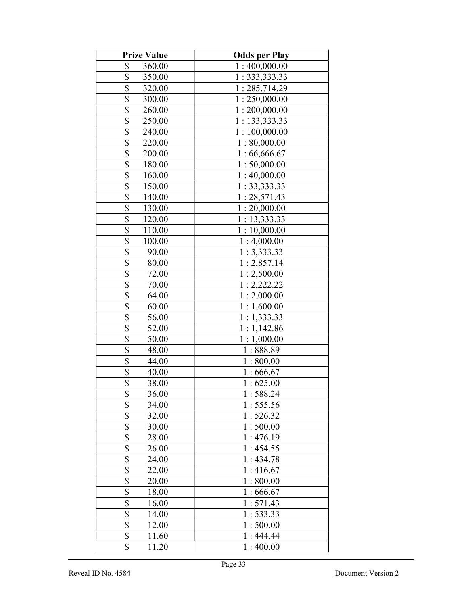| <b>Prize Value</b>                | <b>Odds per Play</b> |
|-----------------------------------|----------------------|
| \$<br>360.00                      | 1:400,000.00         |
| \$<br>350.00                      | 1:333,333.33         |
| \$<br>320.00                      | 1:285,714.29         |
| \$<br>300.00                      | 1:250,000.00         |
| \$<br>260.00                      | 1:200,000.00         |
| \$<br>250.00                      | 1: 133,333.33        |
| \$<br>240.00                      | 1:100,000.00         |
| \$<br>220.00                      | 1:80,000.00          |
| \$<br>200.00                      | 1:66,666.67          |
| \$<br>180.00                      | 1:50,000.00          |
| $\overline{\$}$<br>160.00         | 1:40,000.00          |
| $\overline{\$}$<br>150.00         | 1:33,333.33          |
| $\overline{\$}$<br>140.00         | 1:28,571.43          |
| \$<br>130.00                      | 1:20,000.00          |
| $\overline{\$}$<br>120.00         | 1:13,333.33          |
| \$<br>110.00                      | 1:10,000.00          |
| \$<br>100.00                      | 1:4,000.00           |
| \$<br>90.00                       | 1:3,333.33           |
| \$<br>80.00                       | 1:2,857.14           |
| $\overline{\$}$<br>72.00          | 1:2,500.00           |
| \$<br>70.00                       | 1:2,222.22           |
| \$<br>64.00                       | 1:2,000.00           |
| $\overline{\mathcal{S}}$<br>60.00 | 1:1,600.00           |
| $\overline{\$}$<br>56.00          | 1:1,333.33           |
| \$<br>52.00                       | 1:1,142.86           |
| $\overline{\$}$<br>50.00          | 1:1,000.00           |
| $\overline{\$}$<br>48.00          | 1:888.89             |
| $\overline{\mathbb{S}}$<br>44.00  | 1:800.00             |
| $\overline{\$}$<br>40.00          | 1:666.67             |
| $\overline{\$}$<br>38.00          | 1:625.00             |
| \$<br>36.00                       | 1:588.24             |
| \$<br>34.00                       | 1:555.56             |
| \$<br>32.00                       | 1:526.32             |
| \$<br>30.00                       | 1:500.00             |
| \$<br>28.00                       | 1:476.19             |
| \$<br>26.00                       | 1:454.55             |
| \$<br>24.00                       | 1:434.78             |
| \$<br>22.00                       | 1:416.67             |
| \$<br>20.00                       | 1:800.00             |
| \$<br>18.00                       | 1:666.67             |
| \$<br>16.00                       | 1:571.43             |
| \$<br>14.00                       | 1: 533.33            |
| \$<br>12.00                       | 1:500.00             |
| \$<br>11.60                       | 1:444.44             |
| \$<br>11.20                       | 1:400.00             |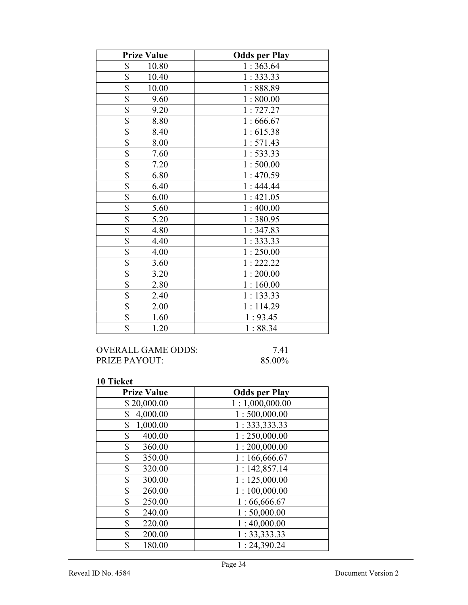| <b>Prize Value</b>               | <b>Odds per Play</b> |
|----------------------------------|----------------------|
| \$<br>10.80                      | 1:363.64             |
| $\overline{\mathbb{S}}$<br>10.40 | 1:333.33             |
| $\overline{\$}$<br>10.00         | 1:888.89             |
| $\overline{\$}$<br>9.60          | 1:800.00             |
| \$<br>9.20                       | 1:727.27             |
| \$<br>8.80                       | 1:666.67             |
| \$<br>8.40                       | 1:615.38             |
| \$<br>8.00                       | 1:571.43             |
| $\overline{\mathbb{S}}$<br>7.60  | 1:533.33             |
| \$<br>7.20                       | 1:500.00             |
| $\overline{\$}$<br>6.80          | 1:470.59             |
| $\overline{\$}$<br>6.40          | 1:444.44             |
| \$<br>6.00                       | 1:421.05             |
| \$<br>5.60                       | 1:400.00             |
| \$<br>5.20                       | 1:380.95             |
| $\overline{\$}$<br>4.80          | 1:347.83             |
| \$<br>4.40                       | 1:333.33             |
| \$<br>4.00                       | 1:250.00             |
| $\overline{\$}$<br>3.60          | 1:222.22             |
| \$<br>3.20                       | 1:200.00             |
| \$<br>2.80                       | 1:160.00             |
| $\overline{\$}$<br>2.40          | 1:133.33             |
| \$<br>2.00                       | 1:114.29             |
| $\overline{\$}$<br>1.60          | 1:93.45              |
| $\overline{\$}$<br>1.20          | 1:88.34              |

OVERALL GAME ODDS: 7.41<br>PRIZE PAYOUT: 85.00% PRIZE PAYOUT:

| <b>Prize Value</b> | <b>Odds per Play</b> |
|--------------------|----------------------|
| \$20,000.00        | 1:1,000,000.00       |
| 4,000.00<br>\$     | 1:500,000.00         |
| 1,000.00<br>\$     | 1: 333, 333.33       |
| \$<br>400.00       | 1:250,000.00         |
| \$<br>360.00       | 1:200,000.00         |
| \$<br>350.00       | 1:166,666.67         |
| \$<br>320.00       | 1:142,857.14         |
| \$<br>300.00       | 1:125,000.00         |
| \$<br>260.00       | 1:100,000.00         |
| \$<br>250.00       | 1:66,666.67          |
| \$<br>240.00       | 1:50,000.00          |
| \$<br>220.00       | 1:40,000.00          |
| \$<br>200.00       | 1: 33, 333.33        |
| \$<br>180.00       | 1:24,390.24          |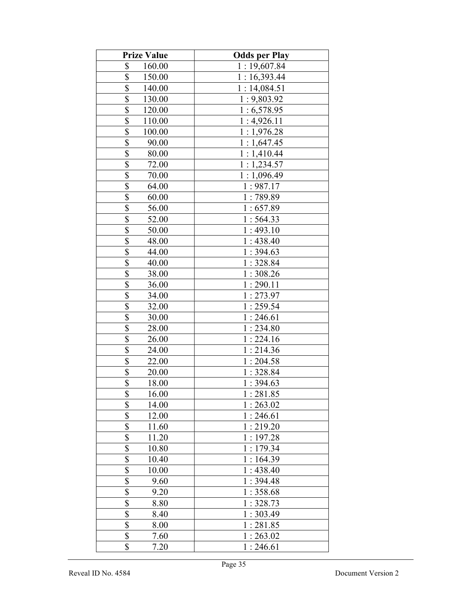| <b>Prize Value</b>                | <b>Odds per Play</b> |
|-----------------------------------|----------------------|
| \$<br>160.00                      | 1:19,607.84          |
| \$<br>150.00                      | 1:16,393.44          |
| \$<br>140.00                      | 1:14,084.51          |
| \$<br>130.00                      | 1:9,803.92           |
| \$<br>120.00                      | 1:6,578.95           |
| \$<br>110.00                      | 1:4,926.11           |
| \$<br>100.00                      | 1:1,976.28           |
| \$<br>90.00                       | 1:1,647.45           |
| \$<br>80.00                       | 1:1,410.44           |
| $\overline{\mathcal{S}}$<br>72.00 | 1:1,234.57           |
| $\overline{\$}$<br>70.00          | 1:1,096.49           |
| \$<br>64.00                       | 1:987.17             |
| $\overline{\$}$<br>60.00          | 1:789.89             |
| \$<br>56.00                       | 1:657.89             |
| $\overline{\mathbb{S}}$<br>52.00  | 1:564.33             |
| \$<br>50.00                       | 1:493.10             |
| \$<br>48.00                       | 1:438.40             |
| \$<br>44.00                       | 1:394.63             |
| \$<br>40.00                       | 1:328.84             |
| \$<br>38.00                       | 1:308.26             |
| \$<br>36.00                       | 1:290.11             |
| \$<br>34.00                       | 1:273.97             |
| $\overline{\mathcal{S}}$<br>32.00 | 1:259.54             |
| $\overline{\$}$<br>30.00          | 1:246.61             |
| $\overline{\$}$<br>28.00          | 1:234.80             |
| $\overline{\$}$<br>26.00          | 1:224.16             |
| \$<br>24.00                       | 1:214.36             |
| $\overline{\mathbb{S}}$<br>22.00  | 1:204.58             |
| \$<br>20.00                       | 1:328.84             |
| $\overline{\$}$<br>18.00          | 1:394.63             |
| \$<br>16.00                       | 1:281.85             |
| \$<br>14.00                       | 1:263.02             |
| \$<br>12.00                       | 1:246.61             |
| \$<br>11.60                       | 1:219.20             |
| \$<br>11.20                       | 1:197.28             |
| \$<br>10.80                       | 1:179.34             |
| \$<br>10.40                       | 1:164.39             |
| \$<br>10.00                       | 1:438.40             |
| \$<br>9.60                        | 1:394.48             |
| \$<br>9.20                        | 1:358.68             |
| $\overline{\$}$<br>8.80           | 1:328.73             |
| $\overline{\$}$<br>8.40           | 1:303.49             |
| $\overline{\$}$<br>8.00           | 1:281.85             |
| \$<br>7.60                        | 1:263.02             |
| \$<br>7.20                        | 1:246.61             |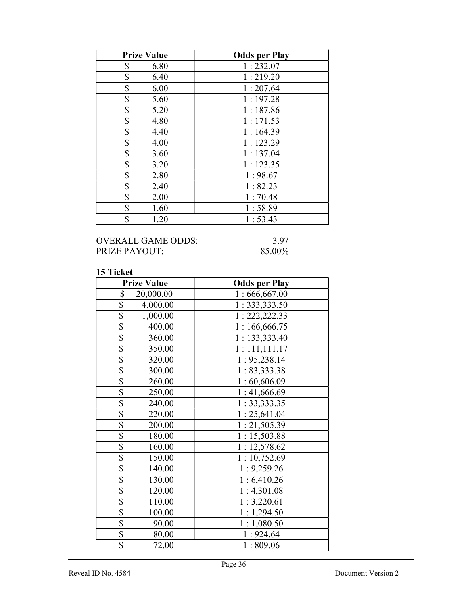| <b>Prize Value</b> | <b>Odds per Play</b> |
|--------------------|----------------------|
| \$<br>6.80         | 1:232.07             |
| \$<br>6.40         | 1:219.20             |
| \$<br>6.00         | 1:207.64             |
| \$<br>5.60         | 1:197.28             |
| \$<br>5.20         | 1:187.86             |
| \$<br>4.80         | 1:171.53             |
| \$<br>4.40         | 1:164.39             |
| \$<br>4.00         | 1:123.29             |
| \$<br>3.60         | 1:137.04             |
| \$<br>3.20         | 1:123.35             |
| \$<br>2.80         | 1:98.67              |
| \$<br>2.40         | 1:82.23              |
| \$<br>2.00         | 1:70.48              |
| \$<br>1.60         | 1:58.89              |
| \$<br>1.20         | 1:53.43              |

## OVERALL GAME ODDS: 3.97<br>PRIZE PAYOUT: 85.00% PRIZE PAYOUT:

| <b>Prize Value</b>        | <b>Odds per Play</b> |
|---------------------------|----------------------|
| \$<br>20,000.00           | 1:666,667.00         |
| \$<br>4,000.00            | 1:333,333.50         |
| \$<br>1,000.00            | 1: 222, 222.33       |
| \$<br>400.00              | 1:166,666.75         |
| \$<br>360.00              | 1:133,333.40         |
| \$<br>350.00              | 1:111,111.17         |
| \$<br>320.00              | 1: 95,238.14         |
| \$<br>300.00              | 1:83,333.38          |
| \$<br>260.00              | 1:60,606.09          |
| $\overline{\$}$<br>250.00 | 1:41,666.69          |
| \$<br>240.00              | 1:33,333.35          |
| \$<br>220.00              | 1:25,641.04          |
| \$<br>200.00              | 1:21,505.39          |
| \$<br>180.00              | 1:15,503.88          |
| \$<br>160.00              | 1:12,578.62          |
| $\overline{\$}$<br>150.00 | 1:10,752.69          |
| $\overline{\$}$<br>140.00 | 1:9,259.26           |
| $\overline{\$}$<br>130.00 | 1:6,410.26           |
| \$<br>120.00              | 1:4,301.08           |
| $\overline{\$}$<br>110.00 | 1:3,220.61           |
| \$<br>100.00              | 1:1,294.50           |
| \$<br>90.00               | 1:1,080.50           |
| $\overline{\$}$<br>80.00  | 1:924.64             |
| $\overline{\$}$<br>72.00  | 1:809.06             |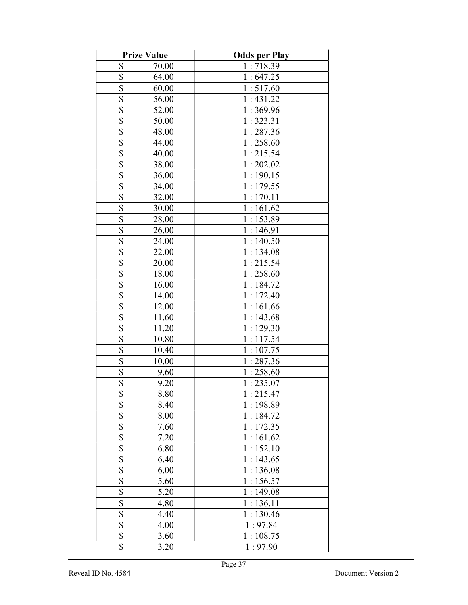|                         | <b>Prize Value</b> | <b>Odds per Play</b> |
|-------------------------|--------------------|----------------------|
| \$                      | 70.00              | 1:718.39             |
| \$                      | 64.00              | 1:647.25             |
| \$                      | 60.00              | 1:517.60             |
| \$                      | 56.00              | 1:431.22             |
| \$                      | 52.00              | 1:369.96             |
| \$                      | 50.00              | 1:323.31             |
| \$                      | 48.00              | 1:287.36             |
| \$                      | 44.00              | 1:258.60             |
| \$                      | 40.00              | 1:215.54             |
| $\overline{\$}$         | 38.00              | 1:202.02             |
| $\overline{\$}$         | 36.00              | 1:190.15             |
| $\overline{\$}$         | 34.00              | 1:179.55             |
| \$                      | 32.00              | 1:170.11             |
| $\overline{\mathbb{S}}$ | 30.00              | 1:161.62             |
| \$                      | 28.00              | 1:153.89             |
| $\overline{\$}$         | 26.00              | 1:146.91             |
| \$                      | 24.00              | 1:140.50             |
| $\overline{\$}$         | 22.00              | 1:134.08             |
| \$                      | 20.00              | 1:215.54             |
| $\overline{\$}$         | 18.00              | 1:258.60             |
| \$                      | 16.00              | 1:184.72             |
| \$                      | 14.00              | 1:172.40             |
| \$                      | 12.00              | 1:161.66             |
| $\overline{\$}$         | 11.60              | 1:143.68             |
| $\overline{\$}$         | 11.20              | 1:129.30             |
| $\overline{\$}$         | 10.80              | 1:117.54             |
| $\overline{\$}$         | 10.40              | 1:107.75             |
| $\overline{\mathbb{S}}$ | 10.00              | 1:287.36             |
| $\overline{\mathbb{S}}$ | 9.60               | 1:258.60             |
| $\overline{\$}$         | 9.20               | 1:235.07             |
| \$                      | 8.80               | 1:215.47             |
| \$                      | 8.40               | 1:198.89             |
| $\overline{\$}$         | 8.00               | 1:184.72             |
| \$                      | 7.60               | 1:172.35             |
| \$                      | 7.20               | 1:161.62             |
| \$                      | 6.80               | 1:152.10             |
| \$                      | 6.40               | 1:143.65             |
| \$                      | 6.00               | 1:136.08             |
| \$                      | 5.60               | 1:156.57             |
| \$                      | 5.20               | 1:149.08             |
| \$                      | 4.80               | 1:136.11             |
| \$                      | 4.40               | 1:130.46             |
| $\overline{\$}$         | 4.00               | 1:97.84              |
| $\overline{\mathbb{S}}$ | 3.60               | 1:108.75             |
| \$                      | 3.20               | 1:97.90              |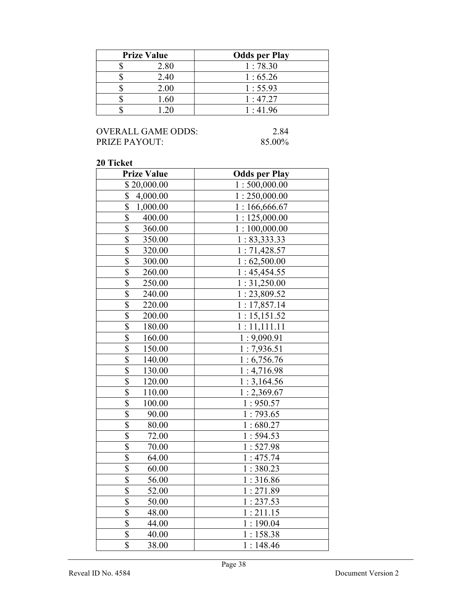| <b>Prize Value</b> | <b>Odds per Play</b> |
|--------------------|----------------------|
| 2.80               | 1:78.30              |
| 2.40               | 1:65.26              |
| 2.00               | 1:55.93              |
| .60                | 1:47.27              |
|                    | 1:41.96              |

## OVERALL GAME ODDS: 2.84<br>PRIZE PAYOUT: 85.00% PRIZE PAYOUT:

| <b>Prize Value</b>                | <b>Odds per Play</b> |
|-----------------------------------|----------------------|
| \$20,000.00                       | 1:500,000.00         |
| \$<br>4,000.00                    | 1:250,000.00         |
| $\overline{\$}$<br>1,000.00       | 1:166,666.67         |
| $\overline{\$}$<br>400.00         | 1:125,000.00         |
| $\overline{\$}$<br>360.00         | 1:100,000.00         |
| $\overline{\mathbb{S}}$<br>350.00 | 1: 83,333.33         |
| $\overline{\$}$<br>320.00         | 1:71,428.57          |
| $\overline{\$}$<br>300.00         | 1:62,500.00          |
| $\overline{\$}$<br>260.00         | 1:45,454.55          |
| $\overline{\$}$<br>250.00         | 1:31,250.00          |
| $\overline{\$}$<br>240.00         | 1:23,809.52          |
| $\overline{\mathbb{S}}$<br>220.00 | 1:17,857.14          |
| $\overline{\mathbb{S}}$<br>200.00 | 1:15,151.52          |
| \$<br>180.00                      | 1:11,111.11          |
| $\overline{\mathbb{S}}$<br>160.00 | 1:9,090.91           |
| $\overline{\$}$<br>150.00         | 1:7,936.51           |
| $\overline{\$}$<br>140.00         | 1:6,756.76           |
| $\overline{\$}$<br>130.00         | 1:4,716.98           |
| $\overline{\$}$<br>120.00         | 1:3,164.56           |
| $\overline{\$}$<br>110.00         | 1:2,369.67           |
| $\overline{\mathbb{S}}$<br>100.00 | 1:950.57             |
| \$<br>90.00                       | 1:793.65             |
| $rac{1}{3}$<br>80.00              | 1:680.27             |
| 72.00                             | 1:594.53             |
| $\overline{\$}$<br>70.00          | 1:527.98             |
| $\overline{\$}$<br>64.00          | 1:475.74             |
| \$<br>60.00                       | 1:380.23             |
| $\overline{\mathbb{S}}$<br>56.00  | 1:316.86             |
| \$<br>52.00                       | 1:271.89             |
| $\overline{\mathcal{S}}$<br>50.00 | 1:237.53             |
| \$<br>48.00                       | 1:211.15             |
| $\overline{\mathbb{S}}$<br>44.00  | 1:190.04             |
| $\overline{\$}$<br>40.00          | 1:158.38             |
| \$<br>38.00                       | 1:148.46             |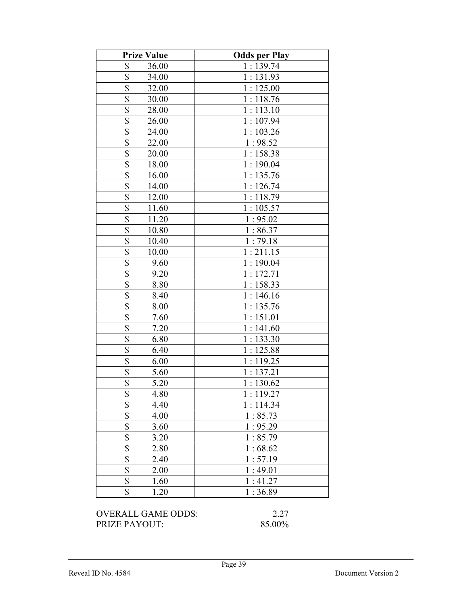| <b>Prize Value</b>                | <b>Odds per Play</b> |
|-----------------------------------|----------------------|
| \$<br>36.00                       | 1:139.74             |
| $\overline{\mathbb{S}}$<br>34.00  | 1:131.93             |
| $\overline{\mathbb{S}}$<br>32.00  | 1:125.00             |
| 30.00                             | 1:118.76             |
| $rac{1}{2}$<br>28.00              | 1:113.10             |
| $\overline{\$}$<br>26.00          | 1:107.94             |
| $\overline{\mathbb{S}}$<br>24.00  | 1:103.26             |
| $\overline{\$}$<br>22.00          | 1:98.52              |
| \$<br>20.00                       | 1:158.38             |
| \$<br>18.00                       | 1:190.04             |
| \$<br>16.00                       | 1:135.76             |
| $\overline{\mathbb{S}}$<br>14.00  | 1:126.74             |
| \$<br>12.00                       | 1:118.79             |
| \$<br>11.60                       | 1:105.57             |
| \$<br>11.20                       | 1:95.02              |
| \$<br>10.80                       | 1:86.37              |
| $rac{1}{3}$<br>10.40              | 1:79.18              |
| 10.00                             | 1:211.15             |
| \$<br>9.60                        | 1:190.04             |
| $\overline{\mathbb{S}}$<br>9.20   | 1:172.71             |
| \$<br>8.80                        | 1:158.33             |
| \$<br>8.40                        | 1:146.16             |
| \$<br>8.00                        | 1:135.76             |
| $\overline{\$}$<br>7.60           | 1:151.01             |
| $\overline{\mathcal{S}}$<br>7.20  | 1:141.60             |
| $\overline{\$}$<br>6.80           | 1:133.30             |
| \$<br>6.40                        | 1:125.88             |
| \$<br>6.00                        | 1:119.25             |
| \$<br>5.60                        | 1:137.21             |
| \$<br>5.20                        | 1:130.62             |
| \$<br>4.80                        | 1:119.27             |
| \$<br>4.40                        | 1:114.34             |
| $\overline{\mathbb{S}}$<br>4.00   | 1:85.73              |
| \$<br>3.60                        | 1:95.29              |
| $\boldsymbol{\mathsf{S}}$<br>3.20 | 1:85.79              |
| $\overline{\$}$<br>2.80           | 1:68.62              |
| $\overline{\$}$<br>2.40           | 1:57.19              |
| $rac{1}{s}$<br>2.00               | 1:49.01              |
| 1.60                              | 1:41.27              |
| \$<br>1.20                        | 1:36.89              |

OVERALL GAME ODDS: 2.27<br>PRIZE PAYOUT: 85.00% PRIZE PAYOUT: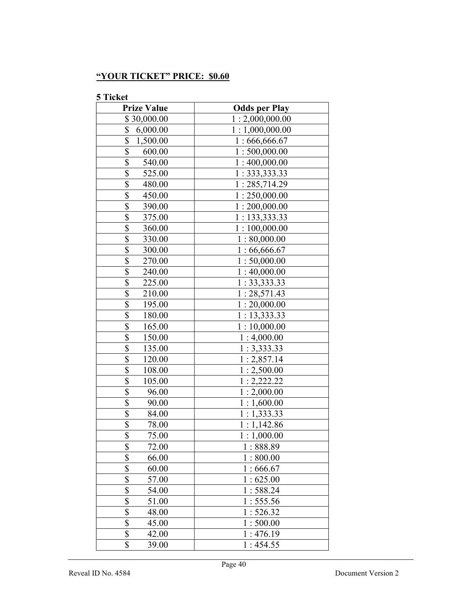# "YOUR TICKET" PRICE: \$0.60

| <b>Prize Value</b>                | <b>Odds per Play</b> |
|-----------------------------------|----------------------|
| \$30,000.00                       | 1:2,000,000.00       |
| \$<br>6,000.00                    | 1:1,000,000.00       |
| \$<br>1,500.00                    | 1:666,666.67         |
| \$<br>600.00                      | 1:500,000.00         |
| \$<br>540.00                      | 1:400,000.00         |
| \$<br>525.00                      | 1:333,333.33         |
| \$<br>480.00                      | 1:285,714.29         |
| \$<br>450.00                      | 1:250,000.00         |
| \$<br>390.00                      | 1:200,000.00         |
| $\overline{\$}$<br>375.00         | 1: 133,333.33        |
| $\overline{\$}$<br>360.00         | 1:100,000.00         |
| $\overline{\mathbb{S}}$<br>330.00 | 1:80,000.00          |
| \$<br>300.00                      | 1:66,666.67          |
| $\overline{\$}$<br>270.00         | 1:50,000.00          |
| \$<br>240.00                      | 1:40,000.00          |
| \$<br>225.00                      | 1: 33, 333.33        |
| \$<br>210.00                      | 1:28,571.43          |
| \$<br>195.00                      | 1:20,000.00          |
| \$<br>180.00                      | 1:13,333.33          |
| \$<br>165.00                      | 1:10,000.00          |
| \$<br>150.00                      | 1:4,000.00           |
| \$<br>135.00                      | 1:3,333.33           |
| $\overline{\$}$<br>120.00         | 1:2,857.14           |
| $\overline{\$}$<br>108.00         | 1:2,500.00           |
| $\overline{\$}$<br>105.00         | 1:2,222.22           |
| $\overline{\$}$<br>96.00          | 1:2,000.00           |
| $\overline{\$}$<br>90.00          | 1:1,600.00           |
| \$<br>84.00                       | 1:1,333.33           |
| \$<br>78.00                       | 1:1,142.86           |
| $\overline{\$}$<br>75.00          | 1:1,000.00           |
| \$<br>72.00                       | 1:888.89             |
| \$<br>66.00                       | 1:800.00             |
| \$<br>60.00                       | 1:666.67             |
| \$<br>57.00                       | 1:625.00             |
| \$<br>54.00                       | 1:588.24             |
| \$<br>51.00                       | 1:555.56             |
| \$<br>48.00                       | 1:526.32             |
| \$<br>45.00                       | 1:500.00             |
| \$<br>42.00                       | 1:476.19             |
| $\overline{\$}$<br>39.00          | 1:454.55             |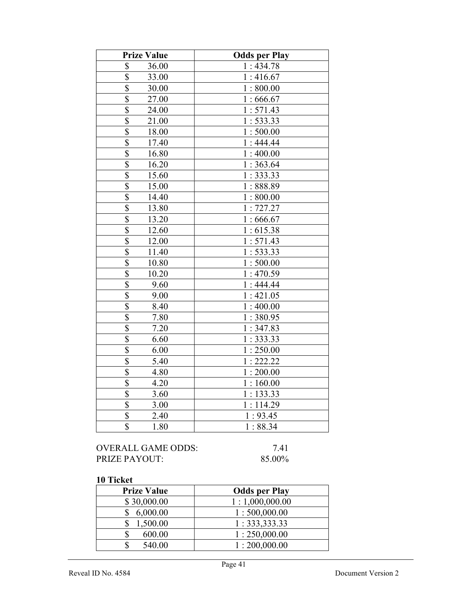| <b>Prize Value</b>               | <b>Odds per Play</b>  |
|----------------------------------|-----------------------|
| \$<br>36.00                      | 1:434.78              |
| \$<br>33.00                      | 1:416.67              |
| $\overline{\$}$<br>30.00         | 1:800.00              |
| $\overline{\$}$<br>27.00         | 1:666.67              |
| $\overline{\$}$<br>24.00         | 1:571.43              |
| \$<br>21.00                      | 1:533.33              |
| \$<br>18.00                      | 1:500.00              |
| \$<br>17.40                      | 1:444.44              |
| \$<br>16.80                      | 1:400.00              |
| $\overline{\$}$<br>16.20         | 1:363.64              |
| $\overline{\$}$<br>15.60         | 1:333.33              |
| \$<br>15.00                      | 1:888.89              |
| \$<br>14.40                      | 1:800.00              |
| \$<br>13.80                      | 1:727.27              |
| \$<br>13.20                      | 1:666.67              |
| $\overline{\$}$<br>12.60         | 1:615.38              |
| $\overline{\mathbb{S}}$<br>12.00 | 1:571.43              |
| $\overline{\$}$<br>11.40         | 1: 533.33             |
| \$<br>10.80                      | $\overline{1:}500.00$ |
| \$<br>10.20                      | 1:470.59              |
| $\overline{\$}$<br>9.60          | 1:444.44              |
| $\overline{\$}$<br>9.00          | 1:421.05              |
| \$<br>8.40                       | 1:400.00              |
| $\overline{\$}$<br>7.80          | 1:380.95              |
| \$<br>7.20                       | 1:347.83              |
| $\overline{\$}$<br>6.60          | 1:333.33              |
| $\overline{\$}$<br>6.00          | 1:250.00              |
| \$<br>5.40                       | 1:222.22              |
| $\overline{\mathbb{S}}$<br>4.80  | 1:200.00              |
| \$<br>4.20                       | 1:160.00              |
| $\overline{\mathbb{S}}$<br>3.60  | 1:133.33              |
| $\overline{\mathbb{S}}$<br>3.00  | 1:114.29              |
| $\frac{1}{2}$<br>2.40            | 1:93.45               |
| $\overline{\mathbb{S}}$<br>1.80  | 1:88.34               |

# OVERALL GAME ODDS: 7.41 PRIZE PAYOUT: 85.00%

| <b>Prize Value</b> | <b>Odds per Play</b> |
|--------------------|----------------------|
| \$30,000.00        | 1:1,000,000.00       |
| 6,000.00           | 1:500,000.00         |
| 1,500.00           | 1: 333, 333.33       |
| 600.00             | 1:250,000.00         |
| 540.00             | 1:200,000.00         |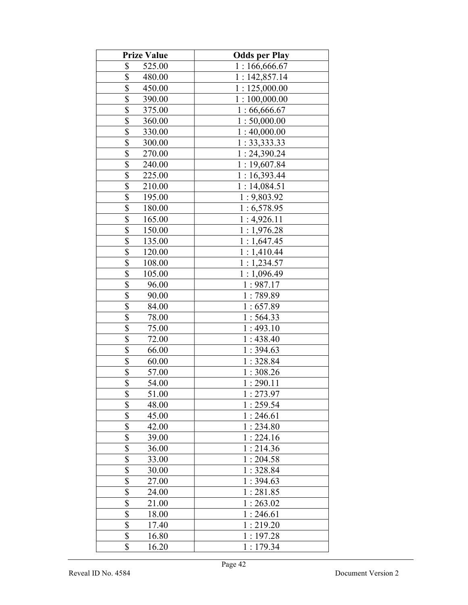| <b>Prize Value</b>                | <b>Odds per Play</b> |
|-----------------------------------|----------------------|
| \$<br>525.00                      | 1:166,666.67         |
| \$<br>480.00                      | 1:142,857.14         |
| $\overline{\$}$<br>450.00         | 1:125,000.00         |
| $\overline{\$}$<br>390.00         | 1:100,000.00         |
| $\overline{\$}$<br>375.00         | 1:66,666.67          |
| \$<br>360.00                      | 1:50,000.00          |
| $\overline{\mathbb{S}}$<br>330.00 | 1:40,000.00          |
| $\overline{\$}$<br>300.00         | 1:33,333.33          |
| $\overline{\$}$<br>270.00         | 1:24,390.24          |
| \$<br>240.00                      | 1:19,607.84          |
| \$<br>225.00                      | 1:16,393.44          |
| \$<br>210.00                      | 1:14,084.51          |
| \$<br>195.00                      | 1:9,803.92           |
| \$<br>180.00                      | 1:6,578.95           |
| \$<br>165.00                      | 1:4,926.11           |
| $\overline{\$}$<br>150.00         | 1:1,976.28           |
| $\overline{\$}$<br>135.00         | 1:1,647.45           |
| $\overline{\$}$<br>120.00         | 1:1,410.44           |
| \$<br>108.00                      | 1:1,234.57           |
| \$<br>105.00                      | 1:1,096.49           |
| $\overline{\$}$<br>96.00          | 1:987.17             |
| $\overline{\$}$<br>90.00          | 1:789.89             |
| \$<br>84.00                       | 1:657.89             |
| \$<br>78.00                       | 1:564.33             |
| $\overline{\$}$<br>75.00          | 1:493.10             |
| \$<br>72.00                       | 1:438.40             |
| \$<br>66.00                       | 1:394.63             |
| \$<br>60.00                       | 1:328.84             |
| \$<br>57.00                       | 1:308.26             |
| \$<br>54.00                       | 1:290.11             |
| \$<br>51.00                       | 1:273.97             |
| \$<br>48.00                       | 1:259.54             |
| \$<br>45.00                       | 1:246.61             |
| $\overline{\$}$<br>42.00          | 1:234.80             |
| $\overline{\mathbb{S}}$<br>39.00  | 1:224.16             |
| $\overline{\mathcal{S}}$<br>36.00 | 1:214.36             |
| \$<br>33.00                       | 1:204.58             |
| $\overline{\mathbb{S}}$<br>30.00  | 1:328.84             |
| $\overline{\$}$<br>27.00          | 1:394.63             |
| \$<br>24.00                       | 1:281.85             |
| \$<br>21.00                       | 1:263.02             |
| \$<br>18.00                       | 1:246.61             |
| \$<br>17.40                       | 1:219.20             |
| \$<br>16.80                       | 1:197.28             |
| \$<br>16.20                       | 1:179.34             |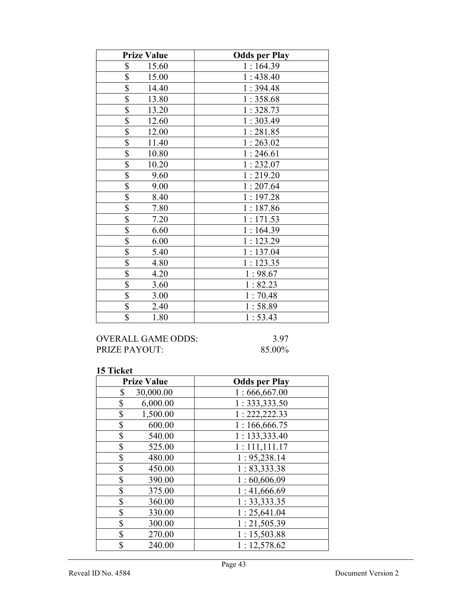| <b>Prize Value</b>       | <b>Odds per Play</b> |
|--------------------------|----------------------|
| \$<br>15.60              | 1:164.39             |
| \$<br>15.00              | 1:438.40             |
| \$<br>14.40              | 1:394.48             |
| \$<br>13.80              | 1:358.68             |
| \$<br>13.20              | 1:328.73             |
| $\overline{\$}$<br>12.60 | 1:303.49             |
| \$<br>12.00              | 1:281.85             |
| $\overline{\$}$<br>11.40 | 1:263.02             |
| \$<br>10.80              | 1:246.61             |
| $\overline{\$}$<br>10.20 | 1:232.07             |
| \$<br>9.60               | 1:219.20             |
| $\overline{\$}$<br>9.00  | 1:207.64             |
| \$<br>8.40               | 1:197.28             |
| $\overline{\$}$<br>7.80  | 1:187.86             |
| \$<br>7.20               | 1:171.53             |
| \$<br>6.60               | 1:164.39             |
| \$<br>6.00               | 1:123.29             |
| $\overline{\$}$<br>5.40  | 1:137.04             |
| $\overline{\$}$<br>4.80  | 1:123.35             |
| \$<br>4.20               | 1:98.67              |
| \$<br>3.60               | 1:82.23              |
| $\overline{\$}$<br>3.00  | 1:70.48              |
| \$<br>2.40               | 1:58.89              |
| \$<br>1.80               | 1:53.43              |

# OVERALL GAME ODDS: 3.97<br>PRIZE PAYOUT: 85.00% PRIZE PAYOUT:

| <b>Prize Value</b> | <b>Odds per Play</b> |
|--------------------|----------------------|
| \$<br>30,000.00    | 1:666,667.00         |
| \$<br>6,000.00     | 1:333,333.50         |
| \$<br>1,500.00     | 1: 222, 222.33       |
| \$<br>600.00       | 1:166,666.75         |
| \$<br>540.00       | 1: 133,333.40        |
| \$<br>525.00       | 1:111,111.17         |
| \$<br>480.00       | 1:95,238.14          |
| \$<br>450.00       | 1:83,333.38          |
| \$<br>390.00       | 1:60,606.09          |
| \$<br>375.00       | 1:41,666.69          |
| \$<br>360.00       | 1:33,333.35          |
| \$<br>330.00       | 1:25,641.04          |
| \$<br>300.00       | 1:21,505.39          |
| \$<br>270.00       | 1:15,503.88          |
| \$<br>240.00       | 1:12,578.62          |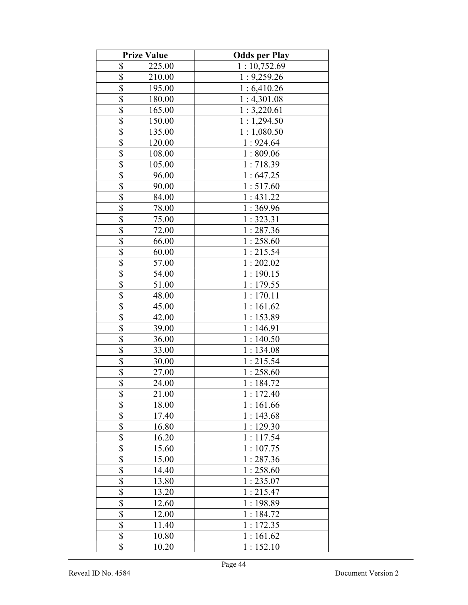|                          | <b>Prize Value</b> | <b>Odds per Play</b> |
|--------------------------|--------------------|----------------------|
| \$                       | 225.00             | 1:10,752.69          |
| \$                       | 210.00             | 1:9,259.26           |
| \$                       | 195.00             | 1:6,410.26           |
| \$                       | 180.00             | 1:4,301.08           |
| \$                       | 165.00             | 1:3,220.61           |
| \$                       | 150.00             | 1:1,294.50           |
| \$                       | 135.00             | 1:1,080.50           |
| \$                       | 120.00             | 1:924.64             |
| \$                       | 108.00             | 1:809.06             |
| \$                       | 105.00             | 1:718.39             |
| $\overline{\$}$          | 96.00              | 1:647.25             |
| $\overline{\$}$          | 90.00              | 1:517.60             |
| \$                       | 84.00              | 1:431.22             |
| $\overline{\mathbb{S}}$  | 78.00              | 1:369.96             |
| \$                       | 75.00              | 1:323.31             |
| $\overline{\$}$          | 72.00              | 1:287.36             |
| \$                       | 66.00              | 1:258.60             |
| \$                       | 60.00              | 1:215.54             |
| \$                       | 57.00              | 1:202.02             |
| $\overline{\$}$          | 54.00              | 1:190.15             |
| \$                       | 51.00              | 1:179.55             |
| \$                       | 48.00              | 1:170.11             |
| $\overline{\$}$          | 45.00              | 1:161.62             |
| $\overline{\$}$          | 42.00              | 1:153.89             |
| \$                       | 39.00              | 1:146.91             |
| \$                       | 36.00              | 1:140.50             |
| $\overline{\$}$          | 33.00              | 1:134.08             |
| $\overline{\mathbb{S}}$  | 30.00              | 1:215.54             |
| \$                       | 27.00              | 1:258.60             |
| $\overline{\$}$          | 24.00              | 1:184.72             |
| \$                       | 21.00              | 1:172.40             |
| \$                       | 18.00              | 1:161.66             |
| $\overline{\$}$          | 17.40              | 1:143.68             |
| \$                       | 16.80              | 1:129.30             |
| \$                       | 16.20              | 1:117.54             |
| \$                       | 15.60              | 1:107.75             |
| \$                       | 15.00              | 1:287.36             |
| \$                       | 14.40              | 1:258.60             |
| \$                       | 13.80              | 1:235.07             |
| $\overline{\mathcal{S}}$ | 13.20              | 1:215.47             |
| \$                       | 12.60              | 1:198.89             |
| $\overline{\$}$          | 12.00              | 1:184.72             |
| $\overline{\$}$          | 11.40              | 1:172.35             |
| $\overline{\mathbb{S}}$  | 10.80              | 1:161.62             |
| \$                       | 10.20              | 1:152.10             |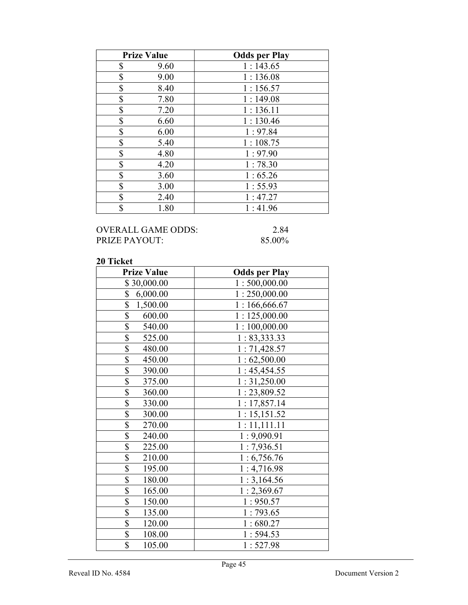| <b>Prize Value</b> | <b>Odds per Play</b> |
|--------------------|----------------------|
| \$<br>9.60         | 1:143.65             |
| \$<br>9.00         | 1:136.08             |
| \$<br>8.40         | 1:156.57             |
| \$<br>7.80         | 1:149.08             |
| \$<br>7.20         | 1:136.11             |
| \$<br>6.60         | 1:130.46             |
| \$<br>6.00         | 1:97.84              |
| \$<br>5.40         | 1:108.75             |
| \$<br>4.80         | 1:97.90              |
| \$<br>4.20         | 1:78.30              |
| \$<br>3.60         | 1:65.26              |
| \$<br>3.00         | 1:55.93              |
| \$<br>2.40         | 1:47.27              |
| \$<br>1.80         | 1:41.96              |

## OVERALL GAME ODDS: 2.84<br>PRIZE PAYOUT: 85.00% PRIZE PAYOUT:

| <b>Prize Value</b>        | <b>Odds per Play</b> |
|---------------------------|----------------------|
| \$30,000.00               | 1:500,000.00         |
| \$<br>6,000.00            | 1:250,000.00         |
| \$<br>1,500.00            | 1:166,666.67         |
| \$<br>600.00              | 1:125,000.00         |
| $\overline{\$}$<br>540.00 | 1:100,000.00         |
| \$<br>525.00              | 1: 83,333.33         |
| $\overline{\$}$<br>480.00 | 1:71,428.57          |
| \$<br>450.00              | 1:62,500.00          |
| $\overline{\$}$<br>390.00 | 1:45,454.55          |
| \$<br>375.00              | 1:31,250.00          |
| $\overline{\$}$<br>360.00 | 1:23,809.52          |
| \$<br>330.00              | 1:17,857.14          |
| \$<br>300.00              | 1:15,151.52          |
| \$<br>270.00              | 1:11,111.11          |
| \$<br>240.00              | 1:9,090.91           |
| $\overline{\$}$<br>225.00 | 1:7,936.51           |
| \$<br>210.00              | 1:6,756.76           |
| $\overline{\$}$<br>195.00 | 1:4,716.98           |
| \$<br>180.00              | 1:3,164.56           |
| \$<br>165.00              | 1:2,369.67           |
| \$<br>150.00              | 1:950.57             |
| \$<br>135.00              | 1:793.65             |
| $\overline{\$}$<br>120.00 | 1:680.27             |
| $\overline{\$}$<br>108.00 | 1:594.53             |
| \$<br>105.00              | 1:527.98             |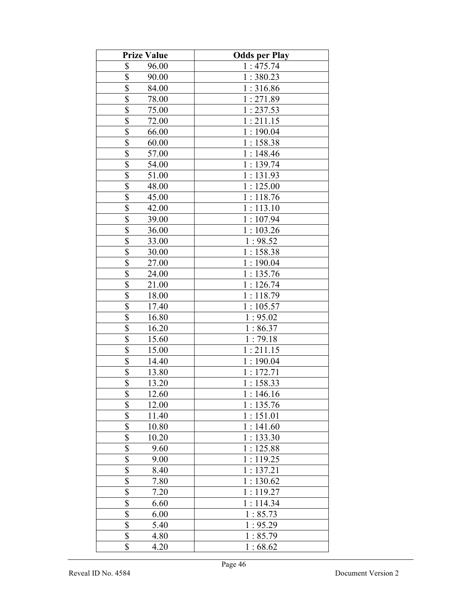| <b>Prize Value</b>                | <b>Odds per Play</b> |
|-----------------------------------|----------------------|
| \$<br>96.00                       | 1:475.74             |
| \$<br>90.00                       | 1:380.23             |
| \$<br>84.00                       | 1:316.86             |
| \$<br>78.00                       | 1:271.89             |
| \$<br>75.00                       | 1:237.53             |
| \$<br>72.00                       | 1:211.15             |
| \$<br>66.00                       | 1:190.04             |
| \$<br>60.00                       | 1:158.38             |
| \$<br>57.00                       | 1:148.46             |
| $\overline{\mathcal{S}}$<br>54.00 | 1:139.74             |
| $\overline{\$}$<br>51.00          | 1:131.93             |
| \$<br>48.00                       | 1:125.00             |
| $\overline{\mathbb{S}}$<br>45.00  | 1:118.76             |
| \$<br>42.00                       | 1:113.10             |
| $\overline{\mathbb{S}}$<br>39.00  | 1:107.94             |
| \$<br>36.00                       | 1:103.26             |
| \$<br>33.00                       | 1:98.52              |
| \$<br>30.00                       | 1:158.38             |
| \$<br>27.00                       | 1:190.04             |
| \$<br>24.00                       | 1:135.76             |
| \$<br>21.00                       | 1:126.74             |
| \$<br>18.00                       | 1:118.79             |
| $\overline{\mathcal{S}}$<br>17.40 | 1:105.57             |
| $\overline{\$}$<br>16.80          | 1:95.02              |
| \$<br>16.20                       | 1:86.37              |
| $\overline{\$}$<br>15.60          | 1:79.18              |
| $\overline{\$}$<br>15.00          | 1:211.15             |
| $\overline{\mathbb{S}}$<br>14.40  | 1:190.04             |
| \$<br>13.80                       | 1:172.71             |
| $\overline{\$}$<br>13.20          | 1:158.33             |
| \$<br>12.60                       | 1:146.16             |
| \$<br>12.00                       | 1:135.76             |
| \$<br>11.40                       | 1:151.01             |
| \$<br>10.80                       | 1:141.60             |
| \$<br>10.20                       | 1:133.30             |
| \$<br>9.60                        | 1:125.88             |
| \$<br>9.00                        | 1:119.25             |
| \$<br>8.40                        | 1:137.21             |
| \$<br>7.80                        | 1:130.62             |
| \$<br>7.20                        | 1:119.27             |
| $rac{1}{3}$<br>6.60               | 1:114.34             |
| 6.00                              | 1:85.73              |
| $\overline{\$}$<br>5.40           | 1:95.29              |
| \$<br>4.80                        | 1:85.79              |
| \$<br>4.20                        | 1:68.62              |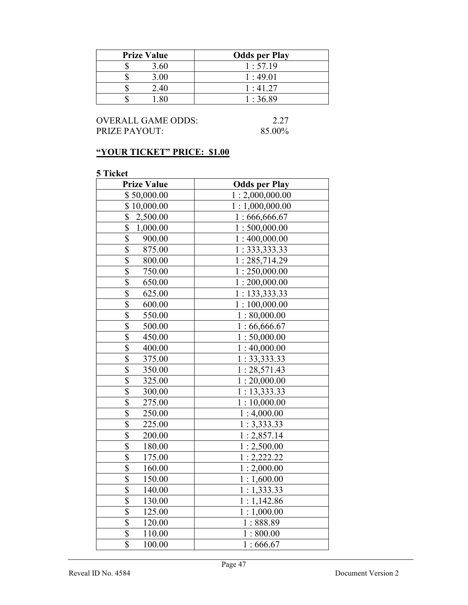| <b>Prize Value</b> | <b>Odds per Play</b> |
|--------------------|----------------------|
| 3.60               | 1:57.19              |
| 3.00               | 1:49.01              |
| 2.40<br>٠Π         | 1:41.27              |
|                    | 1:36.89              |

OVERALL GAME ODDS: 2.27<br>PRIZE PAYOUT: 85.00% PRIZE PAYOUT:

# "YOUR TICKET" PRICE: \$1.00

| <b>Prize Value</b>                | <b>Odds per Play</b> |
|-----------------------------------|----------------------|
| \$50,000.00                       | 1:2,000,000.00       |
| \$10,000.00                       | 1:1,000,000.00       |
| \$<br>2,500.00                    | 1:666,666.67         |
| \$<br>1,000.00                    | 1:500,000.00         |
| $\overline{\$}$<br>900.00         | 1:400,000.00         |
| $\overline{\$}$<br>875.00         | 1: 333, 333.33       |
| $\overline{\$}$<br>800.00         | 1:285,714.29         |
| $\overline{\$}$<br>750.00         | 1:250,000.00         |
| \$<br>650.00                      | 1:200,000.00         |
| $\overline{\mathbb{S}}$<br>625.00 | 1: 133, 333.33       |
| \$<br>600.00                      | 1:100,000.00         |
| $\overline{\$}$<br>550.00         | 1:80,000.00          |
| $\overline{\$}$<br>500.00         | 1:66,666.67          |
| \$<br>450.00                      | 1:50,000.00          |
| $\overline{\$}$<br>400.00         | 1:40,000.00          |
| \$<br>375.00                      | 1: 33, 333.33        |
| $\overline{\$}$<br>350.00         | 1:28,571.43          |
| \$<br>325.00                      | 1:20,000.00          |
| $\overline{\$}$<br>300.00         | 1:13,333.33          |
| $\overline{\mathbb{S}}$<br>275.00 | 1:10,000.00          |
| $\overline{\mathbb{S}}$<br>250.00 | 1:4,000.00           |
| $\overline{\$}$<br>225.00         | 1:3,333.33           |
| \$<br>200.00                      | 1:2,857.14           |
| $\overline{\$}$<br>180.00         | 1:2,500.00           |
| \$<br>175.00                      | 1:2,222.22           |
| \$<br>160.00                      | 1:2,000.00           |
| $\overline{\$}$<br>150.00         | 1:1,600.00           |
| $\overline{\$}$<br>140.00         | 1:1,333.33           |
| $\overline{\$}$<br>130.00         | 1:1,142.86           |
| \$<br>125.00                      | 1:1,000.00           |
| $\frac{1}{2}$<br>120.00           | 1:888.89             |
| $\overline{\$}$<br>110.00         | 1:800.00             |
| \$<br>100.00                      | 1:666.67             |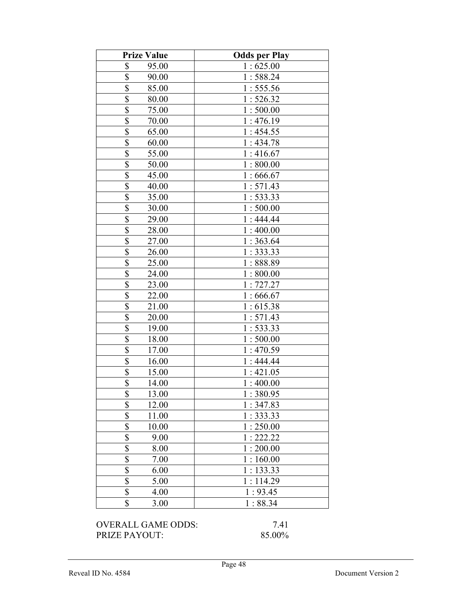| <b>Prize Value</b>               | <b>Odds per Play</b> |
|----------------------------------|----------------------|
| \$<br>95.00                      | 1:625.00             |
| \$<br>90.00                      | 1:588.24             |
| \$<br>85.00                      | 1:555.56             |
| $\overline{\mathbb{S}}$<br>80.00 | 1:526.32             |
| \$<br>75.00                      | 1:500.00             |
| \$<br>70.00                      | 1:476.19             |
| \$<br>65.00                      | 1:454.55             |
| \$<br>60.00                      | 1:434.78             |
| \$<br>55.00                      | 1:416.67             |
| $\overline{\$}$<br>50.00         | 1:800.00             |
| $\overline{\$}$<br>45.00         | 1:666.67             |
| \$<br>40.00                      | 1:571.43             |
| \$<br>35.00                      | 1:533.33             |
| $\overline{\mathbb{S}}$<br>30.00 | 1:500.00             |
| \$<br>29.00                      | 1:444.44             |
| \$<br>28.00                      | 1:400.00             |
| $\overline{\mathbb{S}}$<br>27.00 | 1:363.64             |
| \$<br>26.00                      | 1:333.33             |
| \$<br>25.00                      | 1:888.89             |
| \$<br>24.00                      | 1:800.00             |
| $\overline{\$}$<br>23.00         | 1:727.27             |
| \$<br>22.00                      | 1:666.67             |
| $\overline{\$}$<br>21.00         | 1:615.38             |
| $\overline{\$}$<br>20.00         | 1:571.43             |
| \$<br>19.00                      | 1:533.33             |
| \$<br>18.00                      | 1:500.00             |
| \$<br>17.00                      | 1:470.59             |
| $\overline{\mathbb{S}}$<br>16.00 | 1:444.44             |
| \$<br>15.00                      | 1:421.05             |
| $\overline{\$}$<br>14.00         | 1:400.00             |
| \$<br>13.00                      | 1:380.95             |
| \$<br>12.00                      | 1:347.83             |
| \$<br>11.00                      | 1:333.33             |
| \$<br>10.00                      | 1:250.00             |
| \$<br>9.00                       | 1:222.22             |
| \$<br>8.00                       | 1:200.00             |
| \$<br>7.00                       | 1:160.00             |
| \$<br>6.00                       | 1:133.33             |
| \$<br>5.00                       | 1:114.29             |
| \$<br>4.00                       | 1:93.45              |
| \$<br>3.00                       | 1:88.34              |

OVERALL GAME ODDS: 7.41<br>PRIZE PAYOUT: 85.00% PRIZE PAYOUT: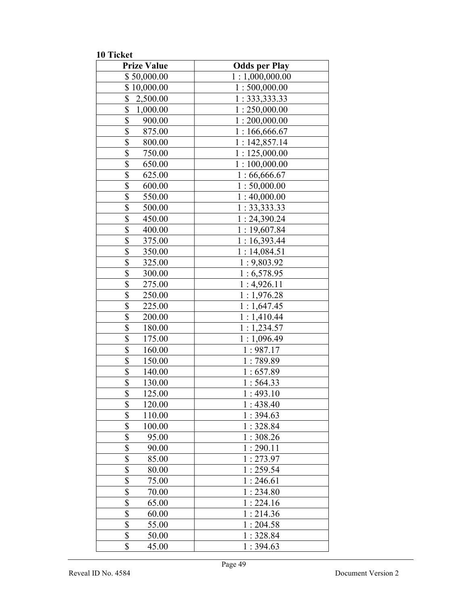10 Ticket

| <b>Prize Value</b>                                           | <b>Odds per Play</b> |
|--------------------------------------------------------------|----------------------|
| \$50,000.00                                                  | 1:1,000,000.00       |
| \$10,000.00                                                  | 1:500,000.00         |
| \$<br>2,500.00                                               | 1: 333, 333.33       |
| $\overline{\$}$<br>1,000.00                                  | 1:250,000.00         |
| $\overline{\$}$<br>900.00                                    | 1:200,000.00         |
| $\overline{\$}$<br>875.00                                    | 1:166,666.67         |
| \$<br>800.00                                                 | 1:142,857.14         |
| $\overline{\$}$<br>750.00                                    | 1:125,000.00         |
| $\overline{\$}$<br>650.00                                    | 1:100,000.00         |
| \$<br>625.00                                                 | 1:66,666.67          |
| \$<br>600.00                                                 | 1:50,000.00          |
| $\overline{\$}$<br>550.00                                    | 1:40,000.00          |
| \$<br>500.00                                                 | 1: 33, 333.33        |
| \$<br>450.00                                                 | 1:24,390.24          |
| \$<br>400.00                                                 | 1:19,607.84          |
| \$<br>375.00                                                 | 1:16,393.44          |
| \$<br>350.00                                                 | 1:14,084.51          |
| $\overline{\$}$<br>325.00                                    | 1:9,803.92           |
| $\overline{\$}$<br>300.00                                    | 1:6,578.95           |
| \$<br>275.00                                                 | 1:4,926.11           |
| \$<br>250.00                                                 | 1:1,976.28           |
| $\overline{\$}$<br>225.00                                    | 1:1,647.45           |
| $\overline{\$}$<br>200.00                                    | 1:1,410.44           |
| \$<br>180.00                                                 | 1:1,234.57           |
| $\overline{\$}$<br>175.00                                    | 1:1,096.49           |
| \$<br>160.00                                                 | 1:987.17             |
| \$<br>150.00                                                 | 1:789.89             |
| \$<br>140.00                                                 | 1:657.89             |
| \$<br>130.00                                                 | 1:564.33             |
| \$<br>125.00                                                 | 1:493.10             |
| \$<br>120.00                                                 | 1:438.40             |
| \$<br>110.00                                                 | 1:394.63<br>1:328.84 |
| \$<br>100.00<br>$\overline{\$}$                              |                      |
| 95.00<br>\$                                                  | 1:308.26<br>1:290.11 |
| 90.00                                                        |                      |
| $\overline{\mathbb{S}}$<br>85.00<br>$\overline{\$}$<br>80.00 | 1:273.97<br>1:259.54 |
| $\overline{\$}$<br>75.00                                     | 1:246.61             |
| $\overline{\$}$<br>70.00                                     | 1:234.80             |
| $\overline{\$}$<br>65.00                                     | 1:224.16             |
| $\overline{\$}$<br>60.00                                     | 1:214.36             |
| $\overline{\$}$<br>55.00                                     | 1:204.58             |
| \$<br>50.00                                                  | 1:328.84             |
| \$<br>45.00                                                  | 1:394.63             |
|                                                              |                      |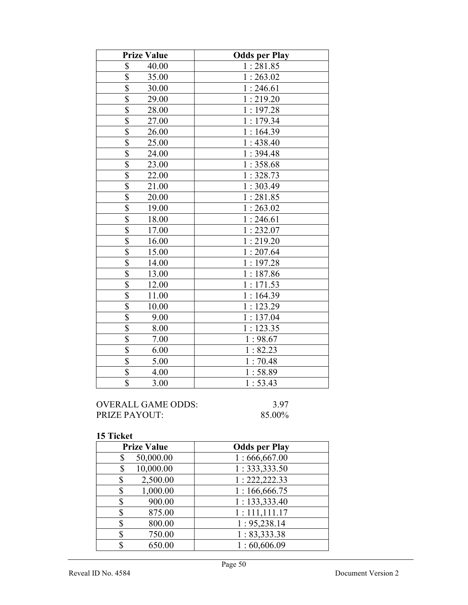| <b>Prize Value</b>               | <b>Odds per Play</b> |
|----------------------------------|----------------------|
| \$<br>40.00                      | 1:281.85             |
| $rac{1}{3}$<br>35.00             | 1:263.02             |
| 30.00                            | 1:246.61             |
| $\overline{\$}$<br>29.00         | 1:219.20             |
| \$<br>28.00                      | 1:197.28             |
| \$<br>27.00                      | 1:179.34             |
| $\overline{\$}$<br>26.00         | 1:164.39             |
| \$<br>25.00                      | 1:438.40             |
| $\overline{\$}$<br>24.00         | 1:394.48             |
| $\overline{\$}$<br>23.00         | 1:358.68             |
| $\overline{\mathbb{S}}$<br>22.00 | 1:328.73             |
| $\overline{\mathbb{S}}$<br>21.00 | 1:303.49             |
| \$<br>20.00                      | 1:281.85             |
| $\overline{\$}$<br>19.00         | 1:263.02             |
| $\overline{\$}$<br>18.00         | 1:246.61             |
| $\overline{\$}$<br>17.00         | 1:232.07             |
| $\overline{\mathbb{S}}$<br>16.00 | 1:219.20             |
| $\overline{\$}$<br>15.00         | 1:207.64             |
| \$<br>14.00                      | 1:197.28             |
| $\overline{\mathbb{S}}$<br>13.00 | 1:187.86             |
| \$<br>12.00                      | 1:171.53             |
| $\overline{\$}$<br>11.00         | 1:164.39             |
| $\overline{\$}$<br>10.00         | 1:123.29             |
| $\overline{\$}$<br>9.00          | 1:137.04             |
| \$<br>8.00                       | 1:123.35             |
| $\overline{\$}$<br>7.00          | 1:98.67              |
| $\overline{\$}$<br>6.00          | 1:82.23              |
| \$<br>5.00                       | 1:70.48              |
| $\overline{\$}$<br>4.00          | 1:58.89              |
| \$<br>3.00                       | 1:53.43              |

| OVERALL GAME ODDS: | 3.97   |
|--------------------|--------|
| PRIZE PAYOUT:      | 85.00% |

| <b>Prize Value</b> | <b>Odds per Play</b> |
|--------------------|----------------------|
| 50,000.00<br>\$    | 1:666,667.00         |
| 10,000.00<br>\$    | 1:333,333.50         |
| 2,500.00<br>\$     | 1: 222, 222.33       |
| 1,000.00<br>\$     | 1:166,666.75         |
| 900.00<br>\$       | 1:133,333.40         |
| 875.00<br>\$       | 1:111,111.17         |
| 800.00<br>\$       | 1:95,238.14          |
| 750.00<br>\$       | 1: 83,333.38         |
| 650.00             | 1:60,606.09          |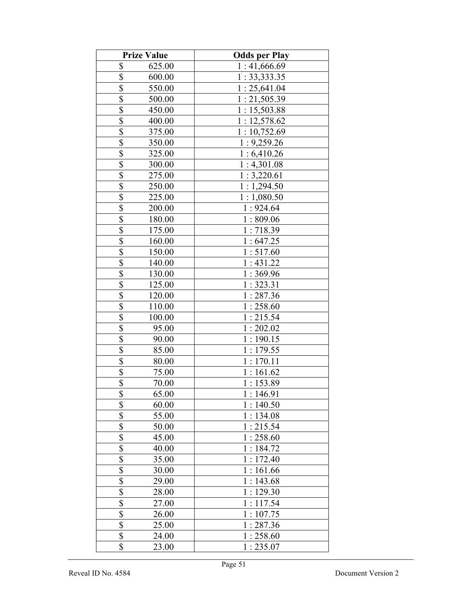|                         | <b>Prize Value</b> | <b>Odds per Play</b> |
|-------------------------|--------------------|----------------------|
| \$                      | 625.00             | 1:41,666.69          |
| \$                      | 600.00             | 1:33,333.35          |
| \$                      | 550.00             | 1:25,641.04          |
| \$                      | 500.00             | 1:21,505.39          |
| \$                      | 450.00             | 1:15,503.88          |
| \$                      | 400.00             | 1:12,578.62          |
| \$                      | 375.00             | 1:10,752.69          |
| \$                      | 350.00             | 1:9,259.26           |
| \$                      | 325.00             | 1:6,410.26           |
| $\overline{\mathbb{S}}$ | 300.00             | 1:4,301.08           |
| $\overline{\$}$         | 275.00             | 1:3,220.61           |
| $\overline{\mathbb{S}}$ | 250.00             | 1:1,294.50           |
| $\overline{\mathbb{S}}$ | 225.00             | 1:1,080.50           |
| $\overline{\mathbb{S}}$ | 200.00             | 1:924.64             |
| $\overline{\mathbb{S}}$ | 180.00             | 1:809.06             |
| $\overline{\$}$         | 175.00             | 1:718.39             |
| \$                      | 160.00             | 1:647.25             |
| \$                      | 150.00             | 1:517.60             |
| \$                      | 140.00             | 1:431.22             |
| $\overline{\$}$         | 130.00             | 1:369.96             |
| \$                      | 125.00             | 1:323.31             |
| \$                      | 120.00             | 1:287.36             |
| $\overline{\mathbb{S}}$ | 110.00             | 1:258.60             |
| $\overline{\$}$         | 100.00             | 1:215.54             |
| \$                      | 95.00              | 1:202.02             |
| $\overline{\mathbb{S}}$ | 90.00              | 1:190.15             |
| $\overline{\$}$         | 85.00              | 1:179.55             |
| $\overline{\mathbb{S}}$ | 80.00              | 1:170.11             |
| \$                      | 75.00              | 1:161.62             |
| $\overline{\$}$         | 70.00              | 1:153.89             |
| \$                      | 65.00              | 1 : 146.91           |
| \$                      | 60.00              | 1:140.50             |
| \$                      | 55.00              | 1:134.08             |
| \$                      | 50.00              | 1:215.54             |
| \$                      | 45.00              | 1:258.60             |
| \$                      | 40.00              | 1:184.72             |
| \$                      | 35.00              | 1:172.40             |
| \$                      | 30.00              | 1:161.66             |
| \$                      | 29.00              | 1:143.68             |
| \$                      | 28.00              | 1:129.30             |
| \$                      | 27.00              | 1:117.54             |
| \$                      | 26.00              | 1:107.75             |
| \$                      | 25.00              | 1:287.36             |
| \$                      | 24.00              | 1:258.60             |
| \$                      | 23.00              | 1:235.07             |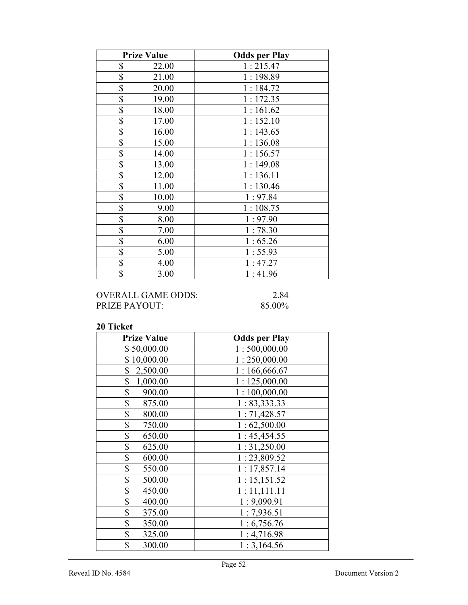| <b>Prize Value</b> | <b>Odds per Play</b> |
|--------------------|----------------------|
| \$<br>22.00        | 1:215.47             |
| \$<br>21.00        | 1:198.89             |
| \$<br>20.00        | 1:184.72             |
| \$<br>19.00        | 1:172.35             |
| \$<br>18.00        | 1:161.62             |
| \$<br>17.00        | 1:152.10             |
| \$<br>16.00        | 1:143.65             |
| \$<br>15.00        | 1:136.08             |
| \$<br>14.00        | 1:156.57             |
| \$<br>13.00        | 1:149.08             |
| \$<br>12.00        | 1:136.11             |
| \$<br>11.00        | 1:130.46             |
| \$<br>10.00        | 1:97.84              |
| \$<br>9.00         | 1:108.75             |
| \$<br>8.00         | 1:97.90              |
| \$<br>7.00         | 1:78.30              |
| \$<br>6.00         | 1:65.26              |
| \$<br>5.00         | 1:55.93              |
| \$<br>4.00         | 1:47.27              |
| \$<br>3.00         | 1:41.96              |

## OVERALL GAME ODDS: 2.84<br>PRIZE PAYOUT: 85.00% PRIZE PAYOUT:

| <b>Prize Value</b> | <b>Odds per Play</b> |
|--------------------|----------------------|
| \$50,000.00        | 1:500,000.00         |
| \$10,000.00        | 1:250,000.00         |
| \$<br>2,500.00     | 1:166,666.67         |
| \$<br>1,000.00     | 1:125,000.00         |
| \$<br>900.00       | 1:100,000.00         |
| \$<br>875.00       | 1:83,333.33          |
| \$<br>800.00       | 1:71,428.57          |
| \$<br>750.00       | 1:62,500.00          |
| \$<br>650.00       | 1:45,454.55          |
| \$<br>625.00       | 1:31,250.00          |
| \$<br>600.00       | 1:23,809.52          |
| \$<br>550.00       | 1:17,857.14          |
| \$<br>500.00       | 1:15,151.52          |
| \$<br>450.00       | 1:11,111.11          |
| \$<br>400.00       | 1:9,090.91           |
| \$<br>375.00       | 1:7,936.51           |
| \$<br>350.00       | 1:6,756.76           |
| \$<br>325.00       | 1:4,716.98           |
| \$<br>300.00       | 1:3,164.56           |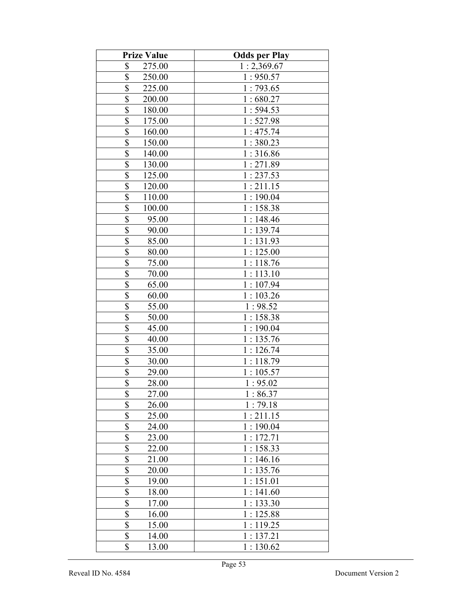| <b>Prize Value</b>                 | <b>Odds per Play</b> |
|------------------------------------|----------------------|
| \$<br>275.00                       | 1:2,369.67           |
| \$<br>250.00                       | 1:950.57             |
| \$<br>225.00                       | 1:793.65             |
| \$<br>200.00                       | 1:680.27             |
| \$<br>180.00                       | 1:594.53             |
| \$<br>175.00                       | 1:527.98             |
| \$<br>160.00                       | 1:475.74             |
| \$<br>150.00                       | 1:380.23             |
| \$<br>140.00                       | 1:316.86             |
| $\overline{\mathcal{S}}$<br>130.00 | 1:271.89             |
| $\overline{\mathbb{S}}$<br>125.00  | 1:237.53             |
| \$<br>120.00                       | 1:211.15             |
| $\overline{\$}$<br>110.00          | 1:190.04             |
| \$<br>100.00                       | 1:158.38             |
| \$<br>95.00                        | 1:148.46             |
| \$<br>90.00                        | 1:139.74             |
| \$<br>85.00                        | 1:131.93             |
| \$<br>80.00                        | 1:125.00             |
| \$<br>75.00                        | 1:118.76             |
| $\overline{\mathbb{S}}$<br>70.00   | 1:113.10             |
| \$<br>65.00                        | 1:107.94             |
| \$<br>60.00                        | 1:103.26             |
| $\overline{\mathcal{S}}$<br>55.00  | 1:98.52              |
| $\overline{\$}$<br>50.00           | 1:158.38             |
| $\overline{\$}$<br>45.00           | 1:190.04             |
| $\overline{\$}$<br>40.00           | 1:135.76             |
| $\overline{\$}$<br>35.00           | 1:126.74             |
| $\overline{\mathbb{S}}$<br>30.00   | 1:118.79             |
| \$<br>29.00                        | 1:105.57             |
| $\overline{\$}$<br>28.00           | 1:95.02              |
| \$<br>27.00                        | 1:86.37              |
| \$<br>26.00                        | 1:79.18              |
| \$<br>25.00                        | 1:211.15             |
| \$<br>24.00                        | 1:190.04             |
| \$<br>23.00                        | 1:172.71             |
| \$<br>22.00                        | 1:158.33             |
| \$<br>21.00                        | 1:146.16             |
| \$<br>20.00                        | 1:135.76             |
| \$<br>19.00                        | 1:151.01             |
| \$<br>18.00                        | 1:141.60             |
| $\overline{\mathbb{S}}$<br>17.00   | 1:133.30             |
| $\overline{\$}$<br>16.00           | 1:125.88             |
| $\overline{\$}$<br>15.00           | 1:119.25             |
| \$<br>14.00                        | 1:137.21             |
| \$<br>13.00                        | 1:130.62             |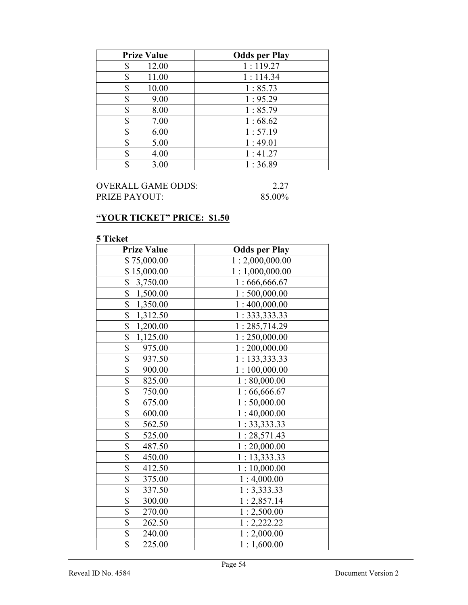| <b>Prize Value</b> | <b>Odds per Play</b> |
|--------------------|----------------------|
| 12.00<br>S         | 1:119.27             |
| 11.00<br>\$        | 1:114.34             |
| 10.00<br>\$        | 1:85.73              |
| 9.00<br>\$         | 1:95.29              |
| 8.00<br>S          | 1:85.79              |
| 7.00<br>\$         | 1:68.62              |
| 6.00<br>S          | 1:57.19              |
| 5.00<br>S          | 1:49.01              |
| 4.00               | 1:41.27              |
| 3.00               | 1:36.89              |

| OVERALL GAME ODDS: | 2.27   |
|--------------------|--------|
| PRIZE PAYOUT:      | 85.00% |

# "YOUR TICKET" PRICE: \$1.50

| <b>Prize Value</b>                  | <b>Odds per Play</b> |
|-------------------------------------|----------------------|
| \$75,000.00                         | 1:2,000,000.00       |
| \$15,000.00                         | 1:1,000,000.00       |
| \$<br>3,750.00                      | 1:666,666.67         |
| \$<br>1,500.00                      | 1:500,000.00         |
| $\overline{\$}$<br>1,350.00         | 1:400,000.00         |
| \$<br>1,312.50                      | 1: 333, 333.33       |
| $\overline{\mathbb{S}}$<br>1,200.00 | 1:285,714.29         |
| \$<br>1,125.00                      | 1:250,000.00         |
| \$<br>975.00                        | 1:200,000.00         |
| \$<br>937.50                        | 1: 133,333.33        |
| \$<br>900.00                        | 1:100,000.00         |
| \$<br>825.00                        | 1:80,000.00          |
| $\overline{\$}$<br>750.00           | 1:66,666.67          |
| \$<br>675.00                        | 1:50,000.00          |
| $\overline{\$}$<br>600.00           | 1:40,000.00          |
| $\overline{\$}$<br>562.50           | 1:33,333.33          |
| \$<br>525.00                        | 1:28,571.43          |
| $\overline{\$}$<br>487.50           | 1:20,000.00          |
| \$<br>450.00                        | 1: 13,333.33         |
| \$<br>412.50                        | 1:10,000.00          |
| $\overline{\$}$<br>375.00           | 1:4,000.00           |
| \$<br>337.50                        | 1:3,333.33           |
| \$<br>300.00                        | 1:2,857.14           |
| $\overline{\$}$<br>270.00           | 1:2,500.00           |
| \$<br>262.50                        | 1:2,222.22           |
| \$<br>240.00                        | 1:2,000.00           |
| \$<br>225.00                        | 1:1,600.00           |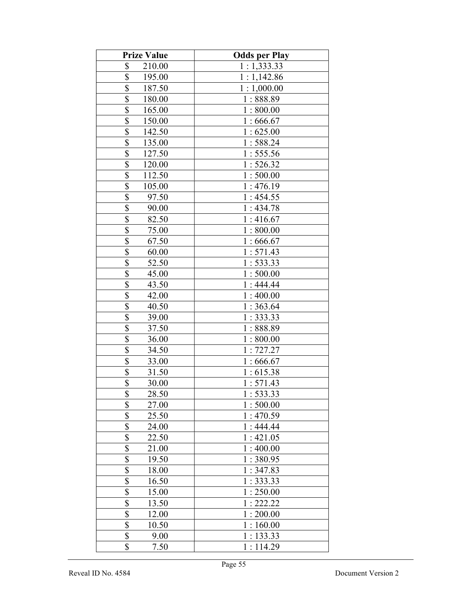| <b>Prize Value</b>                | <b>Odds per Play</b> |
|-----------------------------------|----------------------|
| \$<br>210.00                      | 1:1,333.33           |
| \$<br>195.00                      | 1:1,142.86           |
| \$<br>187.50                      | 1:1,000.00           |
| \$<br>180.00                      | 1:888.89             |
| \$<br>165.00                      | 1:800.00             |
| \$<br>150.00                      | 1:666.67             |
| \$<br>142.50                      | 1:625.00             |
| \$<br>135.00                      | 1:588.24             |
| \$<br>127.50                      | 1:555.56             |
| \$<br>120.00                      | 1:526.32             |
| $\overline{\$}$<br>112.50         | 1:500.00             |
| $\overline{\mathbb{S}}$<br>105.00 | 1:476.19             |
| $\overline{\mathbb{S}}$<br>97.50  | 1:454.55             |
| \$<br>90.00                       | 1:434.78             |
| $\overline{\mathbb{S}}$<br>82.50  | 1:416.67             |
| $\overline{\$}$<br>75.00          | 1:800.00             |
| \$<br>67.50                       | 1:666.67             |
| \$<br>60.00                       | 1:571.43             |
| \$<br>52.50                       | 1: 533.33            |
| $\overline{\mathbb{S}}$<br>45.00  | 1:500.00             |
| \$<br>43.50                       | 1:444.44             |
| \$<br>42.00                       | 1:400.00             |
| $\overline{\mathcal{S}}$<br>40.50 | 1:363.64             |
| \$<br>39.00                       | 1:333.33             |
| $\overline{\mathbb{S}}$<br>37.50  | 1:888.89             |
| \$<br>36.00                       | 1:800.00             |
| $\overline{\mathbb{S}}$<br>34.50  | 1:727.27             |
| $rac{1}{3}$<br>33.00              | 1:666.67             |
| 31.50                             | 1:615.38             |
| $\overline{\$}$<br>30.00          | 1:571.43             |
| \$<br>28.50                       | 1:533.33             |
| \$<br>27.00                       | 1:500.00             |
| $\overline{\mathbb{S}}$<br>25.50  | 1:470.59             |
| \$<br>24.00                       | 1:444.44             |
| \$<br>22.50                       | 1:421.05             |
| \$<br>21.00                       | 1:400.00             |
| \$<br>19.50                       | 1:380.95             |
| \$<br>18.00                       | 1:347.83             |
| \$<br>16.50                       | 1:333.33             |
| \$<br>15.00                       | 1:250.00             |
| \$<br>13.50                       | 1:222.22             |
| $\overline{\$}$<br>12.00          | 1:200.00             |
| $\overline{\mathbb{S}}$<br>10.50  | 1:160.00             |
| \$<br>9.00                        | 1:133.33             |
| \$<br>7.50                        | 1:114.29             |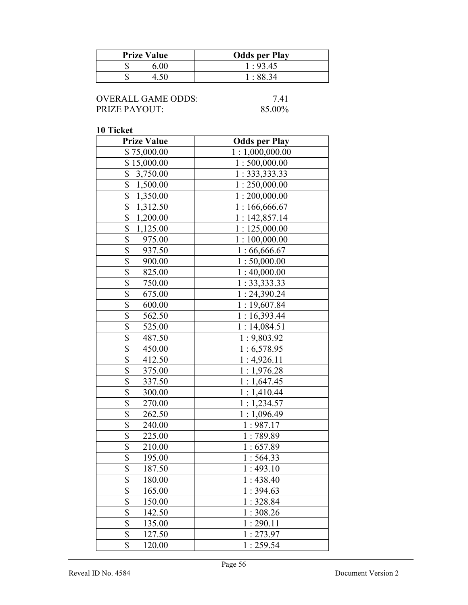| <b>Prize Value</b> | <b>Odds per Play</b> |
|--------------------|----------------------|
| 6.00               | 1:93.45              |
|                    | - 88 34              |

| <b>OVERALL GAME ODDS:</b> |
|---------------------------|
| <b>PRIZE PAYOUT:</b>      |

 $7.41$ 85.00%

| <b>Prize Value</b>                 | <b>Odds per Play</b> |
|------------------------------------|----------------------|
| \$75,000.00                        | 1:1,000,000.00       |
| \$15,000.00                        | 1:500,000.00         |
| \$<br>3,750.00                     | 1: 333, 333.33       |
| \$<br>1,500.00                     | 1:250,000.00         |
| \$<br>1,350.00                     | 1:200,000.00         |
| \$<br>1,312.50                     | 1:166,666.67         |
| \$<br>1,200.00                     | 1:142,857.14         |
| \$<br>1,125.00                     | 1:125,000.00         |
| \$<br>975.00                       | 1:100,000.00         |
| \$<br>937.50                       | 1:66,666.67          |
| \$<br>900.00                       | 1:50,000.00          |
| $\overline{\$}$<br>825.00          | 1:40,000.00          |
| \$<br>750.00                       | 1: 33, 333.33        |
| $\overline{\$}$<br>675.00          | 1:24,390.24          |
| \$<br>600.00                       | 1:19,607.84          |
| $\overline{\mathcal{S}}$<br>562.50 | 1:16,393.44          |
| $\overline{\$}$<br>525.00          | 1:14,084.51          |
| $\overline{\$}$<br>487.50          | 1:9,803.92           |
| \$<br>450.00                       | 1:6,578.95           |
| \$<br>412.50                       | 1:4,926.11           |
| \$<br>375.00                       | 1:1,976.28           |
| \$<br>337.50                       | 1:1,647.45           |
| \$<br>300.00                       | 1:1,410.44           |
| \$<br>270.00                       | 1:1,234.57           |
| $\overline{\$}$<br>262.50          | 1:1,096.49           |
| \$<br>240.00                       | 1:987.17             |
| $\overline{\$}$<br>225.00          | 1:789.89             |
| $\overline{\$}$<br>210.00          | 1:657.89             |
| $\overline{\mathbb{S}}$<br>195.00  | 1:564.33             |
| $\overline{\$}$<br>187.50          | 1:493.10             |
| $\overline{\mathbb{S}}$<br>180.00  | 1:438.40             |
| \$<br>165.00                       | 1:394.63             |
| \$<br>150.00                       | 1:328.84             |
| \$<br>142.50                       | 1:308.26             |
| \$<br>135.00                       | 1:290.11             |
| \$<br>127.50                       | 1:273.97             |
| \$<br>120.00                       | 1:259.54             |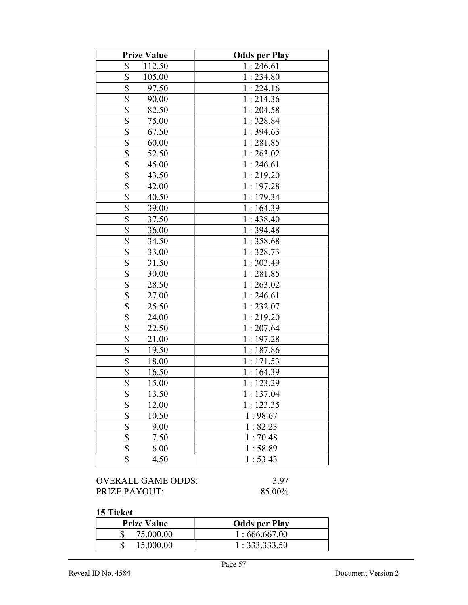| <b>Prize Value</b>                | <b>Odds per Play</b> |
|-----------------------------------|----------------------|
| \$<br>112.50                      | 1:246.61             |
| \$<br>105.00                      | 1:234.80             |
| \$<br>97.50                       | 1:224.16             |
| \$<br>90.00                       | 1:214.36             |
| \$<br>82.50                       | 1:204.58             |
| \$<br>75.00                       | 1:328.84             |
| \$<br>67.50                       | 1:394.63             |
| \$<br>60.00                       | 1:281.85             |
| \$<br>52.50                       | 1:263.02             |
| $\overline{\$}$<br>45.00          | 1:246.61             |
| $\overline{\mathcal{S}}$<br>43.50 | 1:219.20             |
| \$<br>42.00                       | 1:197.28             |
| $\overline{\$}$<br>40.50          | 1:179.34             |
| $\overline{\$}$<br>39.00          | 1:164.39             |
| $\overline{\mathbb{S}}$<br>37.50  | 1:438.40             |
| \$<br>36.00                       | 1:394.48             |
| $\overline{\mathbb{S}}$<br>34.50  | 1:358.68             |
| \$<br>33.00                       | 1:328.73             |
| \$<br>31.50                       | 1:303.49             |
| \$<br>30.00                       | 1:281.85             |
| \$<br>28.50                       | 1:263.02             |
| \$<br>27.00                       | 1:246.61             |
| $\overline{\$}$<br>25.50          | 1:232.07             |
| $\overline{\$}$<br>24.00          | 1:219.20             |
| $\overline{\$}$<br>22.50          | 1:207.64             |
| $\overline{\$}$<br>21.00          | 1:197.28             |
| $\overline{\$}$<br>19.50          | 1:187.86             |
| \$<br>18.00                       | 1:171.53             |
| \$<br>16.50                       | 1:164.39             |
| $\overline{\$}$<br>15.00          | 1:123.29             |
| \$<br>13.50                       | 1:137.04             |
| \$<br>12.00                       | 1:123.35             |
| \$<br>10.50                       | 1:98.67              |
| \$<br>9.00                        | 1:82.23              |
| \$<br>7.50                        | 1:70.48              |
| \$<br>6.00                        | 1:58.89              |
| \$<br>4.50                        | 1:53.43              |

OVERALL GAME ODDS: 3.97<br>PRIZE PAYOUT: 85.00% PRIZE PAYOUT:

#### 15 Ticket

| <b>Prize Value</b> | <b>Odds per Play</b> |
|--------------------|----------------------|
| 75,000.00          | 1:666,667.00         |
| 15,000.00          | 1:333,333.50         |

 $\mathsf{l}$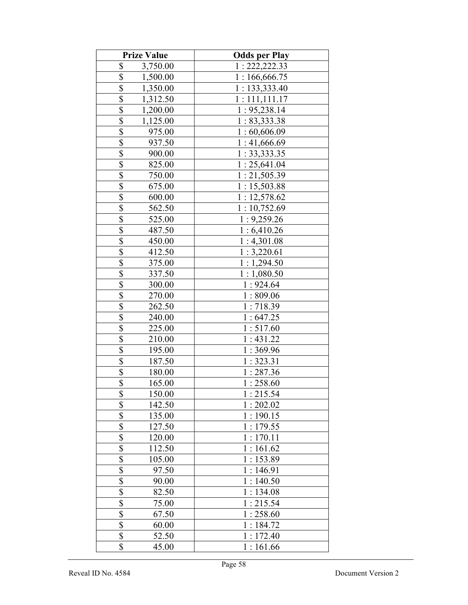| <b>Prize Value</b>                  | <b>Odds per Play</b> |
|-------------------------------------|----------------------|
| \$<br>3,750.00                      | 1: 222, 222.33       |
| \$<br>1,500.00                      | 1:166,666.75         |
| \$<br>1,350.00                      | 1:133,333.40         |
| \$<br>1,312.50                      | 1:111,111.17         |
| \$<br>1,200.00                      | 1:95,238.14          |
| \$<br>1,125.00                      | 1:83,333.38          |
| \$<br>975.00                        | 1:60,606.09          |
| \$<br>937.50                        | 1:41,666.69          |
| \$<br>900.00                        | 1:33,333.35          |
| $\overline{\mathbb{S}}$<br>825.00   | 1:25,641.04          |
| $\overline{\$}$<br>750.00           | 1:21,505.39          |
| $\boldsymbol{\mathsf{S}}$<br>675.00 | 1:15,503.88          |
| $\overline{\mathbb{S}}$<br>600.00   | 1: 12,578.62         |
| $\overline{\mathbb{S}}$<br>562.50   | 1:10,752.69          |
| $\overline{\mathbb{S}}$<br>525.00   | 1:9,259.26           |
| $\overline{\$}$<br>487.50           | 1:6,410.26           |
| \$<br>450.00                        | 1:4,301.08           |
| \$<br>412.50                        | 1:3,220.61           |
| \$<br>375.00                        | 1:1,294.50           |
| $\overline{\mathbb{S}}$<br>337.50   | 1:1,080.50           |
| \$<br>300.00                        | 1:924.64             |
| \$<br>270.00                        | 1:809.06             |
| $\overline{\mathbb{S}}$<br>262.50   | 1:718.39             |
| $\overline{\$}$<br>240.00           | 1:647.25             |
| \$<br>225.00                        | 1:517.60             |
| $\overline{\mathbb{S}}$<br>210.00   | 1:431.22             |
| $\overline{\$}$<br>195.00           | 1:369.96             |
| $\overline{\mathbb{S}}$<br>187.50   | 1:323.31             |
| \$<br>180.00                        | 1:287.36             |
| $\overline{\$}$<br>165.00           | 1:258.60             |
| \$<br>150.00                        | 1:215.54             |
| \$<br>142.50                        | 1:202.02             |
| $\overline{\$}$<br>135.00           | 1:190.15             |
| \$<br>127.50                        | 1:179.55             |
| \$<br>120.00                        | 1:170.11             |
| \$<br>112.50                        | 1:161.62             |
| \$<br>105.00                        | 1:153.89             |
| \$<br>97.50                         | 1:146.91             |
| \$<br>90.00                         | 1:140.50             |
| $\overline{\$}$<br>82.50            | 1:134.08             |
| $rac{1}{s}$<br>75.00                | 1:215.54             |
| 67.50                               | 1:258.60             |
| $\overline{\$}$<br>60.00            | 1:184.72             |
| \$<br>52.50                         | 1:172.40             |
| \$<br>45.00                         | 1:161.66             |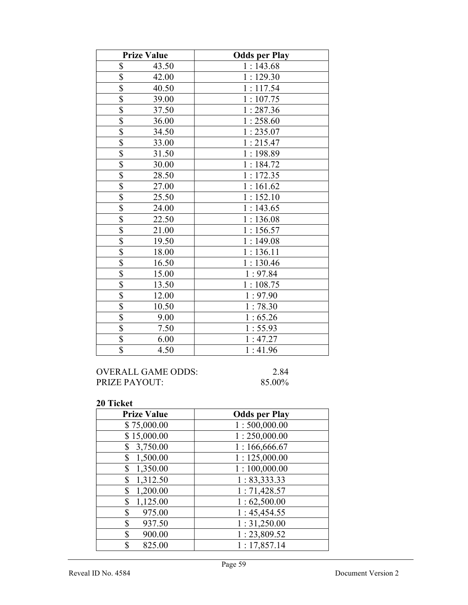|                         | <b>Prize Value</b> | <b>Odds per Play</b> |
|-------------------------|--------------------|----------------------|
| \$                      | 43.50              | 1:143.68             |
| \$                      | 42.00              | 1:129.30             |
| $\overline{\$}$         | 40.50              | 1:117.54             |
| $\overline{\mathbb{S}}$ | 39.00              | 1:107.75             |
| \$                      | 37.50              | 1:287.36             |
| $\overline{\mathbb{S}}$ | 36.00              | 1:258.60             |
| $\frac{\$}{\$}$         | 34.50              | 1:235.07             |
|                         | 33.00              | 1:215.47             |
| $\overline{\mathbb{S}}$ | 31.50              | 1:198.89             |
| $rac{1}{s}$             | 30.00              | 1:184.72             |
|                         | 28.50              | 1:172.35             |
| $\overline{\$}$         | 27.00              | 1:161.62             |
| $\overline{\mathbb{S}}$ | 25.50              | 1:152.10             |
| \$                      | 24.00              | 1:143.65             |
| $\overline{\mathbb{S}}$ | 22.50              | 1:136.08             |
| $rac{S}{S}$             | 21.00              | 1:156.57             |
|                         | 19.50              | 1:149.08             |
| $\overline{\$}$         | 18.00              | 1:136.11             |
| $\overline{\mathbb{S}}$ | 16.50              | 1:130.46             |
| \$                      | 15.00              | 1:97.84              |
| $\overline{\mathbb{S}}$ | 13.50              | 1:108.75             |
| $\overline{\mathbb{S}}$ | 12.00              | 1:97.90              |
| \$                      | 10.50              | 1:78.30              |
| $\overline{\mathbb{S}}$ | 9.00               | 1:65.26              |
| \$                      | 7.50               | 1:55.93              |
| \$                      | 6.00               | 1:47.27              |
| \$                      | 4.50               | 1:41.96              |

| OVERALL GAME ODDS:   | 2.84   |
|----------------------|--------|
| <b>PRIZE PAYOUT:</b> | 85.00% |

| <b>Prize Value</b> | <b>Odds per Play</b> |
|--------------------|----------------------|
| \$75,000.00        | 1:500,000.00         |
| \$15,000.00        | 1:250,000.00         |
| 3,750.00<br>\$     | 1:166,666.67         |
| 1,500.00<br>\$     | 1:125,000.00         |
| 1,350.00<br>\$     | 1:100,000.00         |
| 1,312.50<br>\$     | 1: 83,333.33         |
| 1,200.00<br>\$     | 1:71,428.57          |
| 1,125.00<br>\$     | 1:62,500.00          |
| \$<br>975.00       | 1:45,454.55          |
| \$<br>937.50       | 1:31,250.00          |
| \$<br>900.00       | 1:23,809.52          |
| \$<br>825.00       | 1:17,857.14          |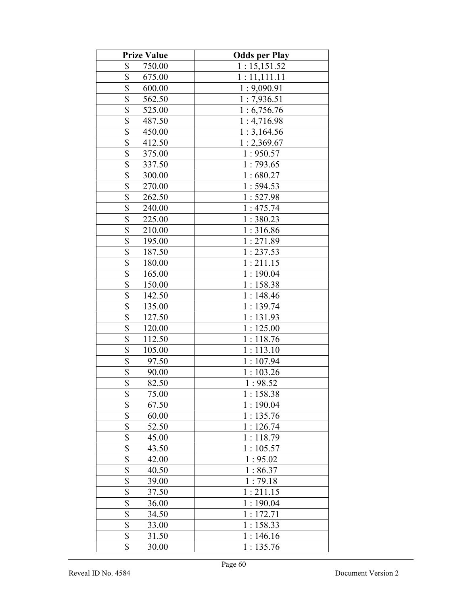| <b>Prize Value</b>                  | <b>Odds per Play</b> |
|-------------------------------------|----------------------|
| \$<br>750.00                        | 1:15,151.52          |
| \$<br>675.00                        | 1:11,111.11          |
| \$<br>600.00                        | 1:9,090.91           |
| \$<br>562.50                        | 1:7,936.51           |
| \$<br>525.00                        | 1:6,756.76           |
| \$<br>487.50                        | 1:4,716.98           |
| \$<br>450.00                        | 1:3,164.56           |
| \$<br>412.50                        | 1:2,369.67           |
| \$<br>375.00                        | 1:950.57             |
| $\overline{\mathcal{S}}$<br>337.50  | 1:793.65             |
| $\overline{\$}$<br>300.00           | 1:680.27             |
| \$<br>270.00                        | 1:594.53             |
| $\overline{\$}$<br>262.50           | 1:527.98             |
| $\boldsymbol{\mathsf{S}}$<br>240.00 | 1:475.74             |
| $\overline{\mathbb{S}}$<br>225.00   | 1:380.23             |
| $\overline{\$}$<br>210.00           | 1:316.86             |
| \$<br>195.00                        | 1:271.89             |
| \$<br>187.50                        | 1:237.53             |
| \$<br>180.00                        | 1:211.15             |
| $\overline{\$}$<br>165.00           | 1:190.04             |
| \$<br>150.00                        | 1:158.38             |
| \$<br>142.50                        | 1:148.46             |
| $\overline{\mathcal{S}}$<br>135.00  | 1:139.74             |
| $\overline{\$}$<br>127.50           | 1:131.93             |
| \$<br>120.00                        | 1:125.00             |
| $\overline{\$}$<br>112.50           | 1:118.76             |
| \$<br>105.00                        | 1:113.10             |
| $rac{1}{3}$<br>97.50                | 1:107.94             |
| 90.00                               | 1:103.26             |
| $\overline{\$}$<br>82.50            | 1:98.52              |
| \$<br>75.00                         | 1:158.38             |
| \$<br>67.50                         | 1:190.04             |
| $\overline{\mathbb{S}}$<br>60.00    | 1:135.76             |
| \$<br>52.50                         | 1:126.74             |
| \$<br>45.00                         | 1:118.79             |
| \$<br>43.50                         | 1:105.57             |
| \$<br>42.00                         | 1:95.02              |
| \$<br>40.50                         | 1:86.37              |
| \$<br>39.00                         | 1:79.18              |
| \$<br>37.50                         | 1:211.15             |
| \$<br>36.00                         | 1:190.04             |
| \$<br>34.50                         | 1:172.71             |
| $\overline{\mathbb{S}}$<br>33.00    | 1:158.33             |
| \$<br>31.50                         | 1:146.16             |
| \$<br>30.00                         | 1:135.76             |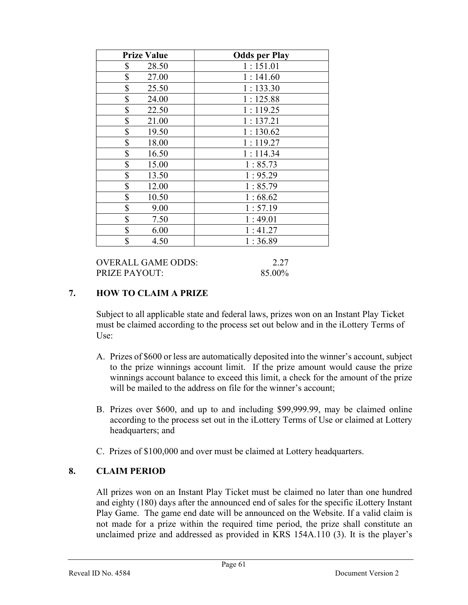| <b>Prize Value</b> | <b>Odds per Play</b> |
|--------------------|----------------------|
| \$<br>28.50        | 1:151.01             |
| \$<br>27.00        | 1:141.60             |
| \$<br>25.50        | 1:133.30             |
| \$<br>24.00        | 1:125.88             |
| \$<br>22.50        | 1:119.25             |
| \$<br>21.00        | 1:137.21             |
| \$<br>19.50        | 1:130.62             |
| \$<br>18.00        | : 119.27             |
| \$<br>16.50        | 1:114.34             |
| \$<br>15.00        | 1:85.73              |
| \$<br>13.50        | 1:95.29              |
| \$<br>12.00        | 1:85.79              |
| \$<br>10.50        | 1:68.62              |
| \$<br>9.00         | 1:57.19              |
| \$<br>7.50         | 1:49.01              |
| \$<br>6.00         | 1:41.27              |
| \$<br>4.50         | 1:36.89              |

OVERALL GAME ODDS: 2.27 PRIZE PAYOUT: 85.00%

#### 7. HOW TO CLAIM A PRIZE

Subject to all applicable state and federal laws, prizes won on an Instant Play Ticket must be claimed according to the process set out below and in the iLottery Terms of Use:

- A. Prizes of \$600 or less are automatically deposited into the winner's account, subject to the prize winnings account limit. If the prize amount would cause the prize winnings account balance to exceed this limit, a check for the amount of the prize will be mailed to the address on file for the winner's account;
- B. Prizes over \$600, and up to and including \$99,999.99, may be claimed online according to the process set out in the iLottery Terms of Use or claimed at Lottery headquarters; and
- C. Prizes of \$100,000 and over must be claimed at Lottery headquarters.

#### 8. CLAIM PERIOD

 All prizes won on an Instant Play Ticket must be claimed no later than one hundred and eighty (180) days after the announced end of sales for the specific iLottery Instant Play Game. The game end date will be announced on the Website. If a valid claim is not made for a prize within the required time period, the prize shall constitute an unclaimed prize and addressed as provided in KRS 154A.110 (3). It is the player's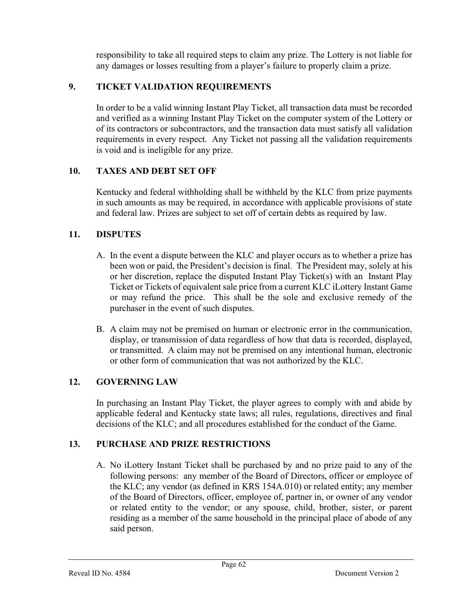responsibility to take all required steps to claim any prize. The Lottery is not liable for any damages or losses resulting from a player's failure to properly claim a prize.

# 9. TICKET VALIDATION REQUIREMENTS

In order to be a valid winning Instant Play Ticket, all transaction data must be recorded and verified as a winning Instant Play Ticket on the computer system of the Lottery or of its contractors or subcontractors, and the transaction data must satisfy all validation requirements in every respect. Any Ticket not passing all the validation requirements is void and is ineligible for any prize.

## 10. TAXES AND DEBT SET OFF

 Kentucky and federal withholding shall be withheld by the KLC from prize payments in such amounts as may be required, in accordance with applicable provisions of state and federal law. Prizes are subject to set off of certain debts as required by law.

## 11. DISPUTES

- A. In the event a dispute between the KLC and player occurs as to whether a prize has been won or paid, the President's decision is final. The President may, solely at his or her discretion, replace the disputed Instant Play Ticket(s) with an Instant Play Ticket or Tickets of equivalent sale price from a current KLC iLottery Instant Game or may refund the price. This shall be the sole and exclusive remedy of the purchaser in the event of such disputes.
- B. A claim may not be premised on human or electronic error in the communication, display, or transmission of data regardless of how that data is recorded, displayed, or transmitted. A claim may not be premised on any intentional human, electronic or other form of communication that was not authorized by the KLC.

# 12. GOVERNING LAW

 In purchasing an Instant Play Ticket, the player agrees to comply with and abide by applicable federal and Kentucky state laws; all rules, regulations, directives and final decisions of the KLC; and all procedures established for the conduct of the Game.

# 13. PURCHASE AND PRIZE RESTRICTIONS

A. No iLottery Instant Ticket shall be purchased by and no prize paid to any of the following persons: any member of the Board of Directors, officer or employee of the KLC; any vendor (as defined in KRS 154A.010) or related entity; any member of the Board of Directors, officer, employee of, partner in, or owner of any vendor or related entity to the vendor; or any spouse, child, brother, sister, or parent residing as a member of the same household in the principal place of abode of any said person.